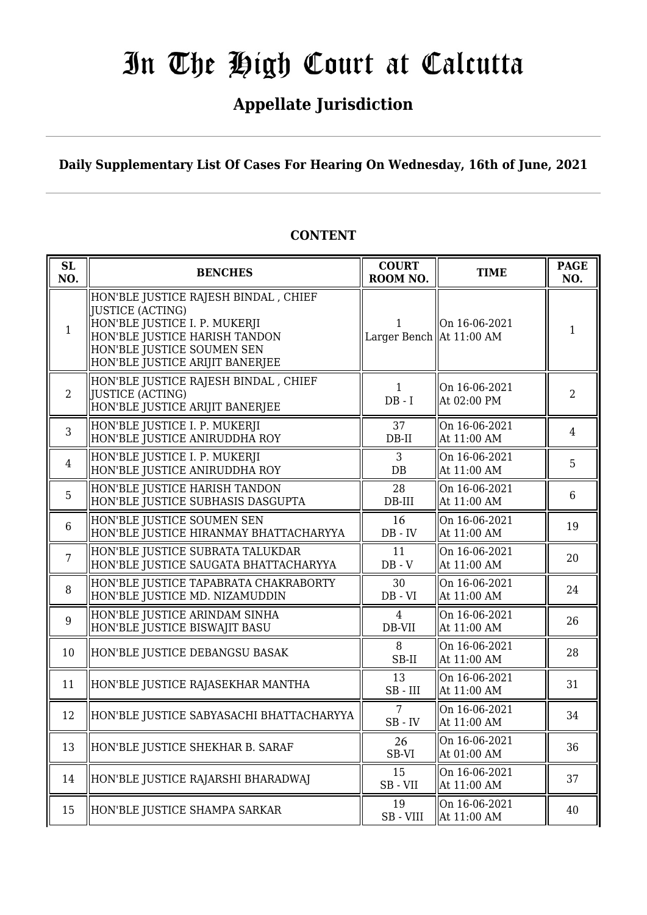# **Appellate Jurisdiction**

**Daily Supplementary List Of Cases For Hearing On Wednesday, 16th of June, 2021**

#### **SL SL**<br> **ROOM BENCHES**<br> **COURT ROOM NO. TIME PAGE ROOM NO. NO.** 1 HON'BLE JUSTICE RAJESH BINDAL , CHIEF JUSTICE (ACTING) HON'BLE JUSTICE I. P. MUKERJI HON'BLE JUSTICE HARISH TANDON HON'BLE JUSTICE SOUMEN SEN HON'BLE JUSTICE ARIJIT BANERJEE 1 Larger Bench  $\begin{array}{c|c}\n\hline\n\end{array}$  Larger Bench  $\begin{array}{c|c}\n\hline\n\end{array}$  At 11:00 AM  $\begin{array}{|c|c|}\n\hline\n\end{array}$  1 On 16-06-2021 2 HON'BLE JUSTICE RAJESH BINDAL , CHIEF JUSTICE (ACTING) HON'BLE JUSTICE ARIJIT BANERJEE 1 DB - I On 16-06-2021 At 02:00 PM <sup>2</sup> 3 HON'BLE JUSTICE I. P. MUKERJI HON'BLE JUSTICE ANIRUDDHA ROY 37 DB-II On 16-06-2021  $\left\| \begin{array}{c} 4 \text{ at } 11:00 \text{ AM} \end{array} \right\|$ 4 HON'BLE JUSTICE I. P. MUKERJI HON'BLE JUSTICE ANIRUDDHA ROY 3 DB On 16-06-2021  $\left\| \begin{array}{c} 5 \ \text{At } 11:00 \text{ AM} \end{array} \right\|$ 5 HON'BLE JUSTICE HARISH TANDON HON'BLE JUSTICE SUBHASIS DASGUPTA 28 DB-III On 16-06-2021  $\left\| \begin{array}{cc} 6 & \text{At } 11:00 \text{ AM} \end{array} \right\|$ 6 HON'BLE JUSTICE SOUMEN SEN  $\parallel$ HON'BLE JUSTICE HIRANMAY BHATTACHARYYA  $\parallel$  DB - IV On 16-06-2021  $\left\| \begin{array}{c} 20110-00-2021 \\ 4 \text{ h} 11:00 \text{ AM} \end{array} \right\|$  19 7 HON'BLE JUSTICE SUBRATA TALUKDAR HON'BLE JUSTICE SAUGATA BHATTACHARYYA 11 DB - V On 16-06-2021  $\left[\begin{array}{cc} 0.111100 & 0.0121 \\ 0.011100 & 0.011 \end{array}\right]$  20 8 HON'BLE JUSTICE TAPABRATA CHAKRABORTY HON'BLE JUSTICE MD. NIZAMUDDIN 30 DB - VI On 16-06-2021 At  $11:00$  AM  $\begin{array}{|c|c|} \hline 24 \end{array}$ 9 HON'BLE JUSTICE ARINDAM SINHA HON'BLE JUSTICE BISWAJIT BASU 4 DB-VII On 16-06-2021  $\left\| \begin{array}{cc} 26 \\ \text{At } 11:00 \text{ AM} \end{array} \right\|$  26 10 HON'BLE JUSTICE DEBANGSU BASAK  $\begin{array}{ccc} 8 & 8 \end{array}$ SB-II On 16-06-2021  $\left[\begin{array}{cc} 0.1 & 10-0 & 0 & -20 & 21 \\ 0.1 & 1 & 0 & 0 \\ 0 & 0 & 0 & 0 \end{array}\right]$  28 11 HON'BLE JUSTICE RAJASEKHAR MANTHA  $\parallel$  13 SB - III On 16-06-2021  $\left[\begin{array}{cc} 0.1111100 & 0.0111 & 0.0111 & 0.0111 & 0.0111 & 0.0111 & 0.0111 & 0.0111 & 0.0111 & 0.0111 & 0.0111 & 0.0111 & 0.0111 & 0.0111 & 0.0111 & 0.0111 & 0.0111 & 0.0111 & 0.0111 & 0.0111 & 0.0111 & 0.0111 & 0.0111 & 0.0111 & 0.0111 & 0.0111 &$ 12 HON'BLE JUSTICE SABYASACHI BHATTACHARYYA 7 SB - IV On 16-06-2021  $\begin{array}{|c|c|c|c|c|c|c|c|} \hline \text{At 11:00 AM} & & 34 \hline \end{array}$ 13 HON'BLE JUSTICE SHEKHAR B. SARAF  $\parallel$  SB-VI On 16-06-2021  $\left\{ \begin{array}{c} \text{OH} \ 10\text{-}00\text{-}2021 \\ \text{At} \ 01:00 \text{ AM} \end{array} \right. \qquad \left\| \begin{array}{c} 36 \\ \end{array} \right.$ 14 HON'BLE JUSTICE RAJARSHI BHARADWAJ  $\begin{bmatrix} 15 & 15 \ 0 & 2 \end{bmatrix}$ SB - VII On 16-06-2021  $\left[\begin{array}{cc} \text{OH }10\text{-}00\text{-}2021 \\ \text{At }11:00 \text{ AM} \end{array}\right]$  37 15 HON'BLE JUSTICE SHAMPA SARKAR  $\begin{array}{|c|c|c|c|c|}\n\hline\n & 19 & & 19 \\
\hline\n\end{array}$ SB - VIII On 16-06-2021  $\left\{ \begin{array}{c} \text{OH} \ 10\text{-}00\text{-}2021 \\ \text{At} \ 11:00 \ \text{AM} \end{array} \right. \qquad \left\| \begin{array}{c} 40 \\ \end{array} \right.$ 16 26

# **CONTENT**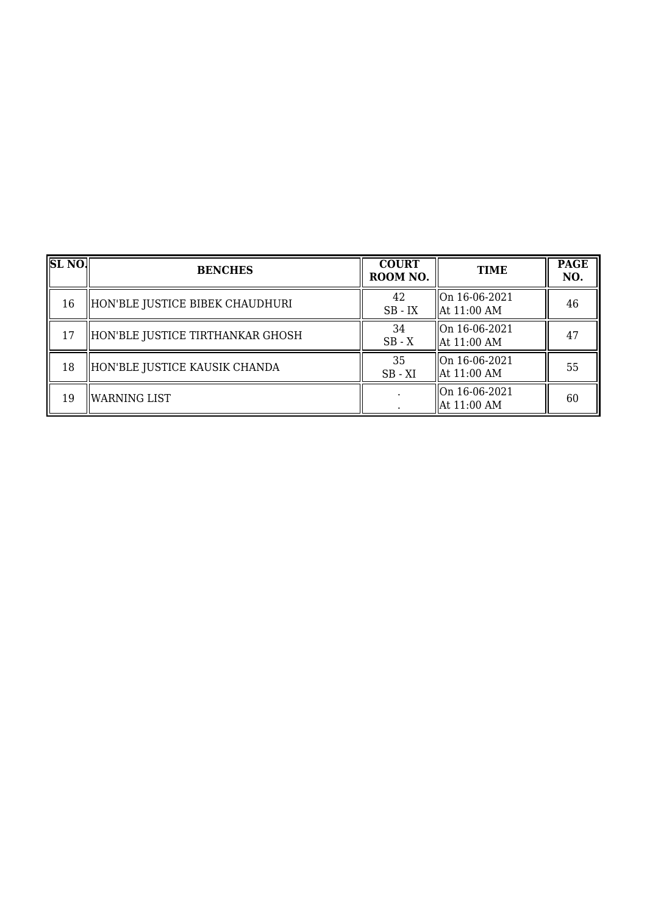| $\overline{\text{SL NO}}$ | <b>BENCHES</b>                   | <b>COURT</b><br>ROOM NO. | <b>TIME</b>                              | <b>PAGE</b><br>NO. |
|---------------------------|----------------------------------|--------------------------|------------------------------------------|--------------------|
| 16                        | HON'BLE JUSTICE BIBEK CHAUDHURI  | 42<br>$SB$ - $IX$        | On 16-06-2021<br>$\parallel$ At 11:00 AM | 46                 |
| 17                        | HON'BLE JUSTICE TIRTHANKAR GHOSH | 34<br>$SB - X$           | On 16-06-2021<br>  At 11:00 AM           | 47                 |
| 18                        | HON'BLE JUSTICE KAUSIK CHANDA    | 35<br>$SB - XI$          | On 16-06-2021<br>  At 11:00 AM           | 55                 |
| 19                        | <b>WARNING LIST</b>              |                          | On 16-06-2021<br>  At 11:00 AM           | 60                 |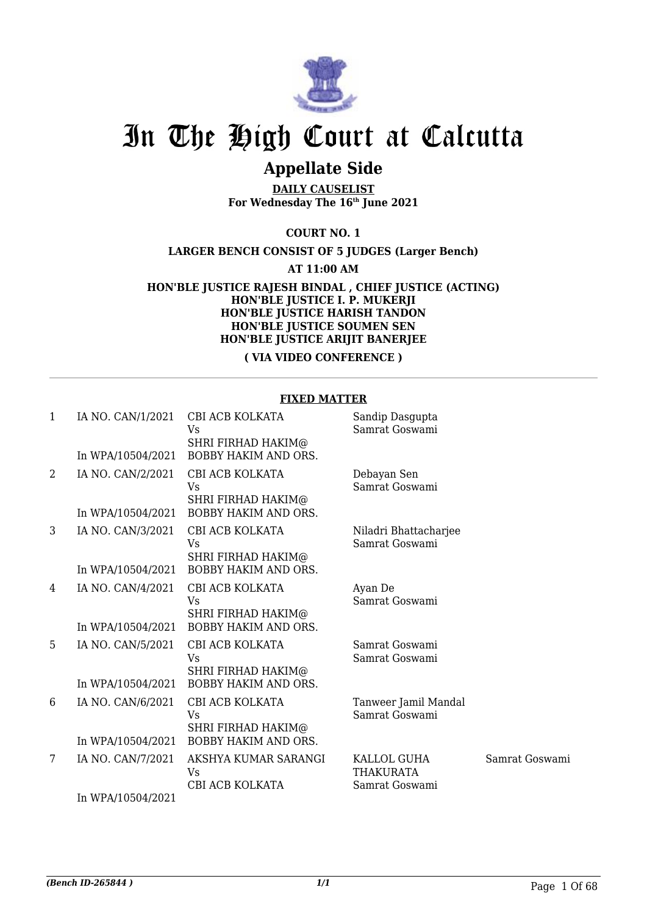

# **Appellate Side**

**DAILY CAUSELIST For Wednesday The 16th June 2021**

**COURT NO. 1**

**LARGER BENCH CONSIST OF 5 JUDGES (Larger Bench)**

**AT 11:00 AM**

**HON'BLE JUSTICE RAJESH BINDAL , CHIEF JUSTICE (ACTING) HON'BLE JUSTICE I. P. MUKERJI HON'BLE JUSTICE HARISH TANDON HON'BLE JUSTICE SOUMEN SEN HON'BLE JUSTICE ARIJIT BANERJEE**

**( VIA VIDEO CONFERENCE )**

### **FIXED MATTER**

| 1 | IA NO. CAN/1/2021<br>In WPA/10504/2021 | CBI ACB KOLKATA<br>Vs<br>SHRI FIRHAD HAKIM@<br><b>BOBBY HAKIM AND ORS.</b> | Sandip Dasgupta<br>Samrat Goswami                 |                |
|---|----------------------------------------|----------------------------------------------------------------------------|---------------------------------------------------|----------------|
| 2 | IA NO. CAN/2/2021                      | CBI ACB KOLKATA<br>Vs<br><b>SHRI FIRHAD HAKIM@</b>                         | Debayan Sen<br>Samrat Goswami                     |                |
|   | In WPA/10504/2021                      | <b>BOBBY HAKIM AND ORS.</b>                                                |                                                   |                |
| 3 | IA NO. CAN/3/2021                      | CBI ACB KOLKATA<br>Vs<br>SHRI FIRHAD HAKIM@                                | Niladri Bhattacharjee<br>Samrat Goswami           |                |
|   | In WPA/10504/2021                      | <b>BOBBY HAKIM AND ORS.</b>                                                |                                                   |                |
| 4 | IA NO. CAN/4/2021                      | CBI ACB KOLKATA<br>Vs<br><b>SHRI FIRHAD HAKIM@</b>                         | Ayan De<br>Samrat Goswami                         |                |
|   | In WPA/10504/2021                      | <b>BOBBY HAKIM AND ORS.</b>                                                |                                                   |                |
| 5 | IA NO. CAN/5/2021                      | CBI ACB KOLKATA<br>Vs<br>SHRI FIRHAD HAKIM@                                | Samrat Goswami<br>Samrat Goswami                  |                |
|   | In WPA/10504/2021                      | <b>BOBBY HAKIM AND ORS.</b>                                                |                                                   |                |
| 6 | IA NO. CAN/6/2021                      | CBI ACB KOLKATA<br>Vs<br><b>SHRI FIRHAD HAKIM@</b>                         | Tanweer Jamil Mandal<br>Samrat Goswami            |                |
|   | In WPA/10504/2021                      | <b>BOBBY HAKIM AND ORS.</b>                                                |                                                   |                |
| 7 | IA NO. CAN/7/2021                      | AKSHYA KUMAR SARANGI<br>Vs<br>CBI ACB KOLKATA                              | KALLOL GUHA<br><b>THAKURATA</b><br>Samrat Goswami | Samrat Goswami |
|   | In WPA/10504/2021                      |                                                                            |                                                   |                |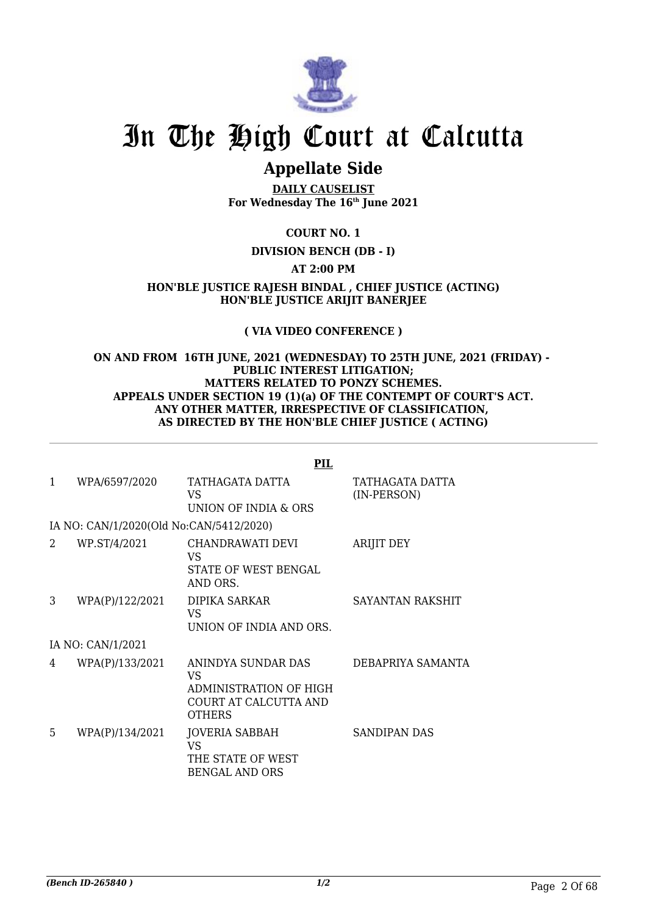

# **Appellate Side**

**DAILY CAUSELIST For Wednesday The 16th June 2021**

# **COURT NO. 1**

## **DIVISION BENCH (DB - I)**

## **AT 2:00 PM**

**HON'BLE JUSTICE RAJESH BINDAL , CHIEF JUSTICE (ACTING) HON'BLE JUSTICE ARIJIT BANERJEE**

## **( VIA VIDEO CONFERENCE )**

#### **ON AND FROM 16TH JUNE, 2021 (WEDNESDAY) TO 25TH JUNE, 2021 (FRIDAY) - PUBLIC INTEREST LITIGATION; MATTERS RELATED TO PONZY SCHEMES. APPEALS UNDER SECTION 19 (1)(a) OF THE CONTEMPT OF COURT'S ACT. ANY OTHER MATTER, IRRESPECTIVE OF CLASSIFICATION, AS DIRECTED BY THE HON'BLE CHIEF JUSTICE ( ACTING)**

|   |                                         | <b>PIL</b>                                                                                    |                                |
|---|-----------------------------------------|-----------------------------------------------------------------------------------------------|--------------------------------|
| 1 | WPA/6597/2020                           | TATHAGATA DATTA<br>VS.<br>UNION OF INDIA & ORS                                                | TATHAGATA DATTA<br>(IN-PERSON) |
|   | IA NO: CAN/1/2020(Old No:CAN/5412/2020) |                                                                                               |                                |
| 2 | WP.ST/4/2021                            | CHANDRAWATI DEVI<br>VS<br>STATE OF WEST BENGAL<br>AND ORS.                                    | ARIJIT DEY                     |
| 3 | WPA(P)/122/2021                         | DIPIKA SARKAR<br>VS<br>UNION OF INDIA AND ORS.                                                | SAYANTAN RAKSHIT               |
|   | IA NO: CAN/1/2021                       |                                                                                               |                                |
| 4 | WPA(P)/133/2021                         | ANINDYA SUNDAR DAS<br>VS.<br>ADMINISTRATION OF HIGH<br>COURT AT CALCUTTA AND<br><b>OTHERS</b> | DEBAPRIYA SAMANTA              |
| 5 | WPA(P)/134/2021                         | JOVERIA SABBAH<br>VS<br>THE STATE OF WEST<br><b>BENGAL AND ORS</b>                            | SANDIPAN DAS                   |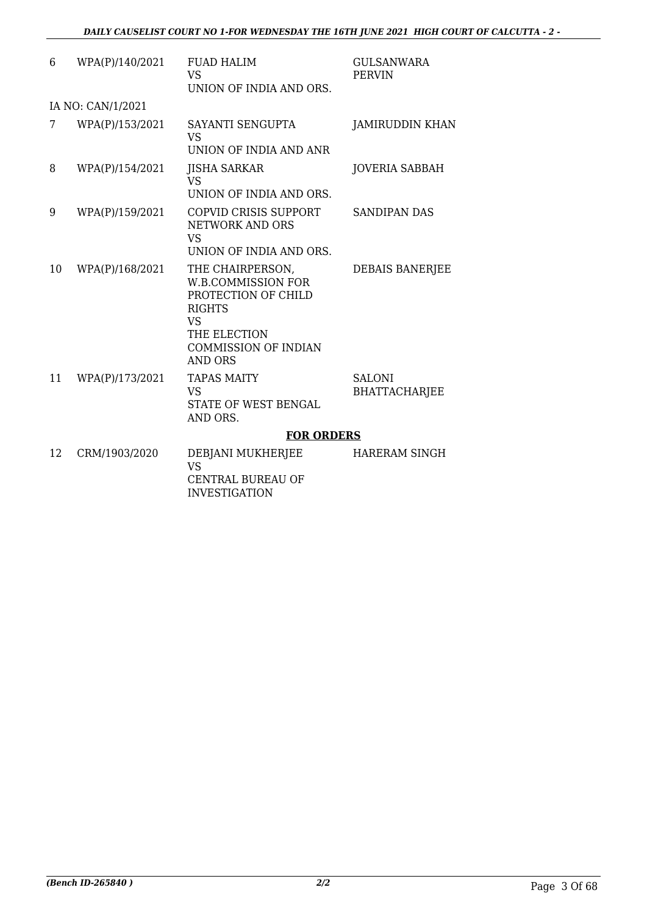| 6  | WPA(P)/140/2021   | <b>FUAD HALIM</b><br><b>VS</b><br>UNION OF INDIA AND ORS.                                                                                                    | <b>GULSANWARA</b><br><b>PERVIN</b> |
|----|-------------------|--------------------------------------------------------------------------------------------------------------------------------------------------------------|------------------------------------|
|    | IA NO: CAN/1/2021 |                                                                                                                                                              |                                    |
| 7  | WPA(P)/153/2021   | SAYANTI SENGUPTA<br><b>VS</b><br>UNION OF INDIA AND ANR                                                                                                      | <b>JAMIRUDDIN KHAN</b>             |
| 8  | WPA(P)/154/2021   | <b>JISHA SARKAR</b><br><b>VS</b><br>UNION OF INDIA AND ORS.                                                                                                  | <b>JOVERIA SABBAH</b>              |
| 9  | WPA(P)/159/2021   | COPVID CRISIS SUPPORT<br>NETWORK AND ORS<br><b>VS</b><br>UNION OF INDIA AND ORS.                                                                             | <b>SANDIPAN DAS</b>                |
| 10 | WPA(P)/168/2021   | THE CHAIRPERSON,<br><b>W.B.COMMISSION FOR</b><br>PROTECTION OF CHILD<br><b>RIGHTS</b><br><b>VS</b><br>THE ELECTION<br><b>COMMISSION OF INDIAN</b><br>AND ORS | <b>DEBAIS BANERJEE</b>             |
| 11 | WPA(P)/173/2021   | <b>TAPAS MAITY</b><br><b>VS</b><br><b>STATE OF WEST BENGAL</b><br>AND ORS.                                                                                   | <b>SALONI</b><br>BHATTACHARJEE     |
|    |                   | <b>FOR ORDERS</b>                                                                                                                                            |                                    |
| 12 | CRM/1903/2020     | DEBJANI MUKHERJEE<br><b>VS</b><br><b>CENTRAL BUREAU OF</b><br><b>INVESTIGATION</b>                                                                           | <b>HARERAM SINGH</b>               |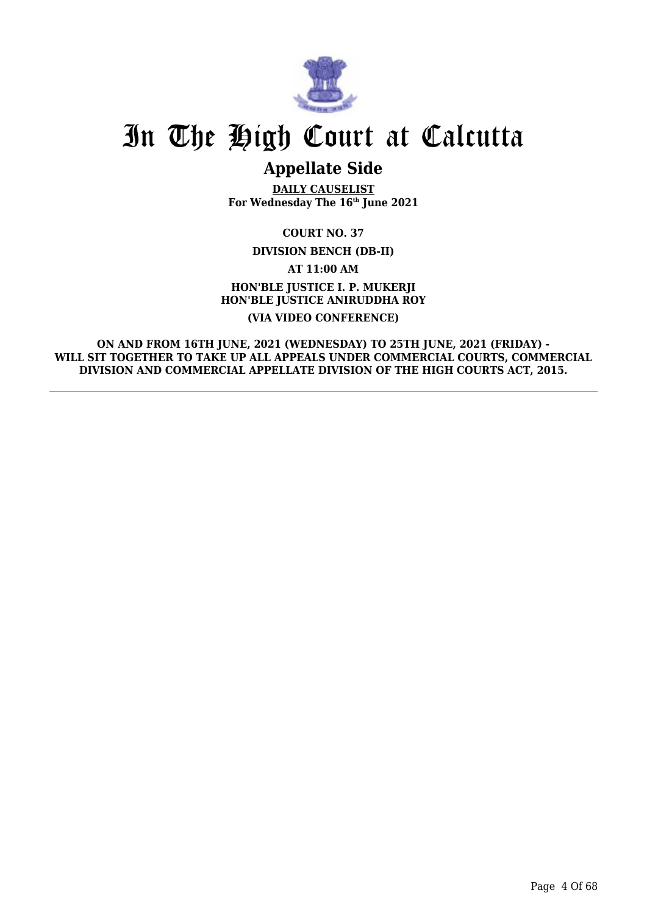

# **Appellate Side**

**DAILY CAUSELIST For Wednesday The 16th June 2021**

**COURT NO. 37**

**DIVISION BENCH (DB-II)**

**AT 11:00 AM**

**HON'BLE JUSTICE I. P. MUKERJI HON'BLE JUSTICE ANIRUDDHA ROY (VIA VIDEO CONFERENCE)**

**ON AND FROM 16TH JUNE, 2021 (WEDNESDAY) TO 25TH JUNE, 2021 (FRIDAY) - WILL SIT TOGETHER TO TAKE UP ALL APPEALS UNDER COMMERCIAL COURTS, COMMERCIAL DIVISION AND COMMERCIAL APPELLATE DIVISION OF THE HIGH COURTS ACT, 2015.**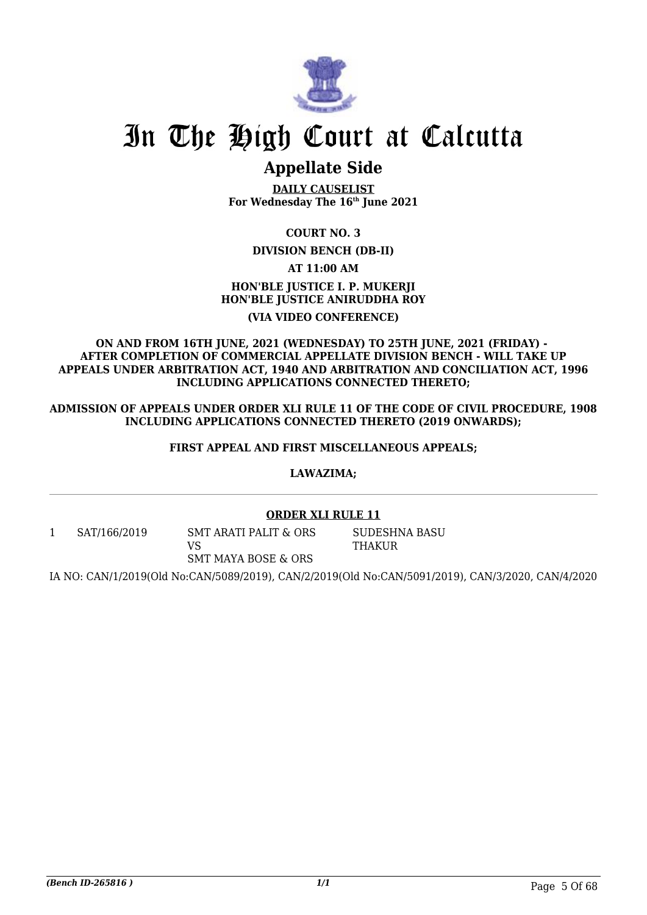

# **Appellate Side**

**DAILY CAUSELIST For Wednesday The 16th June 2021**

# **COURT NO. 3**

## **DIVISION BENCH (DB-II)**

# **AT 11:00 AM HON'BLE JUSTICE I. P. MUKERJI HON'BLE JUSTICE ANIRUDDHA ROY (VIA VIDEO CONFERENCE)**

#### **ON AND FROM 16TH JUNE, 2021 (WEDNESDAY) TO 25TH JUNE, 2021 (FRIDAY) - AFTER COMPLETION OF COMMERCIAL APPELLATE DIVISION BENCH - WILL TAKE UP APPEALS UNDER ARBITRATION ACT, 1940 AND ARBITRATION AND CONCILIATION ACT, 1996 INCLUDING APPLICATIONS CONNECTED THERETO;**

**ADMISSION OF APPEALS UNDER ORDER XLI RULE 11 OF THE CODE OF CIVIL PROCEDURE, 1908 INCLUDING APPLICATIONS CONNECTED THERETO (2019 ONWARDS);**

## **FIRST APPEAL AND FIRST MISCELLANEOUS APPEALS;**

## **LAWAZIMA;**

## **ORDER XLI RULE 11**

1 SAT/166/2019 SMT ARATI PALIT & ORS VS

SUDESHNA BASU THAKUR

SMT MAYA BOSE & ORS

IA NO: CAN/1/2019(Old No:CAN/5089/2019), CAN/2/2019(Old No:CAN/5091/2019), CAN/3/2020, CAN/4/2020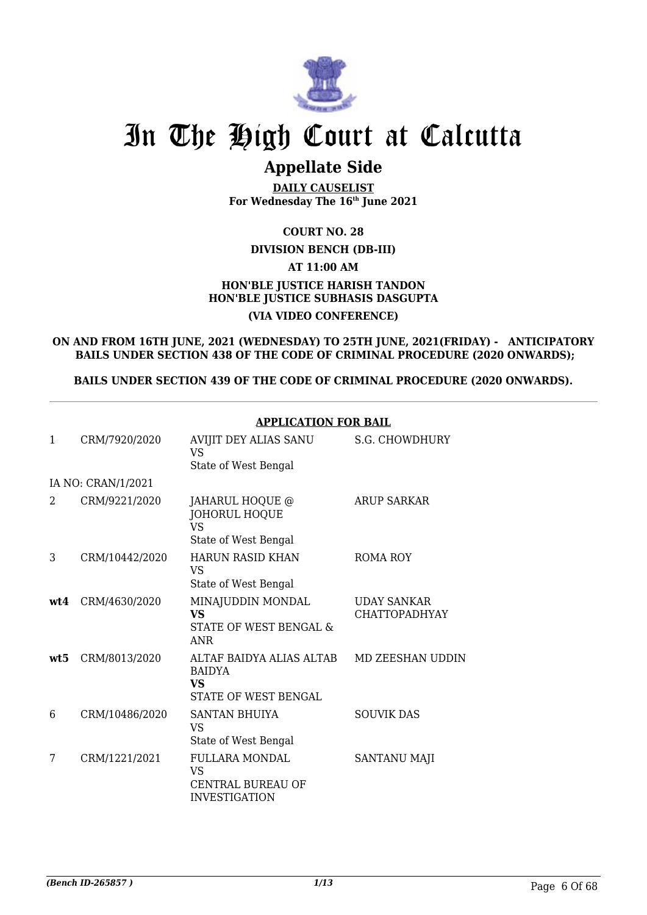

# **Appellate Side**

**DAILY CAUSELIST For Wednesday The 16th June 2021**

## **COURT NO. 28**

## **DIVISION BENCH (DB-III)**

# **AT 11:00 AM**

# **HON'BLE JUSTICE HARISH TANDON HON'BLE JUSTICE SUBHASIS DASGUPTA (VIA VIDEO CONFERENCE)**

**ON AND FROM 16TH JUNE, 2021 (WEDNESDAY) TO 25TH JUNE, 2021(FRIDAY) - ANTICIPATORY BAILS UNDER SECTION 438 OF THE CODE OF CRIMINAL PROCEDURE (2020 ONWARDS);**

**BAILS UNDER SECTION 439 OF THE CODE OF CRIMINAL PROCEDURE (2020 ONWARDS).**

### **APPLICATION FOR BAIL**

| 1   | CRM/7920/2020      | AVIJIT DEY ALIAS SANU<br><b>VS</b><br>State of West Bengal                      | S.G. CHOWDHURY                             |
|-----|--------------------|---------------------------------------------------------------------------------|--------------------------------------------|
|     | IA NO: CRAN/1/2021 |                                                                                 |                                            |
| 2   | CRM/9221/2020      | JAHARUL HOQUE @<br><b>JOHORUL HOQUE</b><br><b>VS</b><br>State of West Bengal    | <b>ARUP SARKAR</b>                         |
| 3   | CRM/10442/2020     | <b>HARUN RASID KHAN</b><br><b>VS</b><br>State of West Bengal                    | ROMA ROY                                   |
| wt4 | CRM/4630/2020      | MINAJUDDIN MONDAL<br><b>VS</b><br>STATE OF WEST BENGAL &<br><b>ANR</b>          | <b>UDAY SANKAR</b><br><b>CHATTOPADHYAY</b> |
| wt5 | CRM/8013/2020      | ALTAF BAIDYA ALIAS ALTAB<br><b>BAIDYA</b><br>VS.<br>STATE OF WEST BENGAL        | <b>MD ZEESHAN UDDIN</b>                    |
| 6   | CRM/10486/2020     | SANTAN BHUIYA<br>VS.<br>State of West Bengal                                    | <b>SOUVIK DAS</b>                          |
| 7   | CRM/1221/2021      | <b>FULLARA MONDAL</b><br><b>VS</b><br>CENTRAL BUREAU OF<br><b>INVESTIGATION</b> | SANTANU MAJI                               |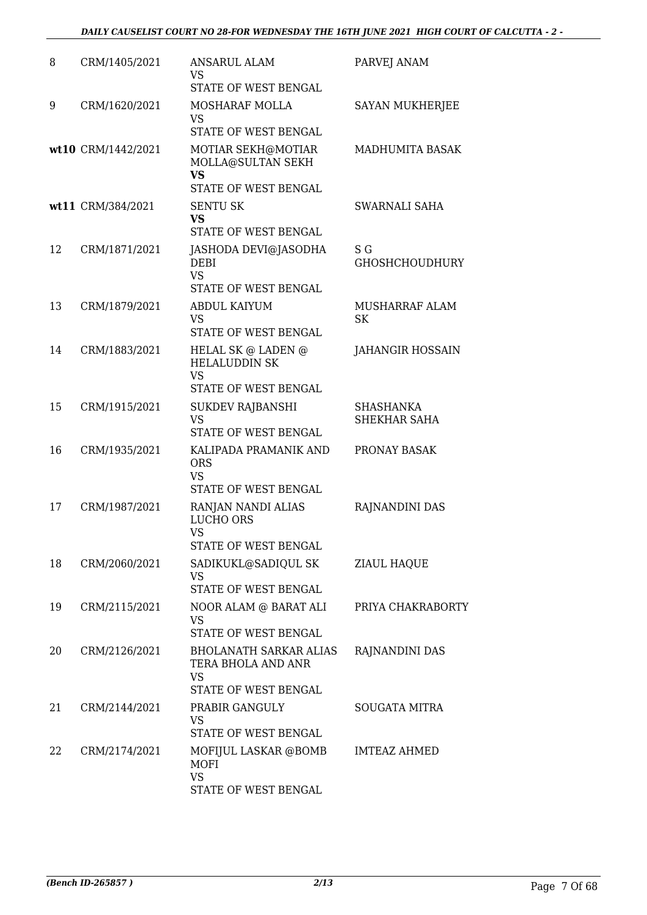| 8  | CRM/1405/2021      | <b>ANSARUL ALAM</b><br><b>VS</b>                                         | PARVEJ ANAM                  |
|----|--------------------|--------------------------------------------------------------------------|------------------------------|
|    |                    | STATE OF WEST BENGAL                                                     |                              |
| 9  | CRM/1620/2021      | MOSHARAF MOLLA<br><b>VS</b><br>STATE OF WEST BENGAL                      | SAYAN MUKHERJEE              |
|    |                    |                                                                          |                              |
|    | wt10 CRM/1442/2021 | MOTIAR SEKH@MOTIAR<br>MOLLA@SULTAN SEKH<br>VS                            | MADHUMITA BASAK              |
|    |                    | STATE OF WEST BENGAL                                                     |                              |
|    | wt11 CRM/384/2021  | <b>SENTU SK</b><br><b>VS</b>                                             | SWARNALI SAHA                |
|    |                    | STATE OF WEST BENGAL                                                     |                              |
| 12 | CRM/1871/2021      | JASHODA DEVI@JASODHA<br><b>DEBI</b><br><b>VS</b><br>STATE OF WEST BENGAL | S G<br><b>GHOSHCHOUDHURY</b> |
| 13 | CRM/1879/2021      | <b>ABDUL KAIYUM</b>                                                      | MUSHARRAF ALAM               |
|    |                    | <b>VS</b><br><b>STATE OF WEST BENGAL</b>                                 | <b>SK</b>                    |
| 14 | CRM/1883/2021      | HELAL SK @ LADEN @<br><b>HELALUDDIN SK</b>                               | <b>JAHANGIR HOSSAIN</b>      |
|    |                    | <b>VS</b><br>STATE OF WEST BENGAL                                        |                              |
| 15 | CRM/1915/2021      | <b>SUKDEV RAJBANSHI</b>                                                  | SHASHANKA                    |
|    |                    | <b>VS</b><br>STATE OF WEST BENGAL                                        | SHEKHAR SAHA                 |
| 16 | CRM/1935/2021      | KALIPADA PRAMANIK AND<br><b>ORS</b><br><b>VS</b><br>STATE OF WEST BENGAL | PRONAY BASAK                 |
| 17 | CRM/1987/2021      | RANJAN NANDI ALIAS                                                       | RAJNANDINI DAS               |
|    |                    | <b>LUCHO ORS</b><br>VS                                                   |                              |
|    |                    | STATE OF WEST BENGAL                                                     |                              |
| 18 | CRM/2060/2021      | SADIKUKL@SADIQUL SK<br>VS<br>STATE OF WEST BENGAL                        | <b>ZIAUL HAQUE</b>           |
|    |                    |                                                                          |                              |
| 19 | CRM/2115/2021      | NOOR ALAM @ BARAT ALI<br>VS<br>STATE OF WEST BENGAL                      | PRIYA CHAKRABORTY            |
| 20 | CRM/2126/2021      | <b>BHOLANATH SARKAR ALIAS</b>                                            |                              |
|    |                    | TERA BHOLA AND ANR<br><b>VS</b><br>STATE OF WEST BENGAL                  | RAJNANDINI DAS               |
|    |                    |                                                                          |                              |
| 21 | CRM/2144/2021      | PRABIR GANGULY<br><b>VS</b><br>STATE OF WEST BENGAL                      | SOUGATA MITRA                |
| 22 | CRM/2174/2021      | MOFIJUL LASKAR @BOMB<br><b>MOFI</b>                                      | <b>IMTEAZ AHMED</b>          |
|    |                    | <b>VS</b><br>STATE OF WEST BENGAL                                        |                              |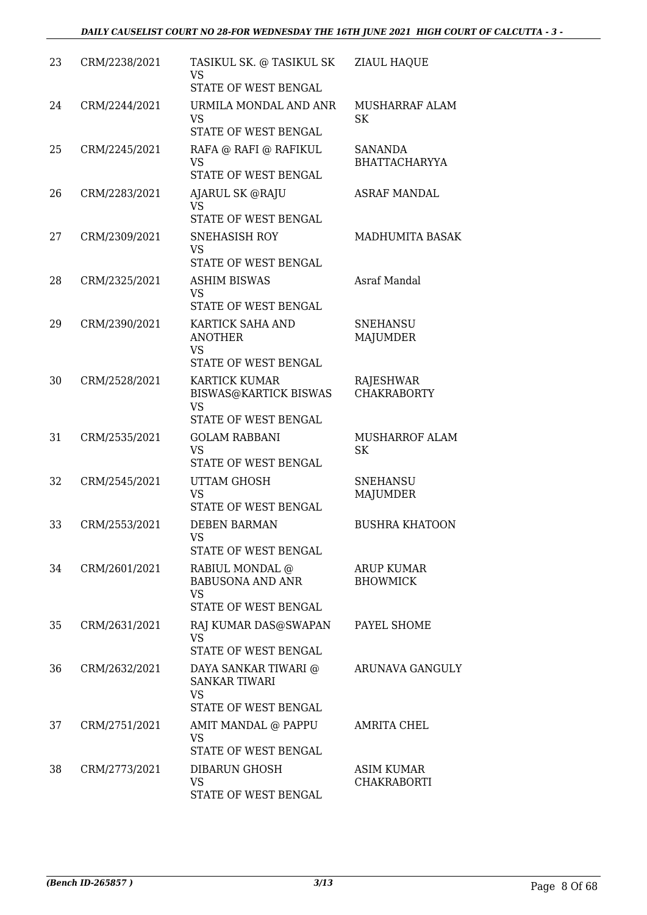| 23 | CRM/2238/2021 | TASIKUL SK. @ TASIKUL SK<br><b>VS</b><br>STATE OF WEST BENGAL                             | ZIAUL HAQUE                          |
|----|---------------|-------------------------------------------------------------------------------------------|--------------------------------------|
| 24 | CRM/2244/2021 | URMILA MONDAL AND ANR<br><b>VS</b><br>STATE OF WEST BENGAL                                | <b>MUSHARRAF ALAM</b><br>SK          |
| 25 | CRM/2245/2021 | RAFA @ RAFI @ RAFIKUL<br>VS<br>STATE OF WEST BENGAL                                       | SANANDA<br><b>BHATTACHARYYA</b>      |
| 26 | CRM/2283/2021 | AJARUL SK @RAJU<br>VS<br>STATE OF WEST BENGAL                                             | ASRAF MANDAL                         |
| 27 | CRM/2309/2021 | <b>SNEHASISH ROY</b><br><b>VS</b><br>STATE OF WEST BENGAL                                 | MADHUMITA BASAK                      |
| 28 | CRM/2325/2021 | <b>ASHIM BISWAS</b><br><b>VS</b><br>STATE OF WEST BENGAL                                  | Asraf Mandal                         |
| 29 | CRM/2390/2021 | KARTICK SAHA AND<br><b>ANOTHER</b><br><b>VS</b><br>STATE OF WEST BENGAL                   | <b>SNEHANSU</b><br><b>MAJUMDER</b>   |
| 30 | CRM/2528/2021 | <b>KARTICK KUMAR</b><br><b>BISWAS@KARTICK BISWAS</b><br><b>VS</b><br>STATE OF WEST BENGAL | RAJESHWAR<br><b>CHAKRABORTY</b>      |
| 31 | CRM/2535/2021 | <b>GOLAM RABBANI</b><br><b>VS</b><br>STATE OF WEST BENGAL                                 | MUSHARROF ALAM<br><b>SK</b>          |
| 32 | CRM/2545/2021 | <b>UTTAM GHOSH</b><br><b>VS</b><br>STATE OF WEST BENGAL                                   | <b>SNEHANSU</b><br>MAJUMDER          |
| 33 | CRM/2553/2021 | <b>DEBEN BARMAN</b><br>VS —<br>STATE OF WEST BENGAL                                       | <b>BUSHRA KHATOON</b>                |
| 34 | CRM/2601/2021 | RABIUL MONDAL @<br><b>BABUSONA AND ANR</b><br><b>VS</b><br>STATE OF WEST BENGAL           | <b>ARUP KUMAR</b><br><b>BHOWMICK</b> |
| 35 | CRM/2631/2021 | RAJ KUMAR DAS@SWAPAN<br><b>VS</b><br>STATE OF WEST BENGAL                                 | PAYEL SHOME                          |
| 36 | CRM/2632/2021 | DAYA SANKAR TIWARI @<br><b>SANKAR TIWARI</b><br><b>VS</b><br>STATE OF WEST BENGAL         | ARUNAVA GANGULY                      |
| 37 | CRM/2751/2021 | AMIT MANDAL @ PAPPU<br><b>VS</b><br>STATE OF WEST BENGAL                                  | <b>AMRITA CHEL</b>                   |
| 38 | CRM/2773/2021 | DIBARUN GHOSH<br>VS<br>STATE OF WEST BENGAL                                               | ASIM KUMAR<br>CHAKRABORTI            |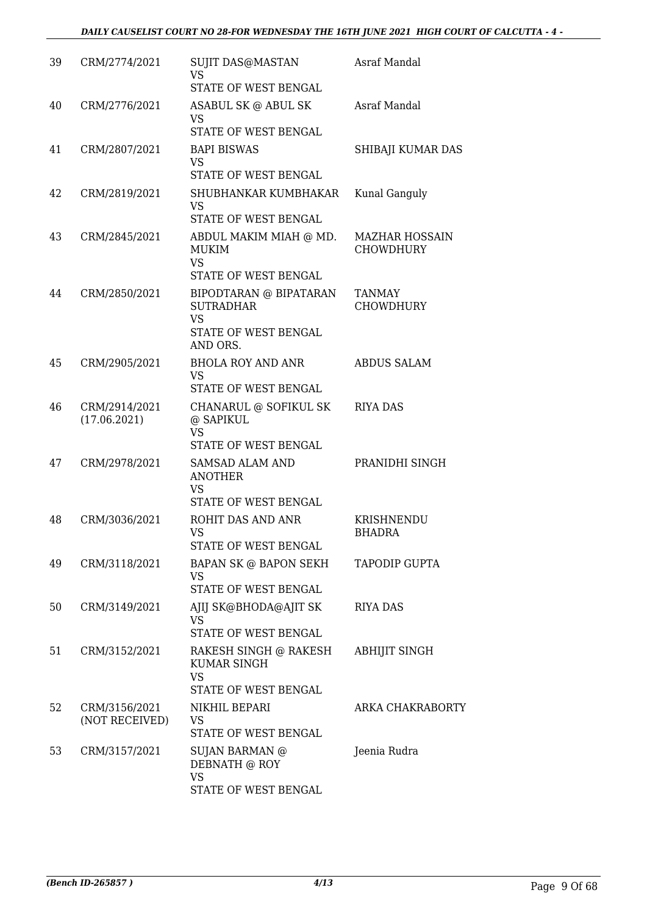| 39 | CRM/2774/2021                   | <b>SUJIT DAS@MASTAN</b><br><b>VS</b><br>STATE OF WEST BENGAL                                | Asraf Mandal                       |
|----|---------------------------------|---------------------------------------------------------------------------------------------|------------------------------------|
| 40 | CRM/2776/2021                   | ASABUL SK @ ABUL SK<br><b>VS</b><br>STATE OF WEST BENGAL                                    | Asraf Mandal                       |
| 41 | CRM/2807/2021                   | <b>BAPI BISWAS</b><br><b>VS</b><br>STATE OF WEST BENGAL                                     | SHIBAJI KUMAR DAS                  |
| 42 | CRM/2819/2021                   | SHUBHANKAR KUMBHAKAR<br><b>VS</b><br>STATE OF WEST BENGAL                                   | Kunal Ganguly                      |
| 43 | CRM/2845/2021                   | ABDUL MAKIM MIAH @ MD.<br>MUKIM<br><b>VS</b><br>STATE OF WEST BENGAL                        | <b>MAZHAR HOSSAIN</b><br>CHOWDHURY |
| 44 | CRM/2850/2021                   | BIPODTARAN @ BIPATARAN<br><b>SUTRADHAR</b><br><b>VS</b><br>STATE OF WEST BENGAL<br>AND ORS. | TANMAY<br><b>CHOWDHURY</b>         |
| 45 | CRM/2905/2021                   | <b>BHOLA ROY AND ANR</b><br><b>VS</b><br>STATE OF WEST BENGAL                               | <b>ABDUS SALAM</b>                 |
| 46 | CRM/2914/2021<br>(17.06.2021)   | CHANARUL @ SOFIKUL SK<br>@ SAPIKUL<br>VS<br>STATE OF WEST BENGAL                            | RIYA DAS                           |
| 47 | CRM/2978/2021                   | <b>SAMSAD ALAM AND</b><br><b>ANOTHER</b><br><b>VS</b><br><b>STATE OF WEST BENGAL</b>        | PRANIDHI SINGH                     |
| 48 | CRM/3036/2021                   | ROHIT DAS AND ANR<br><b>VS</b><br>STATE OF WEST BENGAL                                      | KRISHNENDU<br>BHADRA               |
| 49 | CRM/3118/2021                   | <b>BAPAN SK @ BAPON SEKH</b><br><b>VS</b><br>STATE OF WEST BENGAL                           | TAPODIP GUPTA                      |
| 50 | CRM/3149/2021                   | AJIJ SK@BHODA@AJIT SK<br><b>VS</b><br>STATE OF WEST BENGAL                                  | RIYA DAS                           |
| 51 | CRM/3152/2021                   | RAKESH SINGH @ RAKESH<br><b>KUMAR SINGH</b><br><b>VS</b><br>STATE OF WEST BENGAL            | <b>ABHIJIT SINGH</b>               |
| 52 | CRM/3156/2021<br>(NOT RECEIVED) | NIKHIL BEPARI<br>VS<br>STATE OF WEST BENGAL                                                 | ARKA CHAKRABORTY                   |
| 53 | CRM/3157/2021                   | SUJAN BARMAN @<br>DEBNATH @ ROY<br><b>VS</b><br>STATE OF WEST BENGAL                        | Jeenia Rudra                       |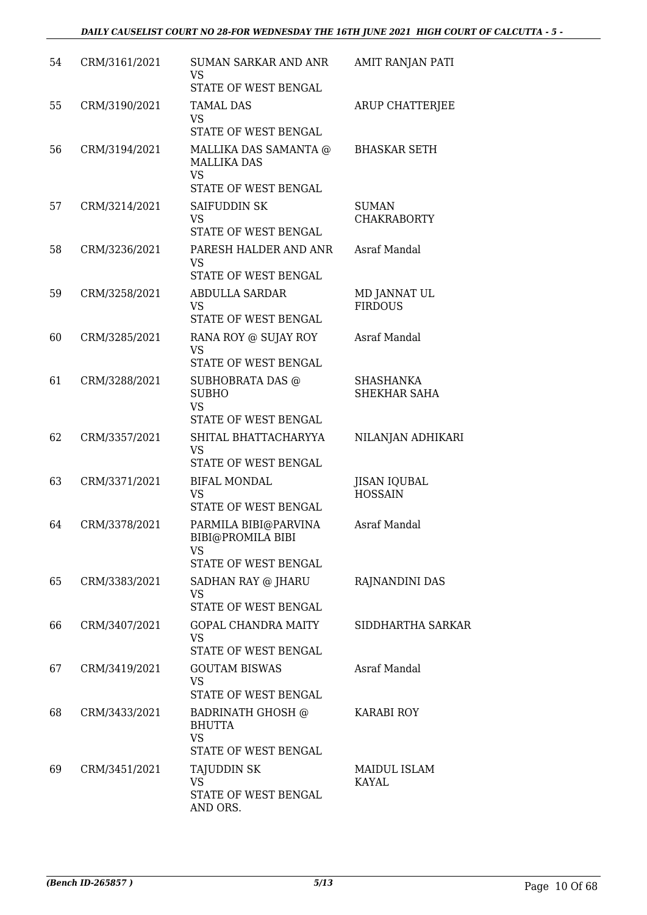| 54 | CRM/3161/2021 | <b>SUMAN SARKAR AND ANR</b><br><b>VS</b><br>STATE OF WEST BENGAL                            | AMIT RANJAN PATI                      |
|----|---------------|---------------------------------------------------------------------------------------------|---------------------------------------|
| 55 | CRM/3190/2021 | <b>TAMAL DAS</b><br><b>VS</b><br>STATE OF WEST BENGAL                                       | ARUP CHATTERJEE                       |
| 56 | CRM/3194/2021 | MALLIKA DAS SAMANTA @<br><b>MALLIKA DAS</b><br><b>VS</b>                                    | <b>BHASKAR SETH</b>                   |
|    |               | STATE OF WEST BENGAL                                                                        |                                       |
| 57 | CRM/3214/2021 | SAIFUDDIN SK<br><b>VS</b><br>STATE OF WEST BENGAL                                           | <b>SUMAN</b><br><b>CHAKRABORTY</b>    |
| 58 | CRM/3236/2021 | PARESH HALDER AND ANR<br><b>VS</b><br>STATE OF WEST BENGAL                                  | Asraf Mandal                          |
| 59 | CRM/3258/2021 | <b>ABDULLA SARDAR</b><br><b>VS</b><br>STATE OF WEST BENGAL                                  | MD JANNAT UL<br><b>FIRDOUS</b>        |
| 60 | CRM/3285/2021 | RANA ROY @ SUJAY ROY<br><b>VS</b>                                                           | Asraf Mandal                          |
|    |               | STATE OF WEST BENGAL                                                                        |                                       |
| 61 | CRM/3288/2021 | SUBHOBRATA DAS @<br><b>SUBHO</b><br><b>VS</b><br>STATE OF WEST BENGAL                       | <b>SHASHANKA</b><br>SHEKHAR SAHA      |
| 62 | CRM/3357/2021 | SHITAL BHATTACHARYYA<br><b>VS</b><br>STATE OF WEST BENGAL                                   | NILANJAN ADHIKARI                     |
| 63 | CRM/3371/2021 | <b>BIFAL MONDAL</b><br><b>VS</b><br><b>STATE OF WEST BENGAL</b>                             | <b>JISAN IQUBAL</b><br><b>HOSSAIN</b> |
| 64 | CRM/3378/2021 | PARMILA BIBI@PARVINA<br>BIBI@PROMILA BIBI<br><b>VS</b><br>STATE OF WEST BENGAL              | Asraf Mandal                          |
| 65 | CRM/3383/2021 | SADHAN RAY @ JHARU<br><b>VS</b><br>STATE OF WEST BENGAL                                     | RAJNANDINI DAS                        |
| 66 | CRM/3407/2021 | <b>GOPAL CHANDRA MAITY</b><br><b>VS</b>                                                     | SIDDHARTHA SARKAR                     |
| 67 | CRM/3419/2021 | STATE OF WEST BENGAL<br><b>GOUTAM BISWAS</b><br><b>VS</b><br>STATE OF WEST BENGAL           | Asraf Mandal                          |
| 68 | CRM/3433/2021 | <b>BADRINATH GHOSH @</b><br><b>BHUTTA</b><br><b>VS</b>                                      | <b>KARABI ROY</b>                     |
| 69 | CRM/3451/2021 | STATE OF WEST BENGAL<br><b>TAJUDDIN SK</b><br><b>VS</b><br>STATE OF WEST BENGAL<br>AND ORS. | <b>MAIDUL ISLAM</b><br><b>KAYAL</b>   |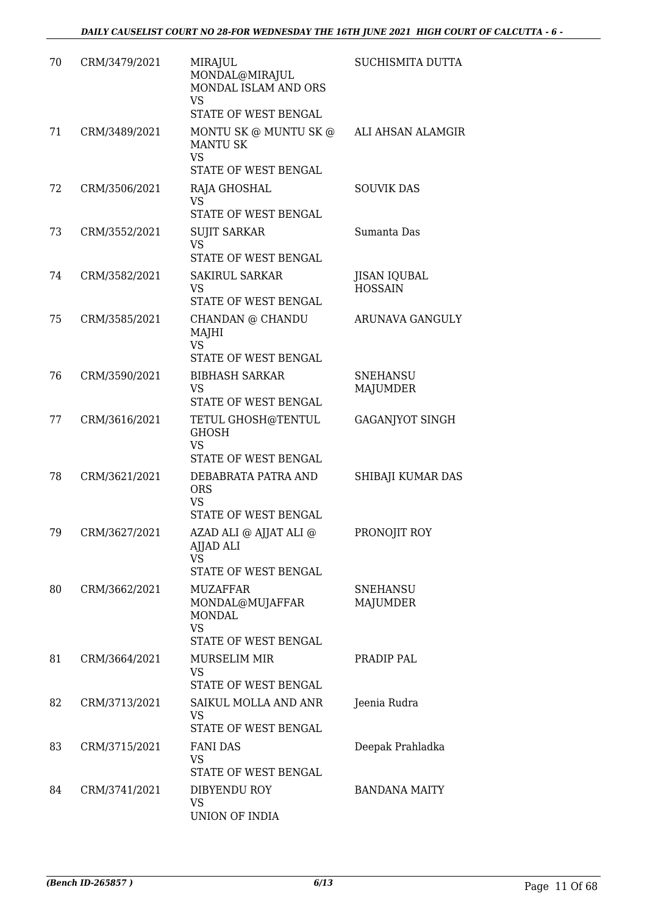| 70 | CRM/3479/2021 | MIRAJUL<br>MONDAL@MIRAJUL<br>MONDAL ISLAM AND ORS                                    | SUCHISMITA DUTTA                      |
|----|---------------|--------------------------------------------------------------------------------------|---------------------------------------|
|    |               | <b>VS</b><br>STATE OF WEST BENGAL                                                    |                                       |
| 71 | CRM/3489/2021 | MONTU SK @ MUNTU SK @<br><b>MANTU SK</b><br><b>VS</b><br><b>STATE OF WEST BENGAL</b> | ALI AHSAN ALAMGIR                     |
| 72 | CRM/3506/2021 | RAJA GHOSHAL<br><b>VS</b><br>STATE OF WEST BENGAL                                    | <b>SOUVIK DAS</b>                     |
| 73 | CRM/3552/2021 | <b>SUJIT SARKAR</b><br><b>VS</b><br>STATE OF WEST BENGAL                             | Sumanta Das                           |
| 74 | CRM/3582/2021 | <b>SAKIRUL SARKAR</b><br><b>VS</b><br>STATE OF WEST BENGAL                           | <b>JISAN IQUBAL</b><br><b>HOSSAIN</b> |
| 75 | CRM/3585/2021 | CHANDAN @ CHANDU<br>MAJHI<br><b>VS</b><br>STATE OF WEST BENGAL                       | ARUNAVA GANGULY                       |
| 76 | CRM/3590/2021 | <b>BIBHASH SARKAR</b><br><b>VS</b><br>STATE OF WEST BENGAL                           | <b>SNEHANSU</b><br><b>MAJUMDER</b>    |
| 77 | CRM/3616/2021 | TETUL GHOSH@TENTUL<br><b>GHOSH</b><br><b>VS</b><br>STATE OF WEST BENGAL              | <b>GAGANJYOT SINGH</b>                |
| 78 | CRM/3621/2021 | DEBABRATA PATRA AND<br><b>ORS</b><br><b>VS</b><br>STATE OF WEST BENGAL               | SHIBAJI KUMAR DAS                     |
| 79 | CRM/3627/2021 | AZAD ALI @ AJJAT ALI @<br>AJJAD ALI<br>VS<br>STATE OF WEST BENGAL                    | PRONOJIT ROY                          |
| 80 | CRM/3662/2021 | MUZAFFAR<br>MONDAL@MUJAFFAR<br>MONDAL<br><b>VS</b><br>STATE OF WEST BENGAL           | <b>SNEHANSU</b><br><b>MAJUMDER</b>    |
| 81 | CRM/3664/2021 | MURSELIM MIR<br>VS<br>STATE OF WEST BENGAL                                           | PRADIP PAL                            |
| 82 | CRM/3713/2021 | SAIKUL MOLLA AND ANR<br>VS<br>STATE OF WEST BENGAL                                   | Jeenia Rudra                          |
| 83 | CRM/3715/2021 | <b>FANI DAS</b><br>VS<br>STATE OF WEST BENGAL                                        | Deepak Prahladka                      |
| 84 | CRM/3741/2021 | DIBYENDU ROY<br>VS<br>UNION OF INDIA                                                 | <b>BANDANA MAITY</b>                  |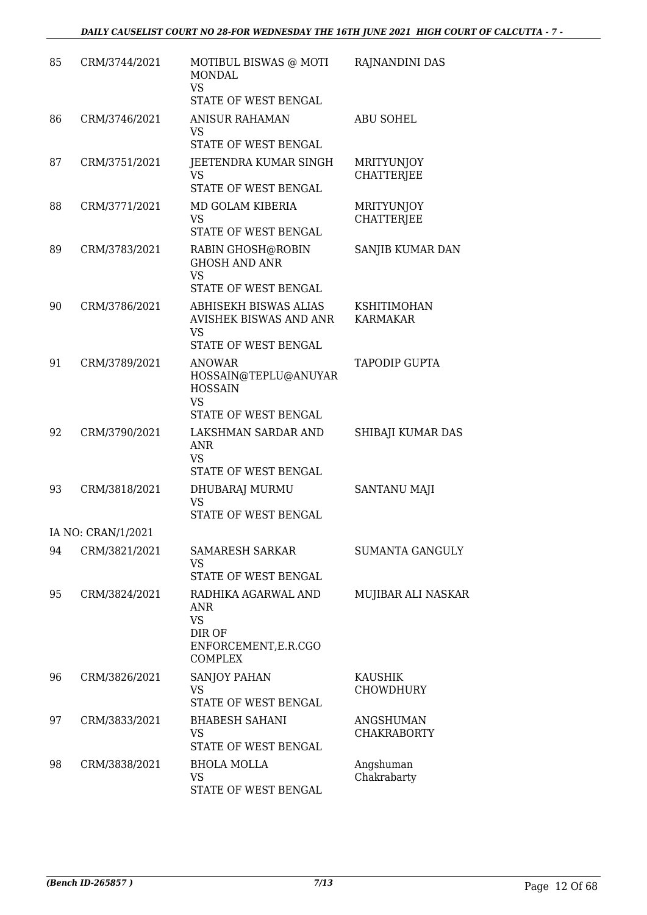| 85 | CRM/3744/2021      | MOTIBUL BISWAS @ MOTI<br><b>MONDAL</b><br><b>VS</b><br>STATE OF WEST BENGAL                  | RAJNANDINI DAS                         |
|----|--------------------|----------------------------------------------------------------------------------------------|----------------------------------------|
| 86 | CRM/3746/2021      | <b>ANISUR RAHAMAN</b><br><b>VS</b><br>STATE OF WEST BENGAL                                   | <b>ABU SOHEL</b>                       |
| 87 | CRM/3751/2021      | JEETENDRA KUMAR SINGH<br><b>VS</b><br>STATE OF WEST BENGAL                                   | <b>MRITYUNJOY</b><br><b>CHATTERJEE</b> |
| 88 | CRM/3771/2021      | MD GOLAM KIBERIA<br><b>VS</b><br>STATE OF WEST BENGAL                                        | <b>MRITYUNJOY</b><br><b>CHATTERJEE</b> |
| 89 | CRM/3783/2021      | RABIN GHOSH@ROBIN<br><b>GHOSH AND ANR</b><br><b>VS</b><br>STATE OF WEST BENGAL               | SANJIB KUMAR DAN                       |
| 90 | CRM/3786/2021      | ABHISEKH BISWAS ALIAS<br><b>AVISHEK BISWAS AND ANR</b><br><b>VS</b><br>STATE OF WEST BENGAL  | <b>KSHITIMOHAN</b><br><b>KARMAKAR</b>  |
| 91 | CRM/3789/2021      | <b>ANOWAR</b><br>HOSSAIN@TEPLU@ANUYAR<br><b>HOSSAIN</b><br><b>VS</b><br>STATE OF WEST BENGAL | <b>TAPODIP GUPTA</b>                   |
| 92 | CRM/3790/2021      | LAKSHMAN SARDAR AND<br><b>ANR</b><br><b>VS</b><br>STATE OF WEST BENGAL                       | SHIBAJI KUMAR DAS                      |
| 93 | CRM/3818/2021      | DHUBARAJ MURMU<br><b>VS</b><br>STATE OF WEST BENGAL                                          | SANTANU MAJI                           |
|    | IA NO: CRAN/1/2021 |                                                                                              |                                        |
| 94 | CRM/3821/2021      | <b>SAMARESH SARKAR</b><br><b>VS</b><br>STATE OF WEST BENGAL                                  | <b>SUMANTA GANGULY</b>                 |
| 95 | CRM/3824/2021      | RADHIKA AGARWAL AND<br>ANR<br><b>VS</b><br>DIR OF<br>ENFORCEMENT, E.R.CGO<br><b>COMPLEX</b>  | MUJIBAR ALI NASKAR                     |
| 96 | CRM/3826/2021      | SANJOY PAHAN<br><b>VS</b><br>STATE OF WEST BENGAL                                            | <b>KAUSHIK</b><br><b>CHOWDHURY</b>     |
| 97 | CRM/3833/2021      | <b>BHABESH SAHANI</b><br><b>VS</b><br>STATE OF WEST BENGAL                                   | <b>ANGSHUMAN</b><br><b>CHAKRABORTY</b> |
| 98 | CRM/3838/2021      | <b>BHOLA MOLLA</b><br><b>VS</b><br>STATE OF WEST BENGAL                                      | Angshuman<br>Chakrabarty               |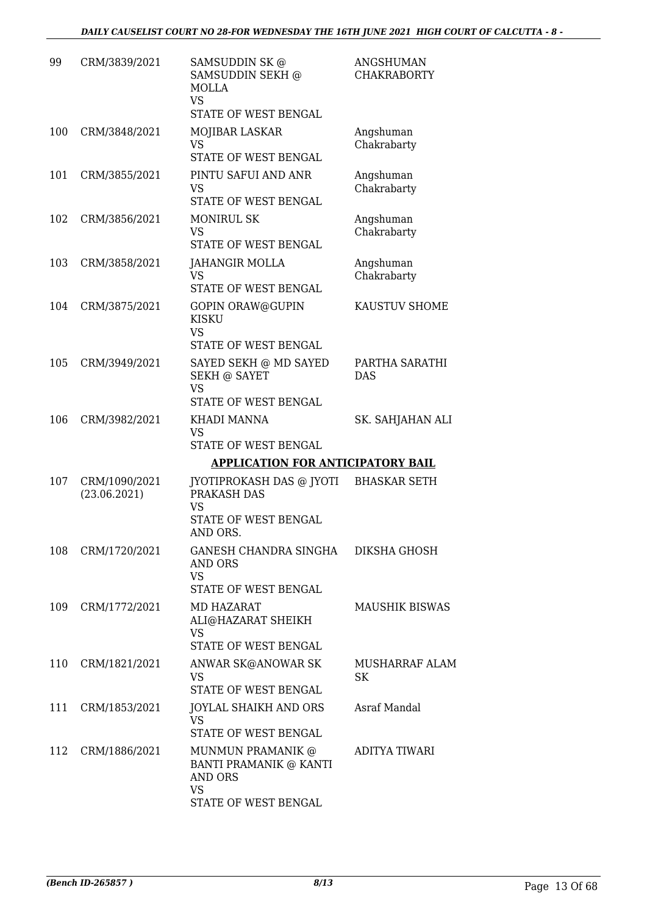| 99  | CRM/3839/2021                 | SAMSUDDIN SK @<br>SAMSUDDIN SEKH @<br>MOLLA                                                               | <b>ANGSHUMAN</b><br><b>CHAKRABORTY</b> |
|-----|-------------------------------|-----------------------------------------------------------------------------------------------------------|----------------------------------------|
|     |                               | <b>VS</b><br>STATE OF WEST BENGAL                                                                         |                                        |
| 100 | CRM/3848/2021                 | MOJIBAR LASKAR<br>VS<br>STATE OF WEST BENGAL                                                              | Angshuman<br>Chakrabarty               |
| 101 | CRM/3855/2021                 | PINTU SAFUI AND ANR<br><b>VS</b><br>STATE OF WEST BENGAL                                                  | Angshuman<br>Chakrabarty               |
| 102 | CRM/3856/2021                 | <b>MONIRUL SK</b><br><b>VS</b><br>STATE OF WEST BENGAL                                                    | Angshuman<br>Chakrabarty               |
| 103 | CRM/3858/2021                 | JAHANGIR MOLLA<br>VS<br>STATE OF WEST BENGAL                                                              | Angshuman<br>Chakrabarty               |
| 104 | CRM/3875/2021                 | <b>GOPIN ORAW@GUPIN</b><br><b>KISKU</b><br><b>VS</b>                                                      | KAUSTUV SHOME                          |
| 105 | CRM/3949/2021                 | STATE OF WEST BENGAL<br>SAYED SEKH @ MD SAYED<br><b>SEKH @ SAYET</b><br><b>VS</b><br>STATE OF WEST BENGAL | PARTHA SARATHI<br><b>DAS</b>           |
| 106 | CRM/3982/2021                 | KHADI MANNA<br><b>VS</b><br>STATE OF WEST BENGAL                                                          | SK. SAHJAHAN ALI                       |
|     |                               | <b>APPLICATION FOR ANTICIPATORY BAIL</b>                                                                  |                                        |
| 107 | CRM/1090/2021<br>(23.06.2021) | JYOTIPROKASH DAS @ JYOTI<br>PRAKASH DAS<br>VS<br>STATE OF WEST BENGAL                                     | <b>BHASKAR SETH</b>                    |
| 108 | CRM/1720/2021                 | AND ORS.<br>GANESH CHANDRA SINGHA<br><b>AND ORS</b><br><b>VS</b><br>STATE OF WEST BENGAL                  | DIKSHA GHOSH                           |
| 109 | CRM/1772/2021                 | MD HAZARAT<br>ALI@HAZARAT SHEIKH<br><b>VS</b>                                                             | <b>MAUSHIK BISWAS</b>                  |
| 110 | CRM/1821/2021                 | STATE OF WEST BENGAL<br>ANWAR SK@ANOWAR SK<br><b>VS</b><br>STATE OF WEST BENGAL                           | <b>MUSHARRAF ALAM</b><br><b>SK</b>     |
| 111 | CRM/1853/2021                 | JOYLAL SHAIKH AND ORS<br>VS<br>STATE OF WEST BENGAL                                                       | Asraf Mandal                           |
| 112 | CRM/1886/2021                 | MUNMUN PRAMANIK @<br>BANTI PRAMANIK @ KANTI<br><b>AND ORS</b><br><b>VS</b><br>STATE OF WEST BENGAL        | ADITYA TIWARI                          |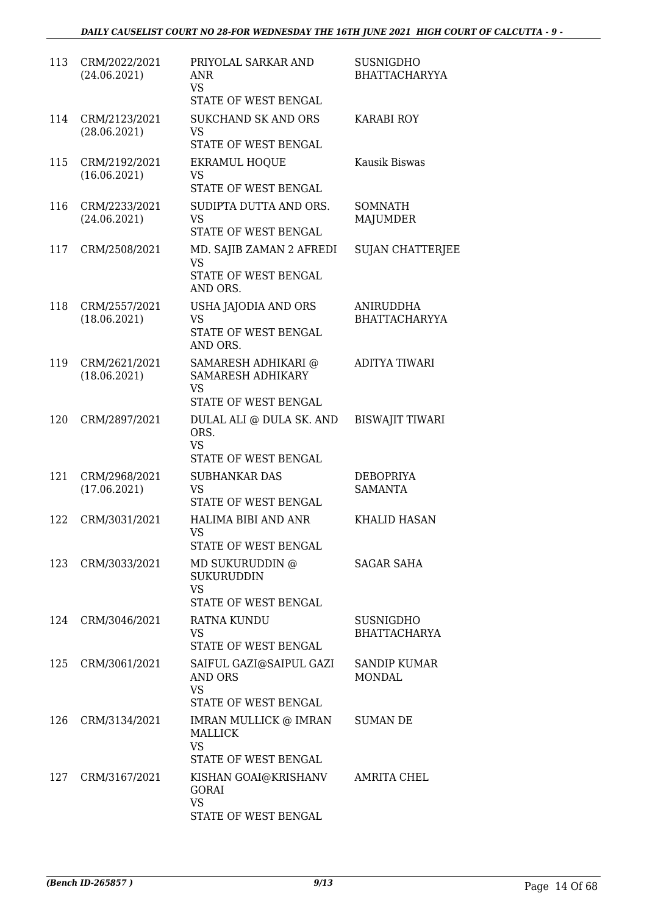| 113 | CRM/2022/2021<br>(24.06.2021) | PRIYOLAL SARKAR AND<br><b>ANR</b><br><b>VS</b><br>STATE OF WEST BENGAL           | <b>SUSNIGDHO</b><br><b>BHATTACHARYYA</b> |
|-----|-------------------------------|----------------------------------------------------------------------------------|------------------------------------------|
| 114 | CRM/2123/2021<br>(28.06.2021) | <b>SUKCHAND SK AND ORS</b><br><b>VS</b><br><b>STATE OF WEST BENGAL</b>           | <b>KARABI ROY</b>                        |
| 115 | CRM/2192/2021<br>(16.06.2021) | <b>EKRAMUL HOQUE</b><br><b>VS</b><br>STATE OF WEST BENGAL                        | Kausik Biswas                            |
| 116 | CRM/2233/2021<br>(24.06.2021) | SUDIPTA DUTTA AND ORS.<br>VS.<br>STATE OF WEST BENGAL                            | <b>SOMNATH</b><br><b>MAJUMDER</b>        |
| 117 | CRM/2508/2021                 | MD. SAJIB ZAMAN 2 AFREDI<br><b>VS</b><br><b>STATE OF WEST BENGAL</b><br>AND ORS. | <b>SUJAN CHATTERJEE</b>                  |
| 118 | CRM/2557/2021<br>(18.06.2021) | USHA JAJODIA AND ORS<br><b>VS</b><br>STATE OF WEST BENGAL<br>AND ORS.            | ANIRUDDHA<br><b>BHATTACHARYYA</b>        |
| 119 | CRM/2621/2021<br>(18.06.2021) | SAMARESH ADHIKARI @<br>SAMARESH ADHIKARY<br><b>VS</b><br>STATE OF WEST BENGAL    | <b>ADITYA TIWARI</b>                     |
| 120 | CRM/2897/2021                 | DULAL ALI @ DULA SK. AND<br>ORS.<br><b>VS</b><br>STATE OF WEST BENGAL            | <b>BISWAJIT TIWARI</b>                   |
| 121 | CRM/2968/2021<br>(17.06.2021) | <b>SUBHANKAR DAS</b><br><b>VS</b><br>STATE OF WEST BENGAL                        | <b>DEBOPRIYA</b><br><b>SAMANTA</b>       |
| 122 | CRM/3031/2021                 | HALIMA BIBI AND ANR<br><b>VS</b><br>STATE OF WEST BENGAL                         | <b>KHALID HASAN</b>                      |
| 123 | CRM/3033/2021                 | MD SUKURUDDIN @<br><b>SUKURUDDIN</b><br><b>VS</b><br>STATE OF WEST BENGAL        | <b>SAGAR SAHA</b>                        |
| 124 | CRM/3046/2021                 | RATNA KUNDU<br>VS<br>STATE OF WEST BENGAL                                        | <b>SUSNIGDHO</b><br><b>BHATTACHARYA</b>  |
| 125 | CRM/3061/2021                 | SAIFUL GAZI@SAIPUL GAZI<br><b>AND ORS</b><br><b>VS</b><br>STATE OF WEST BENGAL   | <b>SANDIP KUMAR</b><br><b>MONDAL</b>     |
| 126 | CRM/3134/2021                 | IMRAN MULLICK @ IMRAN<br>MALLICK<br><b>VS</b><br>STATE OF WEST BENGAL            | <b>SUMAN DE</b>                          |
| 127 | CRM/3167/2021                 | KISHAN GOAI@KRISHANV<br>GORAI<br><b>VS</b><br>STATE OF WEST BENGAL               | AMRITA CHEL                              |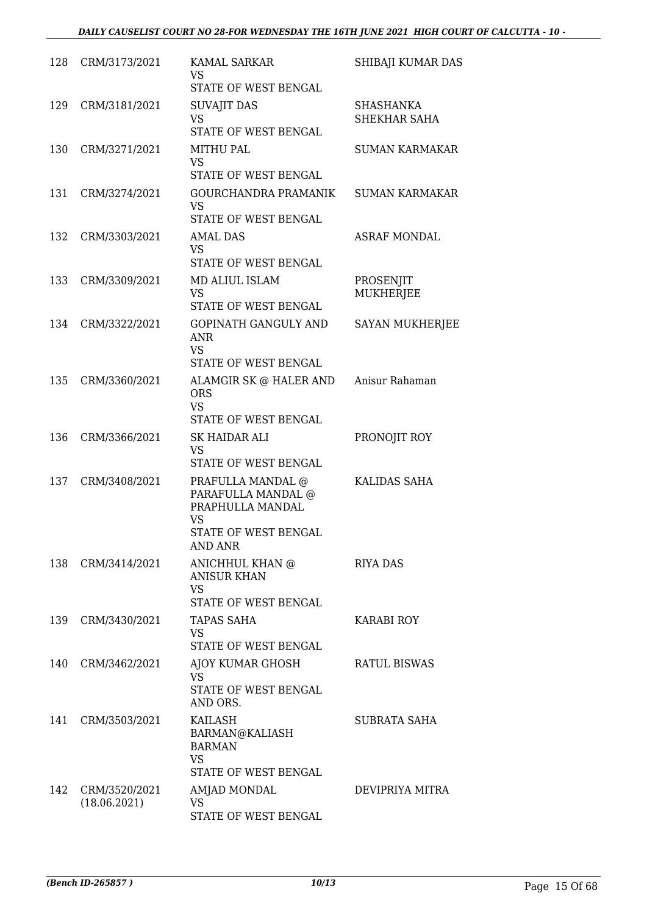| 128 | CRM/3173/2021                 | <b>KAMAL SARKAR</b><br>VS.<br>STATE OF WEST BENGAL                                                                   | SHIBAJI KUMAR DAS             |
|-----|-------------------------------|----------------------------------------------------------------------------------------------------------------------|-------------------------------|
| 129 | CRM/3181/2021                 | <b>SUVAJIT DAS</b><br><b>VS</b><br>STATE OF WEST BENGAL                                                              | SHASHANKA<br>SHEKHAR SAHA     |
| 130 | CRM/3271/2021                 | MITHU PAL<br><b>VS</b><br><b>STATE OF WEST BENGAL</b>                                                                | <b>SUMAN KARMAKAR</b>         |
| 131 | CRM/3274/2021                 | GOURCHANDRA PRAMANIK<br><b>VS</b><br>STATE OF WEST BENGAL                                                            | <b>SUMAN KARMAKAR</b>         |
| 132 | CRM/3303/2021                 | AMAL DAS<br>VS<br>STATE OF WEST BENGAL                                                                               | <b>ASRAF MONDAL</b>           |
| 133 | CRM/3309/2021                 | MD ALIUL ISLAM<br><b>VS</b><br>STATE OF WEST BENGAL                                                                  | PROSENJIT<br><b>MUKHERJEE</b> |
| 134 | CRM/3322/2021                 | <b>GOPINATH GANGULY AND</b><br>ANR<br><b>VS</b><br><b>STATE OF WEST BENGAL</b>                                       | SAYAN MUKHERJEE               |
| 135 | CRM/3360/2021                 | ALAMGIR SK @ HALER AND<br><b>ORS</b><br><b>VS</b><br>STATE OF WEST BENGAL                                            | Anisur Rahaman                |
| 136 | CRM/3366/2021                 | SK HAIDAR ALI<br><b>VS</b><br>STATE OF WEST BENGAL                                                                   | PRONOJIT ROY                  |
| 137 | CRM/3408/2021                 | PRAFULLA MANDAL $@$<br>PARAFULLA MANDAL @<br>PRAPHULLA MANDAL<br><b>VS</b><br>STATE OF WEST BENGAL<br><b>AND ANR</b> | KALIDAS SAHA                  |
| 138 | CRM/3414/2021                 | ANICHHUL KHAN @<br><b>ANISUR KHAN</b><br>VS.<br>STATE OF WEST BENGAL                                                 | <b>RIYA DAS</b>               |
| 139 | CRM/3430/2021                 | <b>TAPAS SAHA</b><br>VS<br>STATE OF WEST BENGAL                                                                      | KARABI ROY                    |
| 140 | CRM/3462/2021                 | AJOY KUMAR GHOSH<br>VS.<br>STATE OF WEST BENGAL<br>AND ORS.                                                          | <b>RATUL BISWAS</b>           |
| 141 | CRM/3503/2021                 | KAILASH<br>BARMAN@KALIASH<br><b>BARMAN</b><br><b>VS</b><br>STATE OF WEST BENGAL                                      | SUBRATA SAHA                  |
| 142 | CRM/3520/2021<br>(18.06.2021) | AMJAD MONDAL<br>VS.<br>STATE OF WEST BENGAL                                                                          | DEVIPRIYA MITRA               |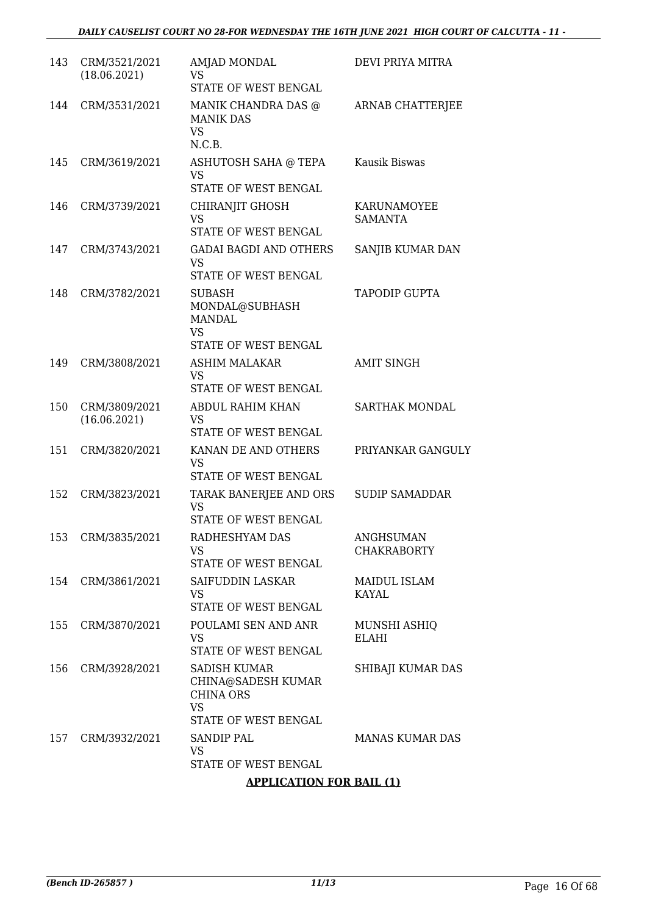| 143 | CRM/3521/2021<br>(18.06.2021) | <b>AMJAD MONDAL</b><br><b>VS</b><br>STATE OF WEST BENGAL                                           | DEVI PRIYA MITRA                       |
|-----|-------------------------------|----------------------------------------------------------------------------------------------------|----------------------------------------|
| 144 | CRM/3531/2021                 | MANIK CHANDRA DAS @<br><b>MANIK DAS</b><br><b>VS</b><br>N.C.B.                                     | <b>ARNAB CHATTERJEE</b>                |
| 145 | CRM/3619/2021                 | ASHUTOSH SAHA @ TEPA<br><b>VS</b><br>STATE OF WEST BENGAL                                          | Kausik Biswas                          |
| 146 | CRM/3739/2021                 | CHIRANJIT GHOSH<br><b>VS</b><br>STATE OF WEST BENGAL                                               | KARUNAMOYEE<br>SAMANTA                 |
| 147 | CRM/3743/2021                 | <b>GADAI BAGDI AND OTHERS</b><br><b>VS</b><br>STATE OF WEST BENGAL                                 | SANJIB KUMAR DAN                       |
| 148 | CRM/3782/2021                 | <b>SUBASH</b><br>MONDAL@SUBHASH<br><b>MANDAL</b><br><b>VS</b><br>STATE OF WEST BENGAL              | TAPODIP GUPTA                          |
| 149 | CRM/3808/2021                 | ASHIM MALAKAR<br><b>VS</b><br>STATE OF WEST BENGAL                                                 | <b>AMIT SINGH</b>                      |
| 150 | CRM/3809/2021<br>(16.06.2021) | ABDUL RAHIM KHAN<br><b>VS</b><br>STATE OF WEST BENGAL                                              | SARTHAK MONDAL                         |
| 151 | CRM/3820/2021                 | KANAN DE AND OTHERS<br><b>VS</b><br>STATE OF WEST BENGAL                                           | PRIYANKAR GANGULY                      |
| 152 | CRM/3823/2021                 | TARAK BANERJEE AND ORS<br><b>VS</b><br>STATE OF WEST BENGAL                                        | <b>SUDIP SAMADDAR</b>                  |
|     | 153 CRM/3835/2021             | RADHESHYAM DAS<br>VS<br>STATE OF WEST BENGAL                                                       | <b>ANGHSUMAN</b><br><b>CHAKRABORTY</b> |
| 154 | CRM/3861/2021                 | SAIFUDDIN LASKAR<br><b>VS</b><br>STATE OF WEST BENGAL                                              | MAIDUL ISLAM<br>KAYAL                  |
| 155 | CRM/3870/2021                 | POULAMI SEN AND ANR<br><b>VS</b><br>STATE OF WEST BENGAL                                           | MUNSHI ASHIQ<br><b>ELAHI</b>           |
| 156 | CRM/3928/2021                 | <b>SADISH KUMAR</b><br>CHINA@SADESH KUMAR<br><b>CHINA ORS</b><br><b>VS</b><br>STATE OF WEST BENGAL | SHIBAJI KUMAR DAS                      |
| 157 | CRM/3932/2021                 | SANDIP PAL<br>VS<br>STATE OF WEST BENGAL<br>$\alpha$ into $\alpha$ to $\alpha$ to $\alpha$         | <b>MANAS KUMAR DAS</b>                 |

## **APPLICATION FOR BAIL (1)**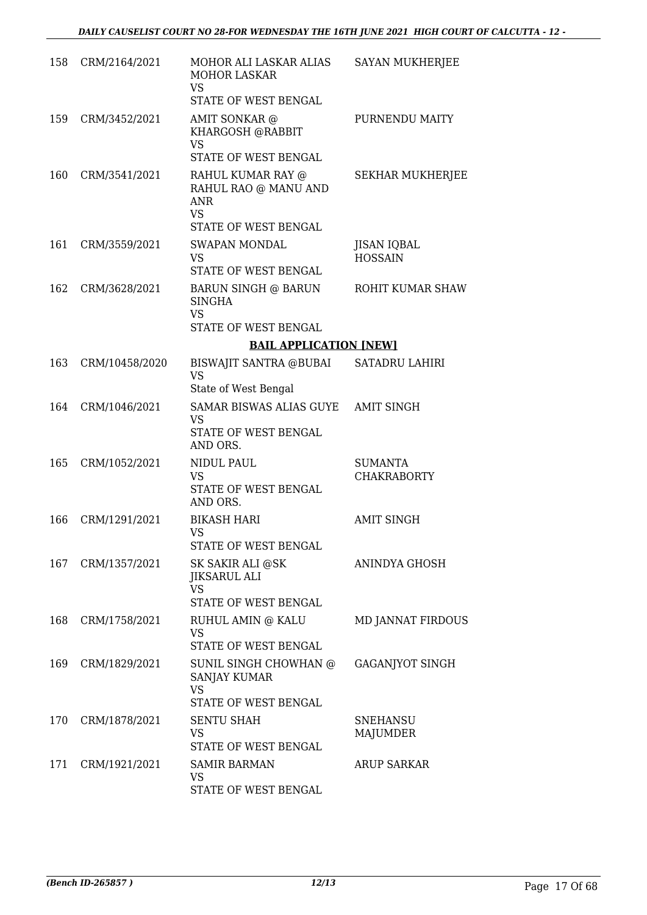| 158 | CRM/2164/2021  | MOHOR ALI LASKAR ALIAS<br><b>MOHOR LASKAR</b><br><b>VS</b><br>STATE OF WEST BENGAL           | SAYAN MUKHERJEE                      |
|-----|----------------|----------------------------------------------------------------------------------------------|--------------------------------------|
| 159 | CRM/3452/2021  | AMIT SONKAR @<br>KHARGOSH @RABBIT<br><b>VS</b>                                               | PURNENDU MAITY                       |
|     |                | STATE OF WEST BENGAL                                                                         |                                      |
| 160 | CRM/3541/2021  | RAHUL KUMAR RAY @<br>RAHUL RAO @ MANU AND<br><b>ANR</b><br><b>VS</b><br>STATE OF WEST BENGAL | <b>SEKHAR MUKHERJEE</b>              |
| 161 | CRM/3559/2021  | <b>SWAPAN MONDAL</b>                                                                         | <b>JISAN IQBAL</b>                   |
|     |                | VS<br>STATE OF WEST BENGAL                                                                   | <b>HOSSAIN</b>                       |
| 162 | CRM/3628/2021  | <b>BARUN SINGH @ BARUN</b><br><b>SINGHA</b>                                                  | ROHIT KUMAR SHAW                     |
|     |                | <b>VS</b><br>STATE OF WEST BENGAL                                                            |                                      |
|     |                | <b>BAIL APPLICATION [NEW]</b>                                                                |                                      |
| 163 | CRM/10458/2020 | BISWAJIT SANTRA @BUBAI                                                                       | <b>SATADRU LAHIRI</b>                |
|     |                | <b>VS</b><br>State of West Bengal                                                            |                                      |
| 164 | CRM/1046/2021  | SAMAR BISWAS ALIAS GUYE<br><b>VS</b>                                                         | <b>AMIT SINGH</b>                    |
|     |                | STATE OF WEST BENGAL<br>AND ORS.                                                             |                                      |
| 165 | CRM/1052/2021  | NIDUL PAUL<br><b>VS</b>                                                                      | <b>SUMANTA</b><br><b>CHAKRABORTY</b> |
|     |                | STATE OF WEST BENGAL<br>AND ORS.                                                             |                                      |
| 166 | CRM/1291/2021  | <b>BIKASH HARI</b><br><b>VS</b>                                                              | <b>AMIT SINGH</b>                    |
|     |                | STATE OF WEST BENGAL                                                                         |                                      |
| 167 | CRM/1357/2021  | SK SAKIR ALI @SK<br><b>JIKSARUL ALI</b><br><b>VS</b>                                         | ANINDYA GHOSH                        |
|     |                | STATE OF WEST BENGAL                                                                         |                                      |
| 168 | CRM/1758/2021  | RUHUL AMIN @ KALU<br><b>VS</b><br>STATE OF WEST BENGAL                                       | <b>MD JANNAT FIRDOUS</b>             |
| 169 | CRM/1829/2021  | SUNIL SINGH CHOWHAN @<br><b>SANJAY KUMAR</b>                                                 | GAGANJYOT SINGH                      |
|     |                | <b>VS</b><br>STATE OF WEST BENGAL                                                            |                                      |
| 170 | CRM/1878/2021  | <b>SENTU SHAH</b>                                                                            | <b>SNEHANSU</b>                      |
|     |                | VS<br>STATE OF WEST BENGAL                                                                   | MAJUMDER                             |
| 171 | CRM/1921/2021  | <b>SAMIR BARMAN</b>                                                                          | <b>ARUP SARKAR</b>                   |
|     |                | <b>VS</b><br>STATE OF WEST BENGAL                                                            |                                      |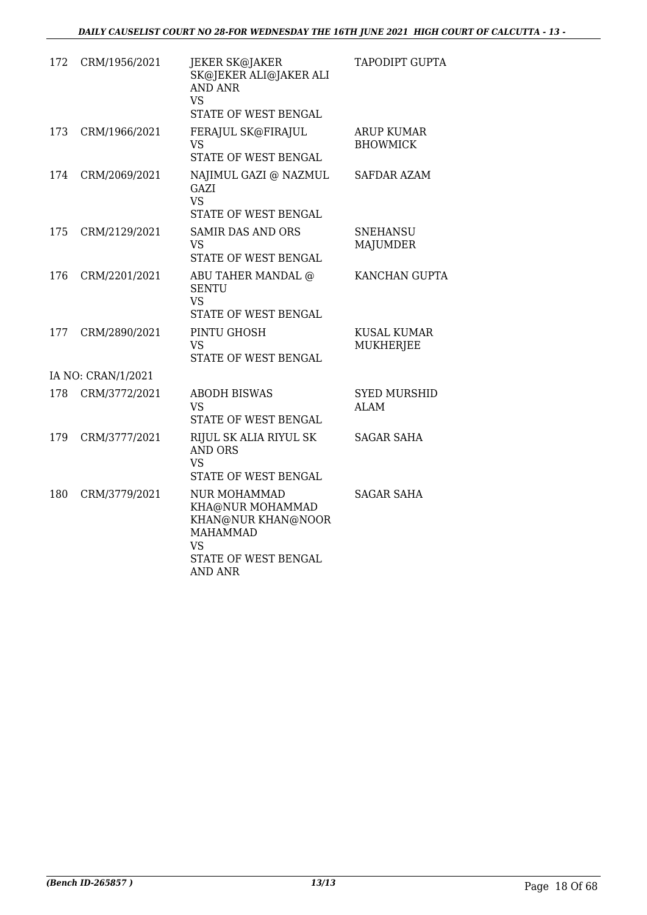| 172 | CRM/1956/2021      | JEKER SK@JAKER<br>SK@JEKER ALI@JAKER ALI<br><b>AND ANR</b><br>VS<br>STATE OF WEST BENGAL                                         | TAPODIPT GUPTA                       |
|-----|--------------------|----------------------------------------------------------------------------------------------------------------------------------|--------------------------------------|
| 173 | CRM/1966/2021      | FERAJUL SK@FIRAJUL<br>VS<br>STATE OF WEST BENGAL                                                                                 | <b>ARUP KUMAR</b><br><b>BHOWMICK</b> |
| 174 | CRM/2069/2021      | NAJIMUL GAZI @ NAZMUL<br>GAZI<br>VS.<br>STATE OF WEST BENGAL                                                                     | SAFDAR AZAM                          |
| 175 | CRM/2129/2021      | <b>SAMIR DAS AND ORS</b><br>VS<br>STATE OF WEST BENGAL                                                                           | <b>SNEHANSU</b><br><b>MAJUMDER</b>   |
| 176 | CRM/2201/2021      | ABU TAHER MANDAL @<br><b>SENTU</b><br>VS<br><b>STATE OF WEST BENGAL</b>                                                          | KANCHAN GUPTA                        |
| 177 | CRM/2890/2021      | PINTU GHOSH<br>VS<br>STATE OF WEST BENGAL                                                                                        | <b>KUSAL KUMAR</b><br>MUKHERJEE      |
|     | IA NO: CRAN/1/2021 |                                                                                                                                  |                                      |
| 178 | CRM/3772/2021      | <b>ABODH BISWAS</b><br>V <sub>S</sub><br>STATE OF WEST BENGAL                                                                    | <b>SYED MURSHID</b><br><b>ALAM</b>   |
| 179 | CRM/3777/2021      | RIJUL SK ALIA RIYUL SK<br><b>AND ORS</b><br><b>VS</b><br>STATE OF WEST BENGAL                                                    | <b>SAGAR SAHA</b>                    |
| 180 | CRM/3779/2021      | <b>NUR MOHAMMAD</b><br>KHA@NUR MOHAMMAD<br>KHAN@NUR KHAN@NOOR<br><b>MAHAMMAD</b><br>VS<br>STATE OF WEST BENGAL<br><b>AND ANR</b> | <b>SAGAR SAHA</b>                    |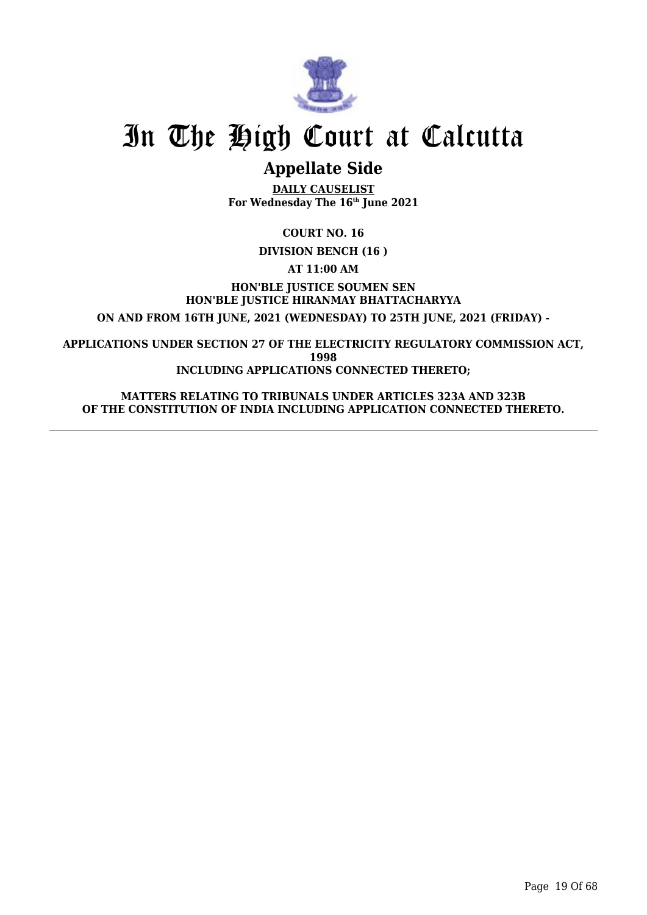

# **Appellate Side**

**DAILY CAUSELIST For Wednesday The 16th June 2021**

**COURT NO. 16**

**DIVISION BENCH (16 )**

**AT 11:00 AM**

**HON'BLE JUSTICE SOUMEN SEN HON'BLE JUSTICE HIRANMAY BHATTACHARYYA ON AND FROM 16TH JUNE, 2021 (WEDNESDAY) TO 25TH JUNE, 2021 (FRIDAY) -**

**APPLICATIONS UNDER SECTION 27 OF THE ELECTRICITY REGULATORY COMMISSION ACT, 1998 INCLUDING APPLICATIONS CONNECTED THERETO;**

**MATTERS RELATING TO TRIBUNALS UNDER ARTICLES 323A AND 323B OF THE CONSTITUTION OF INDIA INCLUDING APPLICATION CONNECTED THERETO.**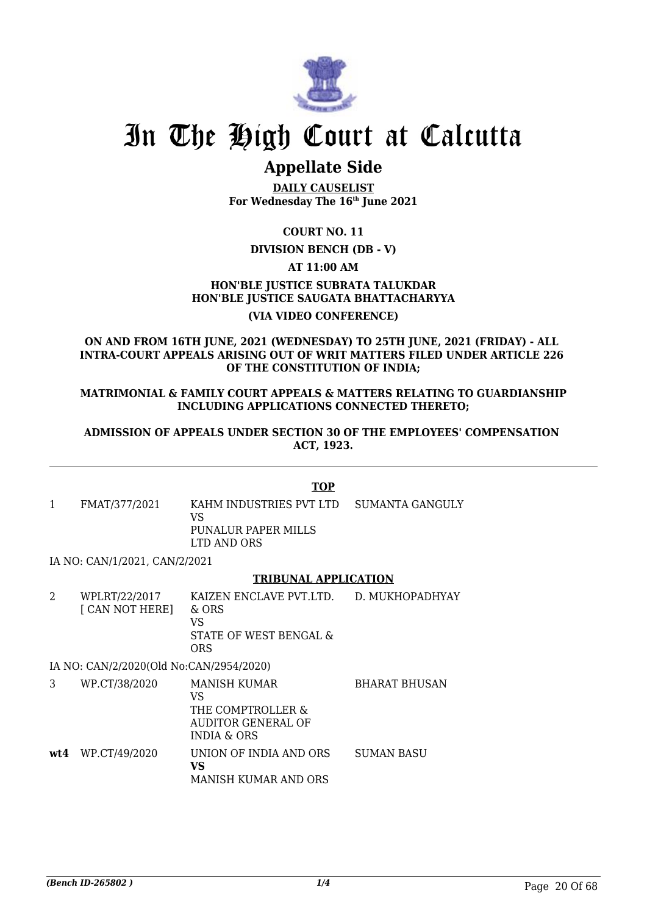

# **Appellate Side**

**DAILY CAUSELIST For Wednesday The 16th June 2021**

## **COURT NO. 11**

## **DIVISION BENCH (DB - V)**

## **AT 11:00 AM**

# **HON'BLE JUSTICE SUBRATA TALUKDAR HON'BLE JUSTICE SAUGATA BHATTACHARYYA**

# **(VIA VIDEO CONFERENCE)**

#### **ON AND FROM 16TH JUNE, 2021 (WEDNESDAY) TO 25TH JUNE, 2021 (FRIDAY) - ALL INTRA-COURT APPEALS ARISING OUT OF WRIT MATTERS FILED UNDER ARTICLE 226 OF THE CONSTITUTION OF INDIA;**

#### **MATRIMONIAL & FAMILY COURT APPEALS & MATTERS RELATING TO GUARDIANSHIP INCLUDING APPLICATIONS CONNECTED THERETO;**

#### **ADMISSION OF APPEALS UNDER SECTION 30 OF THE EMPLOYEES' COMPENSATION ACT, 1923.**

### **TOP**

1 FMAT/377/2021 KAHM INDUSTRIES PVT LTD VS PUNALUR PAPER MILLS LTD AND ORS SUMANTA GANGULY

IA NO: CAN/1/2021, CAN/2/2021

## **TRIBUNAL APPLICATION**

2 WPLRT/22/2017 [ CAN NOT HERE] KAIZEN ENCLAVE PVT.LTD. & ORS VS STATE OF WEST BENGAL & ORS D. MUKHOPADHYAY IA NO: CAN/2/2020(Old No:CAN/2954/2020)

3 WP.CT/38/2020 MANISH KUMAR VS THE COMPTROLLER & AUDITOR GENERAL OF INDIA & ORS BHARAT BHUSAN **wt4** WP.CT/49/2020 UNION OF INDIA AND ORS **VS** MANISH KUMAR AND ORS SUMAN BASU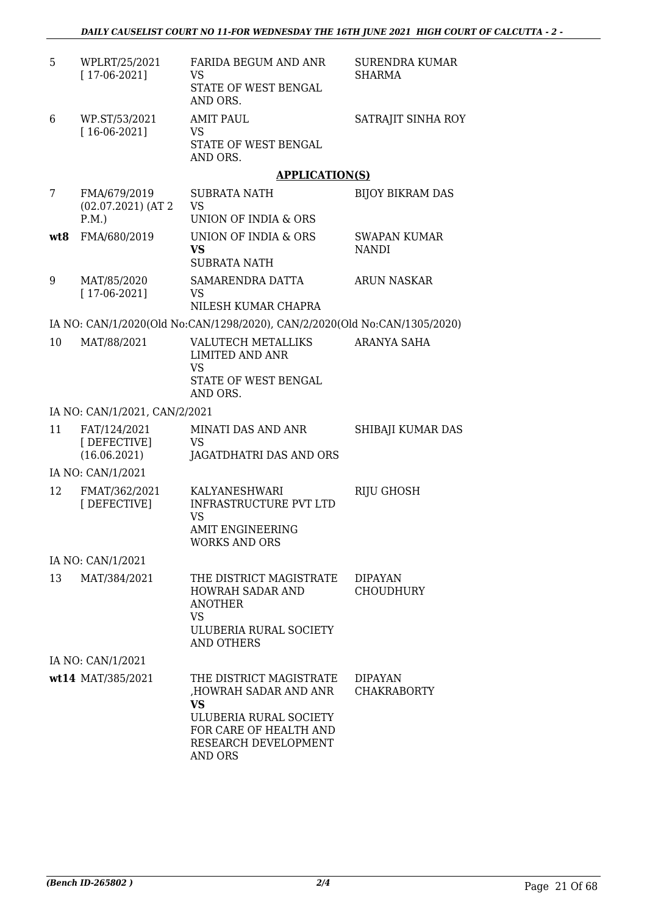| 5   | WPLRT/25/2021<br>$[17-06-2021]$               | <b>FARIDA BEGUM AND ANR</b><br>VS<br>STATE OF WEST BENGAL<br>AND ORS.                                                     | SURENDRA KUMAR<br>SHARMA            |
|-----|-----------------------------------------------|---------------------------------------------------------------------------------------------------------------------------|-------------------------------------|
| 6   | WP.ST/53/2021<br>$[16-06-2021]$               | <b>AMIT PAUL</b><br>VS<br>STATE OF WEST BENGAL<br>AND ORS.                                                                | SATRAJIT SINHA ROY                  |
|     |                                               | <b>APPLICATION(S)</b>                                                                                                     |                                     |
| 7   | FMA/679/2019<br>$(02.07.2021)$ (AT 2)<br>P.M. | SUBRATA NATH<br><b>VS</b><br>UNION OF INDIA & ORS                                                                         | <b>BIJOY BIKRAM DAS</b>             |
| wt8 | FMA/680/2019                                  | UNION OF INDIA & ORS<br><b>VS</b><br><b>SUBRATA NATH</b>                                                                  | <b>SWAPAN KUMAR</b><br><b>NANDI</b> |
| 9   | MAT/85/2020<br>$[17-06-2021]$                 | SAMARENDRA DATTA<br>VS<br>NILESH KUMAR CHAPRA                                                                             | <b>ARUN NASKAR</b>                  |
|     |                                               | IA NO: CAN/1/2020(Old No:CAN/1298/2020), CAN/2/2020(Old No:CAN/1305/2020)                                                 |                                     |
| 10  | MAT/88/2021                                   | <b>VALUTECH METALLIKS</b><br><b>LIMITED AND ANR</b><br><b>VS</b><br>STATE OF WEST BENGAL<br>AND ORS.                      | ARANYA SAHA                         |
|     | IA NO: CAN/1/2021, CAN/2/2021                 |                                                                                                                           |                                     |
| 11  | FAT/124/2021                                  | MINATI DAS AND ANR                                                                                                        | SHIBAJI KUMAR DAS                   |
|     | [DEFECTIVE]<br>(16.06.2021)                   | <b>VS</b><br>JAGATDHATRI DAS AND ORS                                                                                      |                                     |
|     | IA NO: CAN/1/2021                             |                                                                                                                           |                                     |
| 12  | FMAT/362/2021<br>[DEFECTIVE]                  | KALYANESHWARI<br><b>INFRASTRUCTURE PVT LTD</b><br><b>VS</b><br><b>AMIT ENGINEERING</b><br><b>WORKS AND ORS</b>            | RIJU GHOSH                          |
|     | IA NO: CAN/1/2021                             |                                                                                                                           |                                     |
| 13  | MAT/384/2021                                  | THE DISTRICT MAGISTRATE<br>HOWRAH SADAR AND<br><b>ANOTHER</b><br><b>VS</b><br>ULUBERIA RURAL SOCIETY<br><b>AND OTHERS</b> | <b>DIPAYAN</b><br><b>CHOUDHURY</b>  |
|     | IA NO: CAN/1/2021                             |                                                                                                                           |                                     |
|     | wt14 MAT/385/2021                             | THE DISTRICT MAGISTRATE                                                                                                   | <b>DIPAYAN</b>                      |
|     |                                               | HOWRAH SADAR AND ANR<br><b>VS</b><br>ULUBERIA RURAL SOCIETY                                                               | <b>CHAKRABORTY</b>                  |
|     |                                               | FOR CARE OF HEALTH AND<br>RESEARCH DEVELOPMENT<br><b>AND ORS</b>                                                          |                                     |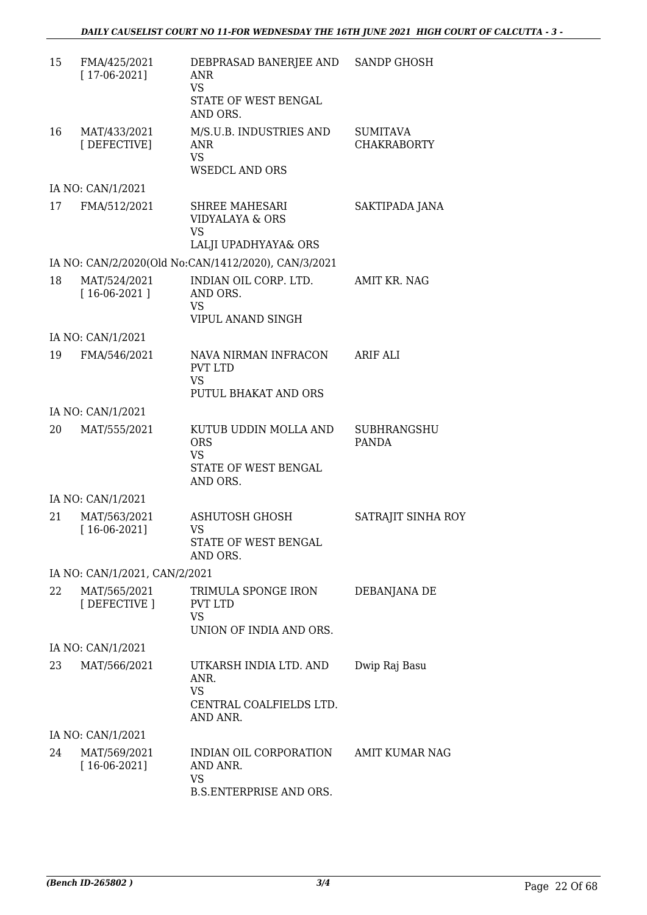| 15 | FMA/425/2021<br>$[17-06-2021]$ | DEBPRASAD BANERJEE AND<br><b>ANR</b><br><b>VS</b><br>STATE OF WEST BENGAL<br>AND ORS. | <b>SANDP GHOSH</b>                    |
|----|--------------------------------|---------------------------------------------------------------------------------------|---------------------------------------|
| 16 | MAT/433/2021<br>[DEFECTIVE]    | M/S.U.B. INDUSTRIES AND<br>ANR<br><b>VS</b><br><b>WSEDCL AND ORS</b>                  | <b>SUMITAVA</b><br><b>CHAKRABORTY</b> |
|    | IA NO: CAN/1/2021              |                                                                                       |                                       |
| 17 | FMA/512/2021                   | SHREE MAHESARI<br>VIDYALAYA & ORS<br><b>VS</b><br>LALJI UPADHYAYA& ORS                | SAKTIPADA JANA                        |
|    |                                | IA NO: CAN/2/2020(Old No:CAN/1412/2020), CAN/3/2021                                   |                                       |
| 18 | MAT/524/2021<br>$[16-06-2021]$ | INDIAN OIL CORP. LTD.<br>AND ORS.<br><b>VS</b><br>VIPUL ANAND SINGH                   | AMIT KR. NAG                          |
|    | IA NO: CAN/1/2021              |                                                                                       |                                       |
| 19 | FMA/546/2021                   | NAVA NIRMAN INFRACON<br><b>PVT LTD</b><br>VS<br>PUTUL BHAKAT AND ORS                  | <b>ARIF ALI</b>                       |
|    | IA NO: CAN/1/2021              |                                                                                       |                                       |
| 20 | MAT/555/2021                   | KUTUB UDDIN MOLLA AND<br><b>ORS</b><br><b>VS</b><br>STATE OF WEST BENGAL<br>AND ORS.  | <b>SUBHRANGSHU</b><br>PANDA           |
|    | IA NO: CAN/1/2021              |                                                                                       |                                       |
| 21 | MAT/563/2021<br>$[16-06-2021]$ | <b>ASHUTOSH GHOSH</b><br>VS<br>STATE OF WEST BENGAL<br>AND ORS.                       | SATRAJIT SINHA ROY                    |
|    | IA NO: CAN/1/2021, CAN/2/2021  |                                                                                       |                                       |
| 22 | MAT/565/2021<br>[DEFECTIVE ]   | TRIMULA SPONGE IRON<br><b>PVT LTD</b><br><b>VS</b><br>UNION OF INDIA AND ORS.         | DEBANJANA DE                          |
|    | IA NO: CAN/1/2021              |                                                                                       |                                       |
| 23 | MAT/566/2021                   | UTKARSH INDIA LTD. AND<br>ANR.<br><b>VS</b><br>CENTRAL COALFIELDS LTD.<br>AND ANR.    | Dwip Raj Basu                         |
|    | IA NO: CAN/1/2021              |                                                                                       |                                       |
| 24 | MAT/569/2021<br>$[16-06-2021]$ | INDIAN OIL CORPORATION<br>AND ANR.<br><b>VS</b><br><b>B.S.ENTERPRISE AND ORS.</b>     | <b>AMIT KUMAR NAG</b>                 |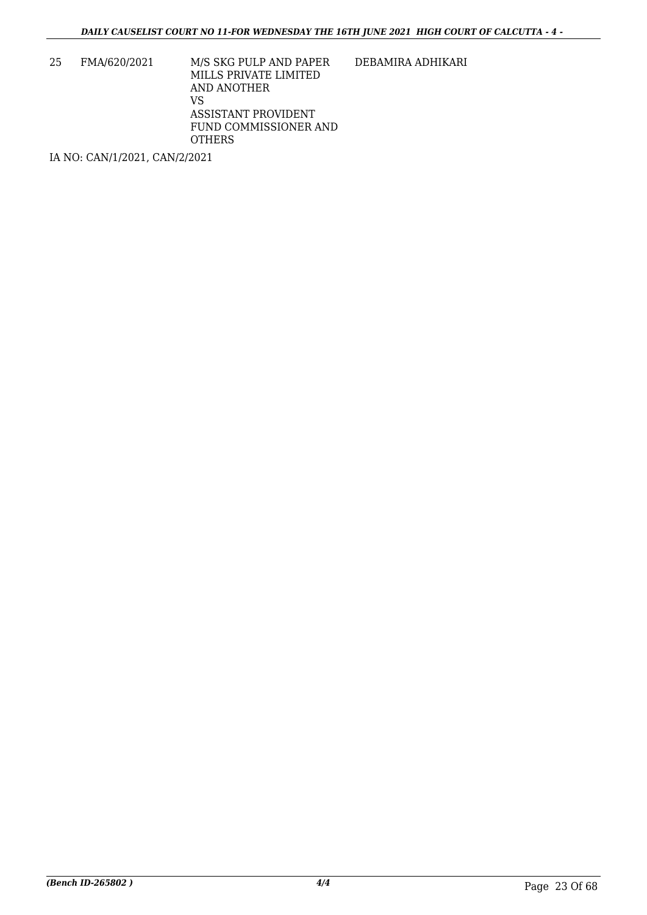25 FMA/620/2021 M/S SKG PULP AND PAPER MILLS PRIVATE LIMITED AND ANOTHER VS ASSISTANT PROVIDENT FUND COMMISSIONER AND **OTHERS** 

DEBAMIRA ADHIKARI

IA NO: CAN/1/2021, CAN/2/2021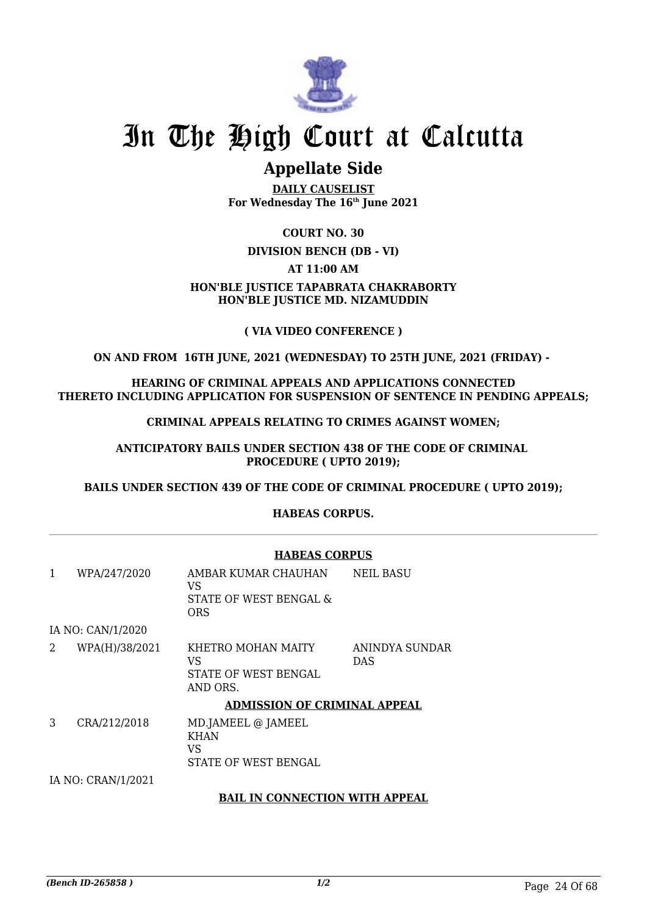

# **Appellate Side**

**DAILY CAUSELIST For Wednesday The 16th June 2021**

# **COURT NO. 30**

### **DIVISION BENCH (DB - VI)**

## **AT 11:00 AM**

### **HON'BLE JUSTICE TAPABRATA CHAKRABORTY HON'BLE JUSTICE MD. NIZAMUDDIN**

## **( VIA VIDEO CONFERENCE )**

## **ON AND FROM 16TH JUNE, 2021 (WEDNESDAY) TO 25TH JUNE, 2021 (FRIDAY) -**

**HEARING OF CRIMINAL APPEALS AND APPLICATIONS CONNECTED THERETO INCLUDING APPLICATION FOR SUSPENSION OF SENTENCE IN PENDING APPEALS;**

**CRIMINAL APPEALS RELATING TO CRIMES AGAINST WOMEN;**

**ANTICIPATORY BAILS UNDER SECTION 438 OF THE CODE OF CRIMINAL PROCEDURE ( UPTO 2019);**

**BAILS UNDER SECTION 439 OF THE CODE OF CRIMINAL PROCEDURE ( UPTO 2019);**

## **HABEAS CORPUS.**

|   |                                       | <b>HABEAS CORPUS</b>                                               |                              |  |
|---|---------------------------------------|--------------------------------------------------------------------|------------------------------|--|
| 1 | WPA/247/2020                          | AMBAR KUMAR CHAUHAN<br>VS.<br>STATE OF WEST BENGAL &<br><b>ORS</b> | <b>NEIL BASU</b>             |  |
|   | IA NO: CAN/1/2020                     |                                                                    |                              |  |
| 2 | WPA(H)/38/2021                        | KHETRO MOHAN MAITY<br>VS<br>STATE OF WEST BENGAL<br>AND ORS.       | ANINDYA SUNDAR<br><b>DAS</b> |  |
|   |                                       | <b>ADMISSION OF CRIMINAL APPEAL</b>                                |                              |  |
| 3 | CRA/212/2018                          | MD.JAMEEL @ JAMEEL<br><b>KHAN</b><br>VS<br>STATE OF WEST BENGAL    |                              |  |
|   | IA NO: CRAN/1/2021                    |                                                                    |                              |  |
|   | <b>BAIL IN CONNECTION WITH APPEAL</b> |                                                                    |                              |  |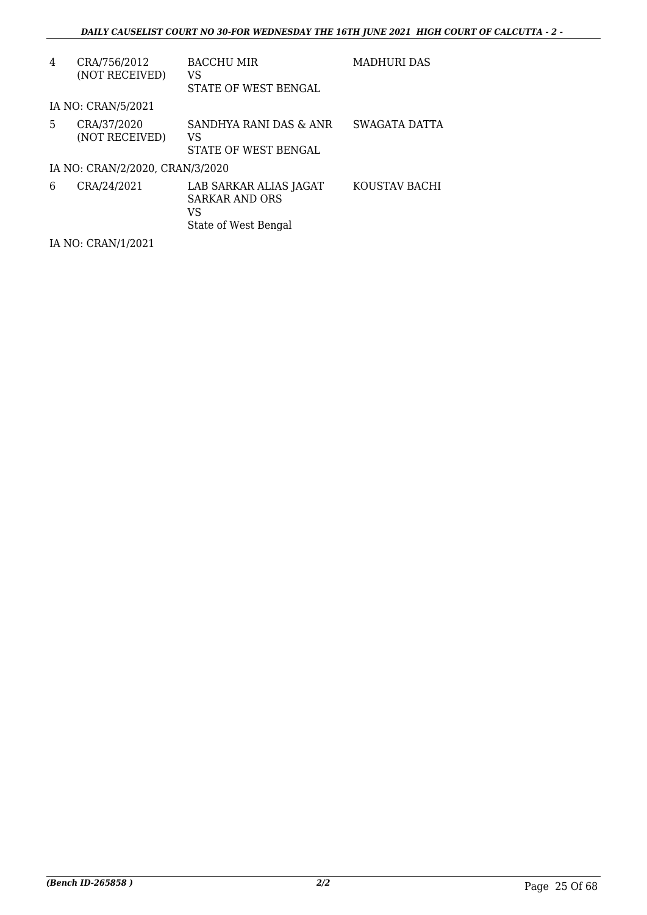| 4  | CRA/756/2012<br>(NOT RECEIVED)  | <b>BACCHU MIR</b><br>VS<br>STATE OF WEST BENGAL                               | <b>MADHURI DAS</b> |
|----|---------------------------------|-------------------------------------------------------------------------------|--------------------|
|    | IA NO: CRAN/5/2021              |                                                                               |                    |
| 5. | CRA/37/2020<br>(NOT RECEIVED)   | SANDHYA RANI DAS & ANR<br>VS<br>STATE OF WEST BENGAL                          | SWAGATA DATTA      |
|    | IA NO: CRAN/2/2020, CRAN/3/2020 |                                                                               |                    |
| 6  | CRA/24/2021                     | LAB SARKAR ALIAS JAGAT<br><b>SARKAR AND ORS</b><br>VS<br>State of West Bengal | KOUSTAV BACHI      |

IA NO: CRAN/1/2021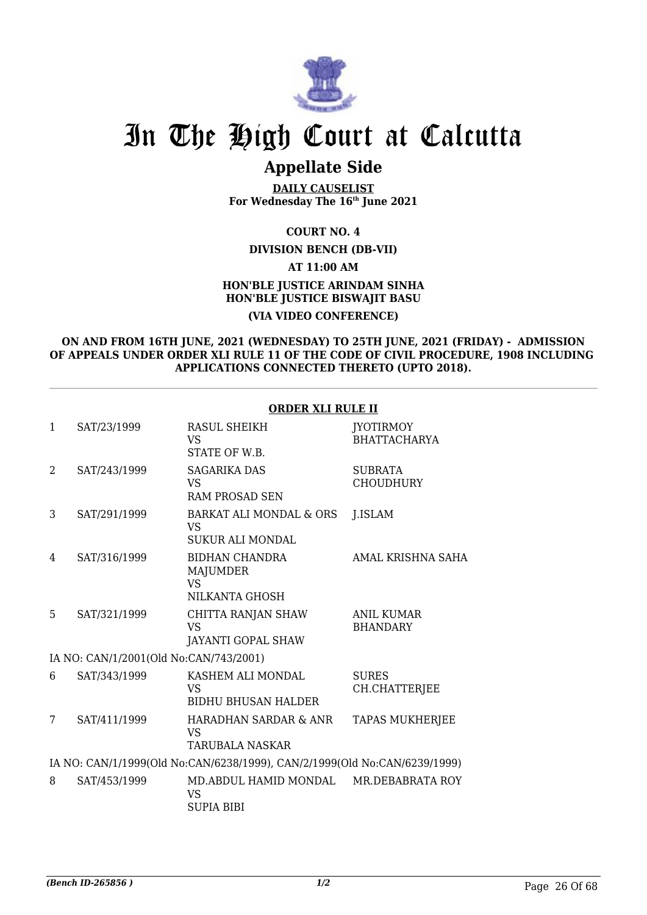

# **Appellate Side**

**DAILY CAUSELIST For Wednesday The 16th June 2021**

## **COURT NO. 4**

### **DIVISION BENCH (DB-VII)**

#### **AT 11:00 AM**

## **HON'BLE JUSTICE ARINDAM SINHA HON'BLE JUSTICE BISWAJIT BASU (VIA VIDEO CONFERENCE)**

#### **ON AND FROM 16TH JUNE, 2021 (WEDNESDAY) TO 25TH JUNE, 2021 (FRIDAY) - ADMISSION OF APPEALS UNDER ORDER XLI RULE 11 OF THE CODE OF CIVIL PROCEDURE, 1908 INCLUDING APPLICATIONS CONNECTED THERETO (UPTO 2018).**

### **ORDER XLI RULE II**

| $\mathbf{1}$ | SAT/23/1999                            | RASUL SHEIKH<br><b>VS</b><br>STATE OF W.B.                                | <b>JYOTIRMOY</b><br><b>BHATTACHARYA</b> |
|--------------|----------------------------------------|---------------------------------------------------------------------------|-----------------------------------------|
| 2            | SAT/243/1999                           | <b>SAGARIKA DAS</b><br><b>VS</b><br><b>RAM PROSAD SEN</b>                 | <b>SUBRATA</b><br><b>CHOUDHURY</b>      |
| 3            | SAT/291/1999                           | BARKAT ALI MONDAL & ORS<br>VS<br><b>SUKUR ALI MONDAL</b>                  | <b>J.ISLAM</b>                          |
| 4            | SAT/316/1999                           | <b>BIDHAN CHANDRA</b><br>MAJUMDER<br><b>VS</b><br>NILKANTA GHOSH          | AMAL KRISHNA SAHA                       |
| 5            | SAT/321/1999                           | CHITTA RANJAN SHAW<br><b>VS</b><br>JAYANTI GOPAL SHAW                     | <b>ANIL KUMAR</b><br><b>BHANDARY</b>    |
|              | IA NO: CAN/1/2001(Old No:CAN/743/2001) |                                                                           |                                         |
| 6            | SAT/343/1999                           | KASHEM ALI MONDAL<br><b>VS</b><br><b>BIDHU BHUSAN HALDER</b>              | <b>SURES</b><br>CH.CHATTERJEE           |
| 7            | SAT/411/1999                           | HARADHAN SARDAR & ANR<br>VS.<br><b>TARUBALA NASKAR</b>                    | <b>TAPAS MUKHERJEE</b>                  |
|              |                                        | IA NO: CAN/1/1999(Old No:CAN/6238/1999), CAN/2/1999(Old No:CAN/6239/1999) |                                         |
| 8            | SAT/453/1999                           | MD.ABDUL HAMID MONDAL<br><b>VS</b><br><b>SUPIA BIBI</b>                   | MR.DEBABRATA ROY                        |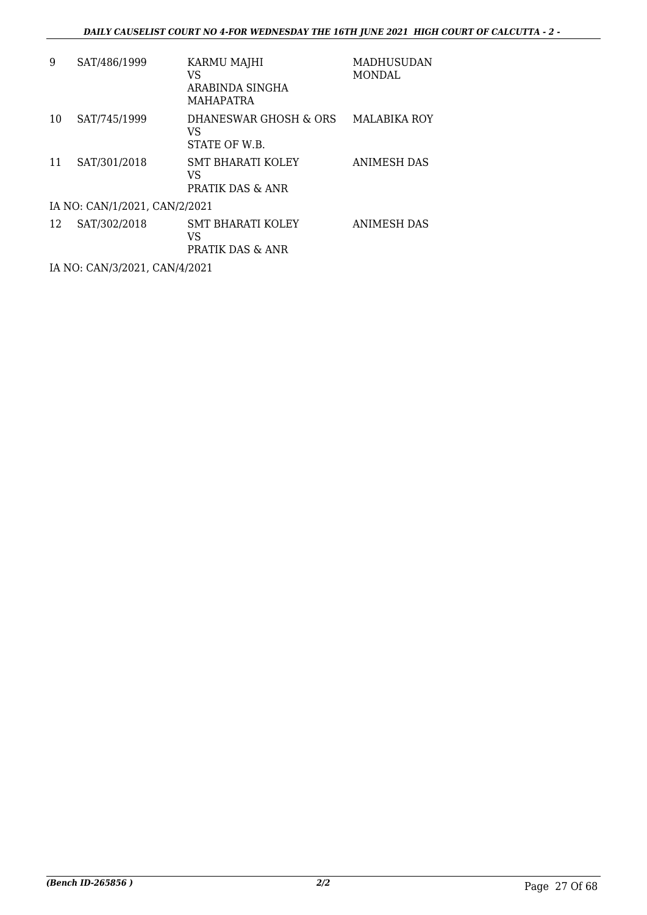| 9  | SAT/486/1999                  | KARMU MAJHI<br>VS<br>ARABINDA SINGHA<br><b>MAHAPATRA</b>      | MADHUSUDAN<br><b>MONDAL</b> |  |  |  |
|----|-------------------------------|---------------------------------------------------------------|-----------------------------|--|--|--|
| 10 | SAT/745/1999                  | DHANESWAR GHOSH & ORS<br>VS<br>STATE OF W.B.                  | <b>MALABIKA ROY</b>         |  |  |  |
| 11 | SAT/301/2018                  | <b>SMT BHARATI KOLEY</b><br>VS<br><b>PRATIK DAS &amp; ANR</b> | ANIMESH DAS                 |  |  |  |
|    | IA NO: CAN/1/2021, CAN/2/2021 |                                                               |                             |  |  |  |
| 12 | SAT/302/2018                  | <b>SMT BHARATI KOLEY</b><br>VS<br><b>PRATIK DAS &amp; ANR</b> | ANIMESH DAS                 |  |  |  |

IA NO: CAN/3/2021, CAN/4/2021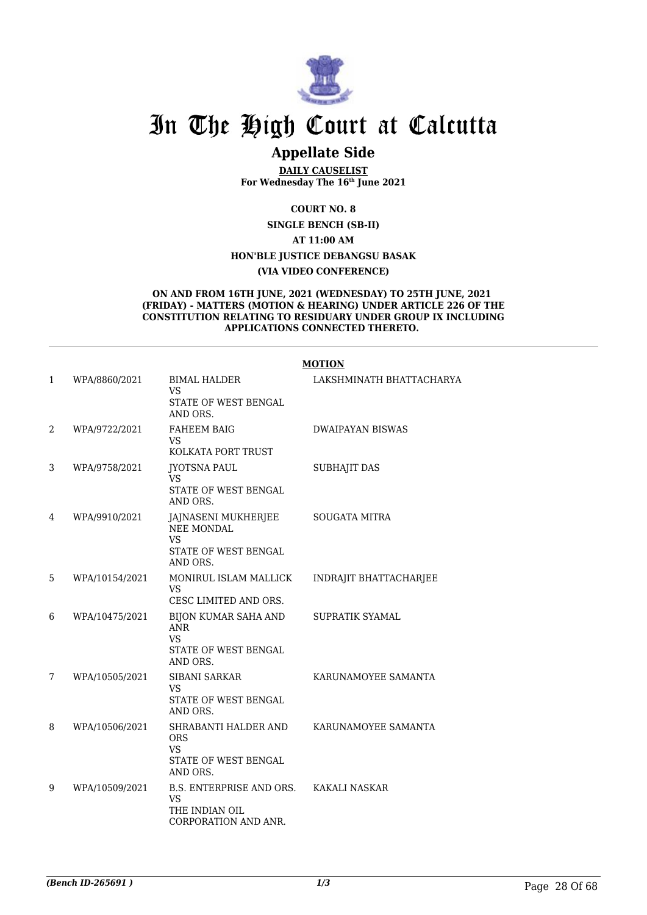

# **Appellate Side**

**DAILY CAUSELIST For Wednesday The 16th June 2021**

**COURT NO. 8**

**SINGLE BENCH (SB-II)**

**AT 11:00 AM**

**HON'BLE JUSTICE DEBANGSU BASAK**

#### **(VIA VIDEO CONFERENCE)**

#### **ON AND FROM 16TH JUNE, 2021 (WEDNESDAY) TO 25TH JUNE, 2021 (FRIDAY) - MATTERS (MOTION & HEARING) UNDER ARTICLE 226 OF THE CONSTITUTION RELATING TO RESIDUARY UNDER GROUP IX INCLUDING APPLICATIONS CONNECTED THERETO.**

|              |                |                                                                                 | <b>MOTION</b>            |
|--------------|----------------|---------------------------------------------------------------------------------|--------------------------|
| $\mathbf{1}$ | WPA/8860/2021  | <b>BIMAL HALDER</b><br>VS<br>STATE OF WEST BENGAL                               | LAKSHMINATH BHATTACHARYA |
|              |                | AND ORS.                                                                        |                          |
| 2            | WPA/9722/2021  | <b>FAHEEM BAIG</b><br>VS<br>KOLKATA PORT TRUST                                  | <b>DWAIPAYAN BISWAS</b>  |
| 3            |                |                                                                                 |                          |
|              | WPA/9758/2021  | <b>JYOTSNA PAUL</b><br>VS                                                       | <b>SUBHAJIT DAS</b>      |
|              |                | <b>STATE OF WEST BENGAL</b><br>AND ORS.                                         |                          |
| 4            | WPA/9910/2021  | JAJNASENI MUKHERJEE<br>NEE MONDAL                                               | <b>SOUGATA MITRA</b>     |
|              |                | <b>VS</b><br><b>STATE OF WEST BENGAL</b><br>AND ORS.                            |                          |
| 5            | WPA/10154/2021 | MONIRUL ISLAM MALLICK<br><b>VS</b>                                              | INDRAJIT BHATTACHARJEE   |
|              |                | CESC LIMITED AND ORS.                                                           |                          |
| 6            | WPA/10475/2021 | BIJON KUMAR SAHA AND<br><b>ANR</b><br>VS                                        | SUPRATIK SYAMAL          |
|              |                | <b>STATE OF WEST BENGAL</b><br>AND ORS.                                         |                          |
| 7            | WPA/10505/2021 | <b>SIBANI SARKAR</b><br>VS                                                      | KARUNAMOYEE SAMANTA      |
|              |                | <b>STATE OF WEST BENGAL</b><br>AND ORS.                                         |                          |
| 8            | WPA/10506/2021 | SHRABANTI HALDER AND<br><b>ORS</b><br>VS                                        | KARUNAMOYEE SAMANTA      |
|              |                | STATE OF WEST BENGAL<br>AND ORS.                                                |                          |
| 9            | WPA/10509/2021 | B.S. ENTERPRISE AND ORS.<br><b>VS</b><br>THE INDIAN OIL<br>CORPORATION AND ANR. | KAKALI NASKAR            |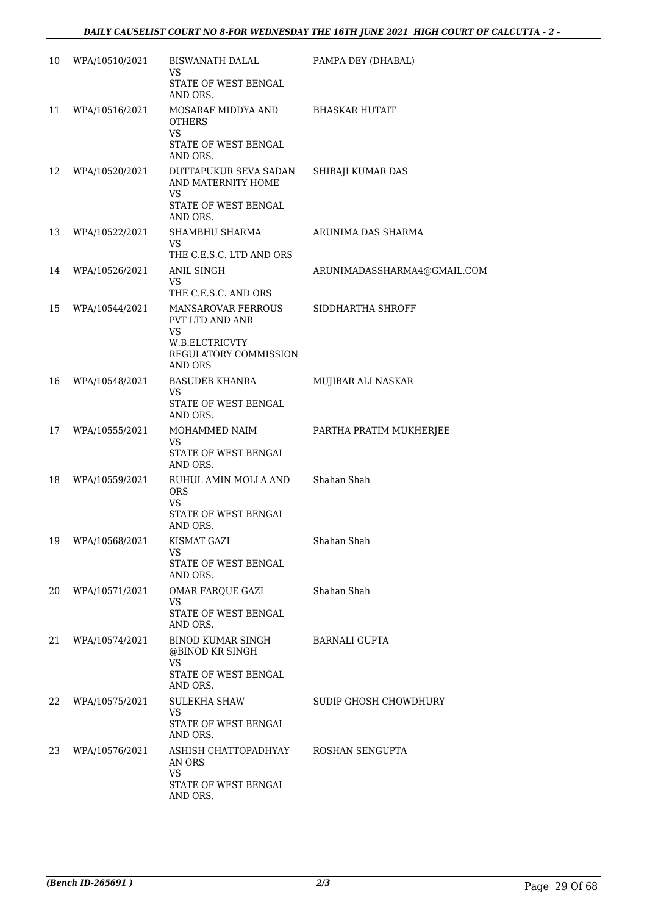| 10 | WPA/10510/2021    | BISWANATH DALAL<br>VS<br>STATE OF WEST BENGAL<br>AND ORS.                                    | PAMPA DEY (DHABAL)          |
|----|-------------------|----------------------------------------------------------------------------------------------|-----------------------------|
| 11 | WPA/10516/2021    | MOSARAF MIDDYA AND<br><b>OTHERS</b><br><b>VS</b><br>STATE OF WEST BENGAL                     | BHASKAR HUTAIT              |
| 12 | WPA/10520/2021    | AND ORS.<br>DUTTAPUKUR SEVA SADAN<br>AND MATERNITY HOME<br><b>VS</b><br>STATE OF WEST BENGAL | SHIBAJI KUMAR DAS           |
| 13 | WPA/10522/2021    | AND ORS.<br>SHAMBHU SHARMA<br>VS<br>THE C.E.S.C. LTD AND ORS                                 | ARUNIMA DAS SHARMA          |
| 14 | WPA/10526/2021    | ANIL SINGH<br>VS<br>THE C.E.S.C. AND ORS                                                     | ARUNIMADASSHARMA4@GMAIL.COM |
| 15 | WPA/10544/2021    | MANSAROVAR FERROUS<br>PVT LTD AND ANR<br><b>VS</b>                                           | SIDDHARTHA SHROFF           |
|    |                   | W.B.ELCTRICVTY<br><b>REGULATORY COMMISSION</b><br><b>AND ORS</b>                             |                             |
| 16 | WPA/10548/2021    | BASUDEB KHANRA<br>VS<br>STATE OF WEST BENGAL<br>AND ORS.                                     | MUJIBAR ALI NASKAR          |
| 17 | WPA/10555/2021    | MOHAMMED NAIM<br>VS<br>STATE OF WEST BENGAL                                                  | PARTHA PRATIM MUKHERJEE     |
| 18 | WPA/10559/2021    | AND ORS.<br>RUHUL AMIN MOLLA AND<br><b>ORS</b><br>VS<br>STATE OF WEST BENGAL<br>AND ORS.     | Shahan Shah                 |
|    | 19 WPA/10568/2021 | KISMAT GAZI<br>VS<br>STATE OF WEST BENGAL                                                    | Shahan Shah                 |
| 20 | WPA/10571/2021    | AND ORS.<br>OMAR FARQUE GAZI<br>VS<br>STATE OF WEST BENGAL                                   | Shahan Shah                 |
| 21 | WPA/10574/2021    | AND ORS.<br>BINOD KUMAR SINGH<br>@BINOD KR SINGH<br><b>VS</b>                                | BARNALI GUPTA               |
| 22 | WPA/10575/2021    | STATE OF WEST BENGAL<br>AND ORS.<br>SULEKHA SHAW<br>VS<br>STATE OF WEST BENGAL               | SUDIP GHOSH CHOWDHURY       |
| 23 | WPA/10576/2021    | AND ORS.<br>ASHISH CHATTOPADHYAY<br>AN ORS<br><b>VS</b><br>STATE OF WEST BENGAL<br>AND ORS.  | ROSHAN SENGUPTA             |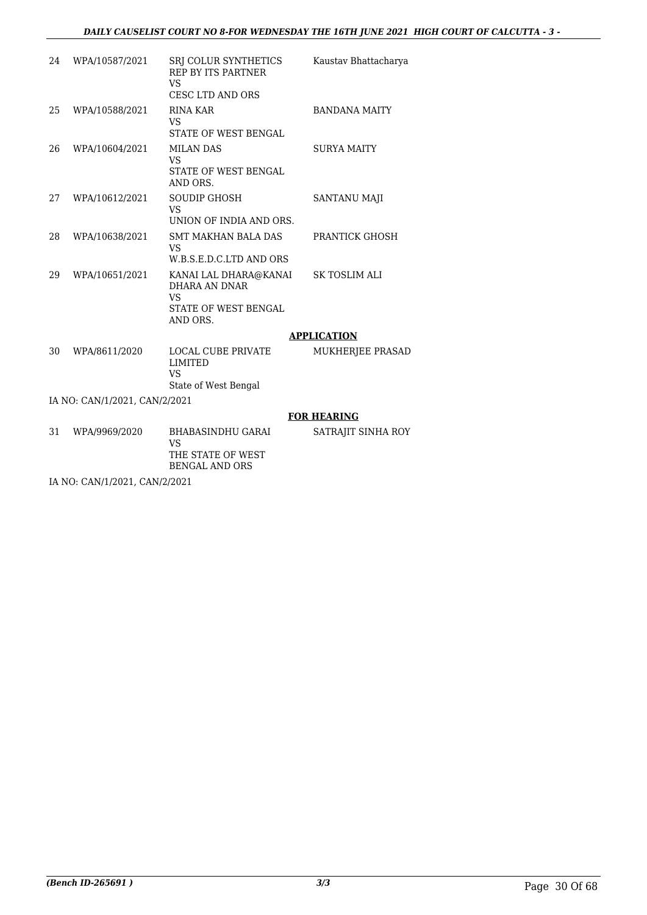| 24 | WPA/10587/2021                | SRJ COLUR SYNTHETICS<br><b>REP BY ITS PARTNER</b><br>VS<br><b>CESC LTD AND ORS</b>      | Kaustav Bhattacharya  |
|----|-------------------------------|-----------------------------------------------------------------------------------------|-----------------------|
| 25 | WPA/10588/2021                | <b>RINA KAR</b><br>VS<br><b>STATE OF WEST BENGAL</b>                                    | <b>BANDANA MAITY</b>  |
| 26 | WPA/10604/2021                | <b>MILAN DAS</b><br>VS<br><b>STATE OF WEST BENGAL</b><br>AND ORS.                       | <b>SURYA MAITY</b>    |
| 27 | WPA/10612/2021                | <b>SOUDIP GHOSH</b><br><b>VS</b><br>UNION OF INDIA AND ORS.                             | SANTANU MAJI          |
| 28 | WPA/10638/2021                | <b>SMT MAKHAN BALA DAS</b><br>VS<br>W.B.S.E.D.C.LTD AND ORS                             | <b>PRANTICK GHOSH</b> |
| 29 | WPA/10651/2021                | KANAI LAL DHARA@KANAI<br>DHARA AN DNAR<br><b>VS</b><br>STATE OF WEST BENGAL<br>AND ORS. | <b>SK TOSLIM ALI</b>  |
|    |                               |                                                                                         | <b>APPLICATION</b>    |
| 30 | WPA/8611/2020                 | <b>LOCAL CUBE PRIVATE</b><br><b>LIMITED</b><br><b>VS</b><br>State of West Bengal        | MUKHERJEE PRASAD      |
|    | IA NO: CAN/1/2021, CAN/2/2021 |                                                                                         |                       |
|    |                               |                                                                                         | <b>FOR HEARING</b>    |
| 31 | WPA/9969/2020                 | <b>BHABASINDHU GARAI</b><br>VS<br>THE STATE OF WEST                                     | SATRAJIT SINHA ROY    |

BENGAL AND ORS

IA NO: CAN/1/2021, CAN/2/2021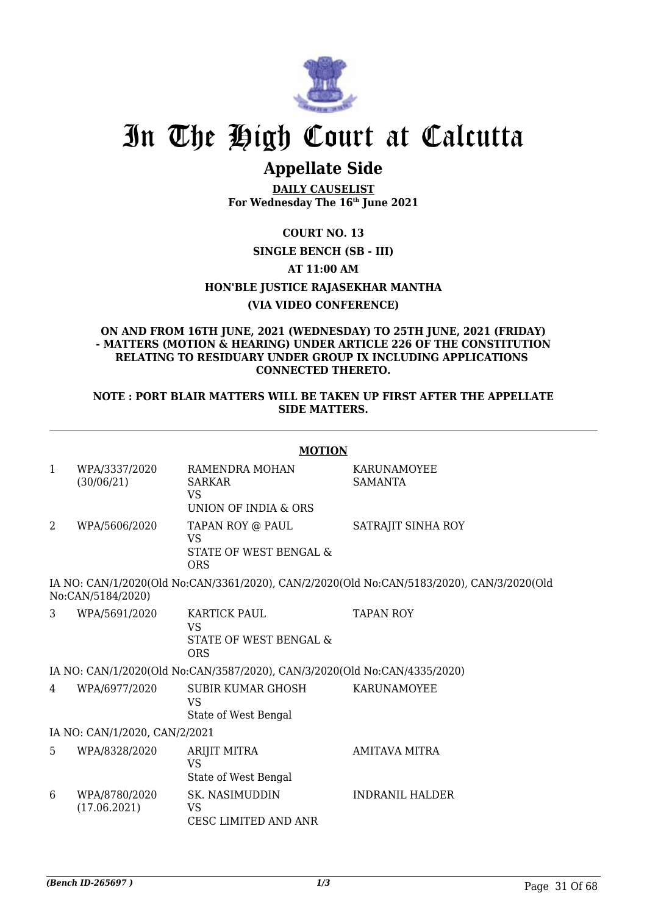

# **Appellate Side**

**DAILY CAUSELIST For Wednesday The 16th June 2021**

# **COURT NO. 13 SINGLE BENCH (SB - III) AT 11:00 AM HON'BLE JUSTICE RAJASEKHAR MANTHA (VIA VIDEO CONFERENCE)**

#### **ON AND FROM 16TH JUNE, 2021 (WEDNESDAY) TO 25TH JUNE, 2021 (FRIDAY) - MATTERS (MOTION & HEARING) UNDER ARTICLE 226 OF THE CONSTITUTION RELATING TO RESIDUARY UNDER GROUP IX INCLUDING APPLICATIONS CONNECTED THERETO.**

### **NOTE : PORT BLAIR MATTERS WILL BE TAKEN UP FIRST AFTER THE APPELLATE SIDE MATTERS.**

|                                                                                                                | <b>MOTION</b>                 |                                                                           |                                      |  |  |
|----------------------------------------------------------------------------------------------------------------|-------------------------------|---------------------------------------------------------------------------|--------------------------------------|--|--|
| $\mathbf{1}$                                                                                                   | WPA/3337/2020<br>(30/06/21)   | RAMENDRA MOHAN<br><b>SARKAR</b><br><b>VS</b><br>UNION OF INDIA & ORS      | <b>KARUNAMOYEE</b><br><b>SAMANTA</b> |  |  |
| 2                                                                                                              | WPA/5606/2020                 | TAPAN ROY @ PAUL<br>VS<br>STATE OF WEST BENGAL &<br><b>ORS</b>            | SATRAJIT SINHA ROY                   |  |  |
| IA NO: CAN/1/2020(Old No:CAN/3361/2020), CAN/2/2020(Old No:CAN/5183/2020), CAN/3/2020(Old<br>No:CAN/5184/2020) |                               |                                                                           |                                      |  |  |
| 3                                                                                                              | WPA/5691/2020                 | <b>KARTICK PAUL</b><br><b>VS</b><br>STATE OF WEST BENGAL &<br><b>ORS</b>  | <b>TAPAN ROY</b>                     |  |  |
|                                                                                                                |                               | IA NO: CAN/1/2020(Old No:CAN/3587/2020), CAN/3/2020(Old No:CAN/4335/2020) |                                      |  |  |
| 4                                                                                                              | WPA/6977/2020                 | SUBIR KUMAR GHOSH<br><b>VS</b><br>State of West Bengal                    | <b>KARUNAMOYEE</b>                   |  |  |
|                                                                                                                | IA NO: CAN/1/2020, CAN/2/2021 |                                                                           |                                      |  |  |
| 5                                                                                                              | WPA/8328/2020                 | ARIJIT MITRA<br><b>VS</b><br>State of West Bengal                         | <b>AMITAVA MITRA</b>                 |  |  |
| 6                                                                                                              | WPA/8780/2020<br>(17.06.2021) | <b>SK. NASIMUDDIN</b><br>VS<br><b>CESC LIMITED AND ANR</b>                | <b>INDRANIL HALDER</b>               |  |  |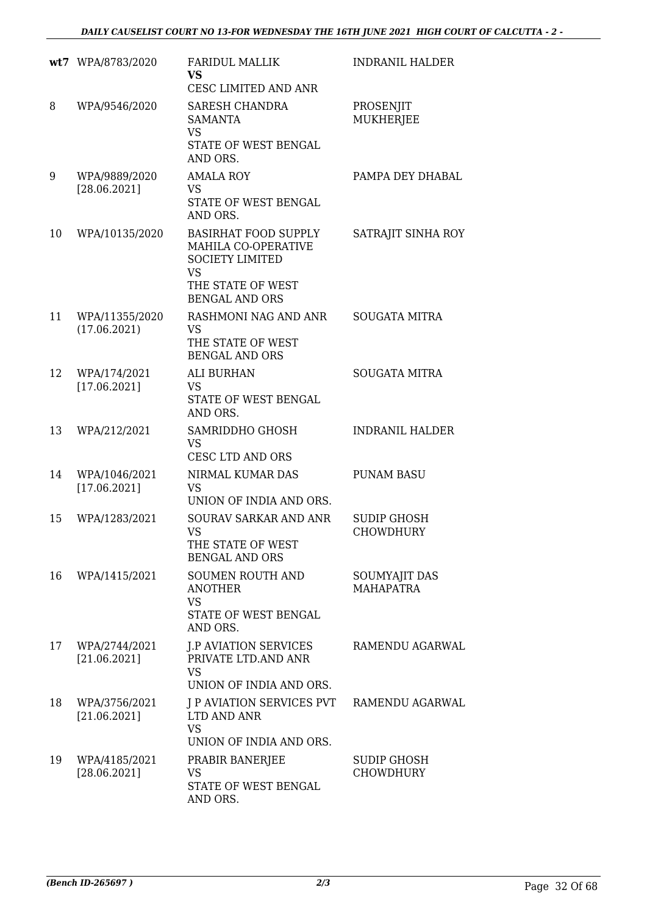|    | wt7 WPA/8783/2020              | <b>FARIDUL MALLIK</b><br><b>VS</b><br>CESC LIMITED AND ANR                                                                              | <b>INDRANIL HALDER</b>                 |
|----|--------------------------------|-----------------------------------------------------------------------------------------------------------------------------------------|----------------------------------------|
| 8  | WPA/9546/2020                  | <b>SARESH CHANDRA</b><br><b>SAMANTA</b><br><b>VS</b><br>STATE OF WEST BENGAL<br>AND ORS.                                                | PROSENJIT<br><b>MUKHERJEE</b>          |
| 9  | WPA/9889/2020<br>[28.06.2021]  | <b>AMALA ROY</b><br><b>VS</b><br>STATE OF WEST BENGAL<br>AND ORS.                                                                       | PAMPA DEY DHABAL                       |
| 10 | WPA/10135/2020                 | <b>BASIRHAT FOOD SUPPLY</b><br>MAHILA CO-OPERATIVE<br><b>SOCIETY LIMITED</b><br><b>VS</b><br>THE STATE OF WEST<br><b>BENGAL AND ORS</b> | SATRAJIT SINHA ROY                     |
| 11 | WPA/11355/2020<br>(17.06.2021) | RASHMONI NAG AND ANR<br><b>VS</b><br>THE STATE OF WEST<br><b>BENGAL AND ORS</b>                                                         | <b>SOUGATA MITRA</b>                   |
| 12 | WPA/174/2021<br>[17.06.2021]   | <b>ALI BURHAN</b><br><b>VS</b><br>STATE OF WEST BENGAL<br>AND ORS.                                                                      | <b>SOUGATA MITRA</b>                   |
| 13 | WPA/212/2021                   | SAMRIDDHO GHOSH<br><b>VS</b><br><b>CESC LTD AND ORS</b>                                                                                 | <b>INDRANIL HALDER</b>                 |
| 14 | WPA/1046/2021<br>[17.06.2021]  | NIRMAL KUMAR DAS<br><b>VS</b><br>UNION OF INDIA AND ORS.                                                                                | <b>PUNAM BASU</b>                      |
| 15 | WPA/1283/2021                  | <b>SOURAV SARKAR AND ANR</b><br><b>VS</b><br>THE STATE OF WEST<br><b>BENGAL AND ORS</b>                                                 | <b>SUDIP GHOSH</b><br><b>CHOWDHURY</b> |
| 16 | WPA/1415/2021                  | <b>SOUMEN ROUTH AND</b><br>ANOTHER<br><b>VS</b><br>STATE OF WEST BENGAL<br>AND ORS.                                                     | SOUMYAJIT DAS<br><b>MAHAPATRA</b>      |
| 17 | WPA/2744/2021<br>[21.06.2021]  | <b>J.P AVIATION SERVICES</b><br>PRIVATE LTD.AND ANR<br><b>VS</b><br>UNION OF INDIA AND ORS.                                             | RAMENDU AGARWAL                        |
| 18 | WPA/3756/2021<br>[21.06.2021]  | J P AVIATION SERVICES PVT<br>LTD AND ANR<br><b>VS</b><br>UNION OF INDIA AND ORS.                                                        | RAMENDU AGARWAL                        |
| 19 | WPA/4185/2021<br>[28.06.2021]  | PRABIR BANERJEE<br><b>VS</b><br>STATE OF WEST BENGAL<br>AND ORS.                                                                        | <b>SUDIP GHOSH</b><br><b>CHOWDHURY</b> |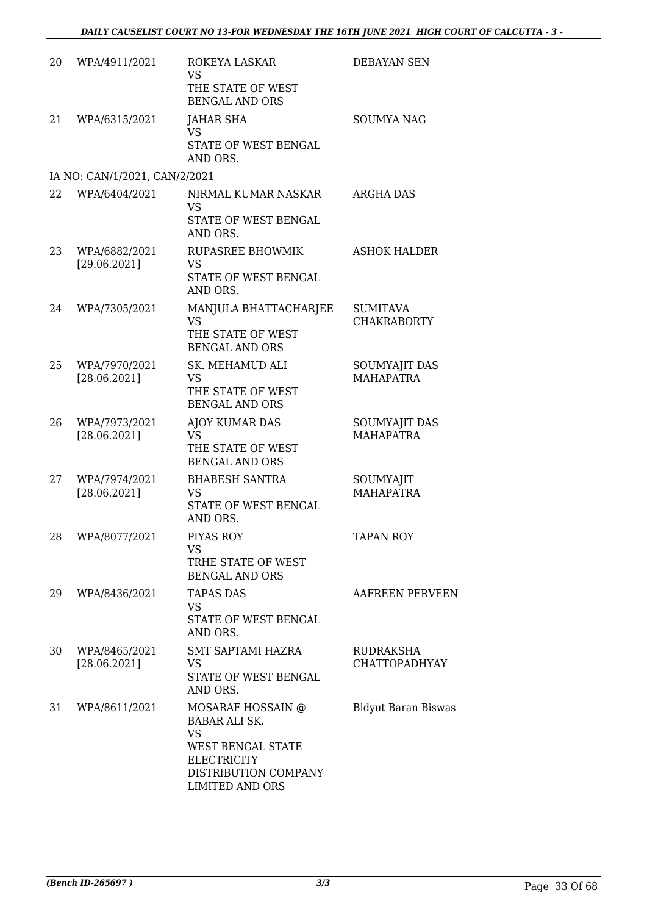| 20 | WPA/4911/2021                 | ROKEYA LASKAR<br>VS.<br>THE STATE OF WEST<br><b>BENGAL AND ORS</b>                                                                                  | <b>DEBAYAN SEN</b>                       |
|----|-------------------------------|-----------------------------------------------------------------------------------------------------------------------------------------------------|------------------------------------------|
| 21 | WPA/6315/2021                 | <b>JAHAR SHA</b><br><b>VS</b><br>STATE OF WEST BENGAL<br>AND ORS.                                                                                   | <b>SOUMYA NAG</b>                        |
|    | IA NO: CAN/1/2021, CAN/2/2021 |                                                                                                                                                     |                                          |
| 22 | WPA/6404/2021                 | NIRMAL KUMAR NASKAR<br><b>VS</b><br>STATE OF WEST BENGAL<br>AND ORS.                                                                                | <b>ARGHA DAS</b>                         |
| 23 | WPA/6882/2021<br>[29.06.2021] | <b>RUPASREE BHOWMIK</b><br><b>VS</b><br>STATE OF WEST BENGAL<br>AND ORS.                                                                            | <b>ASHOK HALDER</b>                      |
| 24 | WPA/7305/2021                 | MANJULA BHATTACHARJEE<br><b>VS</b><br>THE STATE OF WEST<br><b>BENGAL AND ORS</b>                                                                    | <b>SUMITAVA</b><br><b>CHAKRABORTY</b>    |
| 25 | WPA/7970/2021<br>[28.06.2021] | SK. MEHAMUD ALI<br><b>VS</b><br>THE STATE OF WEST<br><b>BENGAL AND ORS</b>                                                                          | <b>SOUMYAJIT DAS</b><br><b>MAHAPATRA</b> |
| 26 | WPA/7973/2021<br>[28.06.2021] | <b>AJOY KUMAR DAS</b><br><b>VS</b><br>THE STATE OF WEST<br><b>BENGAL AND ORS</b>                                                                    | SOUMYAJIT DAS<br><b>MAHAPATRA</b>        |
| 27 | WPA/7974/2021<br>[28.06.2021] | <b>BHABESH SANTRA</b><br><b>VS</b><br>STATE OF WEST BENGAL<br>AND ORS.                                                                              | SOUMYAJIT<br><b>MAHAPATRA</b>            |
| 28 | WPA/8077/2021                 | PIYAS ROY<br>VS<br>TRHE STATE OF WEST<br><b>BENGAL AND ORS</b>                                                                                      | <b>TAPAN ROY</b>                         |
| 29 | WPA/8436/2021                 | <b>TAPAS DAS</b><br><b>VS</b><br>STATE OF WEST BENGAL<br>AND ORS.                                                                                   | <b>AAFREEN PERVEEN</b>                   |
| 30 | WPA/8465/2021<br>[28.06.2021] | <b>SMT SAPTAMI HAZRA</b><br><b>VS</b><br>STATE OF WEST BENGAL<br>AND ORS.                                                                           | RUDRAKSHA<br>CHATTOPADHYAY               |
| 31 | WPA/8611/2021                 | MOSARAF HOSSAIN @<br><b>BABAR ALI SK.</b><br><b>VS</b><br>WEST BENGAL STATE<br><b>ELECTRICITY</b><br>DISTRIBUTION COMPANY<br><b>LIMITED AND ORS</b> | <b>Bidyut Baran Biswas</b>               |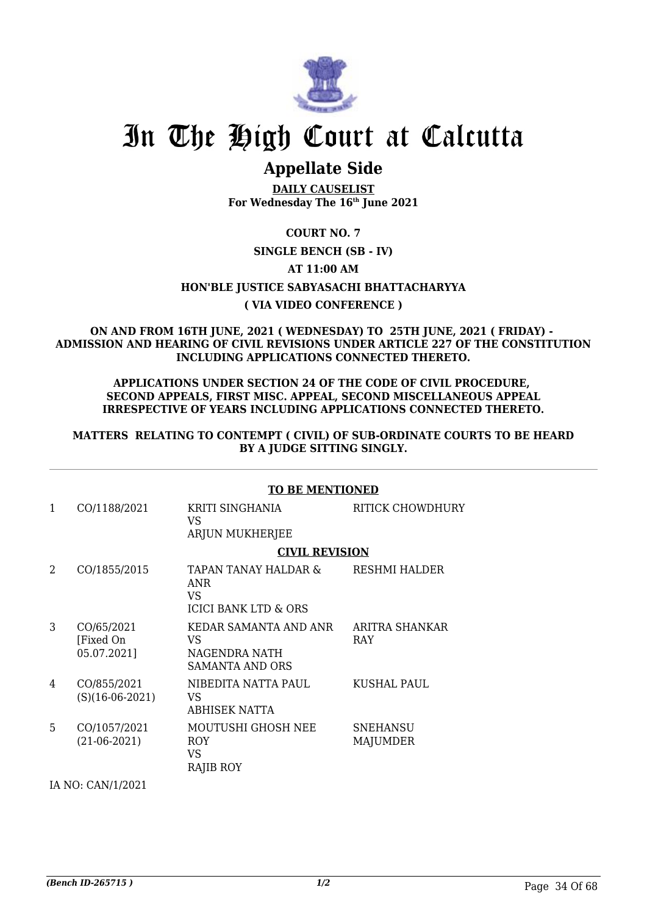

# **Appellate Side**

**DAILY CAUSELIST For Wednesday The 16th June 2021**

# **COURT NO. 7**

## **SINGLE BENCH (SB - IV)**

**AT 11:00 AM**

## **HON'BLE JUSTICE SABYASACHI BHATTACHARYYA**

## **( VIA VIDEO CONFERENCE )**

### **ON AND FROM 16TH JUNE, 2021 ( WEDNESDAY) TO 25TH JUNE, 2021 ( FRIDAY) - ADMISSION AND HEARING OF CIVIL REVISIONS UNDER ARTICLE 227 OF THE CONSTITUTION INCLUDING APPLICATIONS CONNECTED THERETO.**

#### **APPLICATIONS UNDER SECTION 24 OF THE CODE OF CIVIL PROCEDURE, SECOND APPEALS, FIRST MISC. APPEAL, SECOND MISCELLANEOUS APPEAL IRRESPECTIVE OF YEARS INCLUDING APPLICATIONS CONNECTED THERETO.**

### **MATTERS RELATING TO CONTEMPT ( CIVIL) OF SUB-ORDINATE COURTS TO BE HEARD BY A JUDGE SITTING SINGLY.**

|   | <b>TO BE MENTIONED</b>                 |                                                                  |                              |  |  |
|---|----------------------------------------|------------------------------------------------------------------|------------------------------|--|--|
| 1 | CO/1188/2021                           | KRITI SINGHANIA<br>VS<br>ARJUN MUKHERJEE                         | <b>RITICK CHOWDHURY</b>      |  |  |
|   |                                        | <b>CIVIL REVISION</b>                                            |                              |  |  |
| 2 | CO/1855/2015                           | TAPAN TANAY HALDAR &<br><b>ANR</b><br>VS<br>ICICI BANK LTD & ORS | RESHMI HALDER                |  |  |
| 3 | CO/65/2021<br>[Fixed On<br>05.07.2021] | KEDAR SAMANTA AND ANR<br>VS.<br>NAGENDRA NATH<br>SAMANTA AND ORS | ARITRA SHANKAR<br><b>RAY</b> |  |  |
| 4 | CO/855/2021<br>$(S)(16-06-2021)$       | NIBEDITA NATTA PAUL<br>VS<br><b>ABHISEK NATTA</b>                | KUSHAL PAUL                  |  |  |
| 5 | CO/1057/2021<br>$(21-06-2021)$         | MOUTUSHI GHOSH NEE<br><b>ROY</b><br>VS<br>RAJIB ROY              | <b>SNEHANSU</b><br>MAJUMDER  |  |  |

IA NO: CAN/1/2021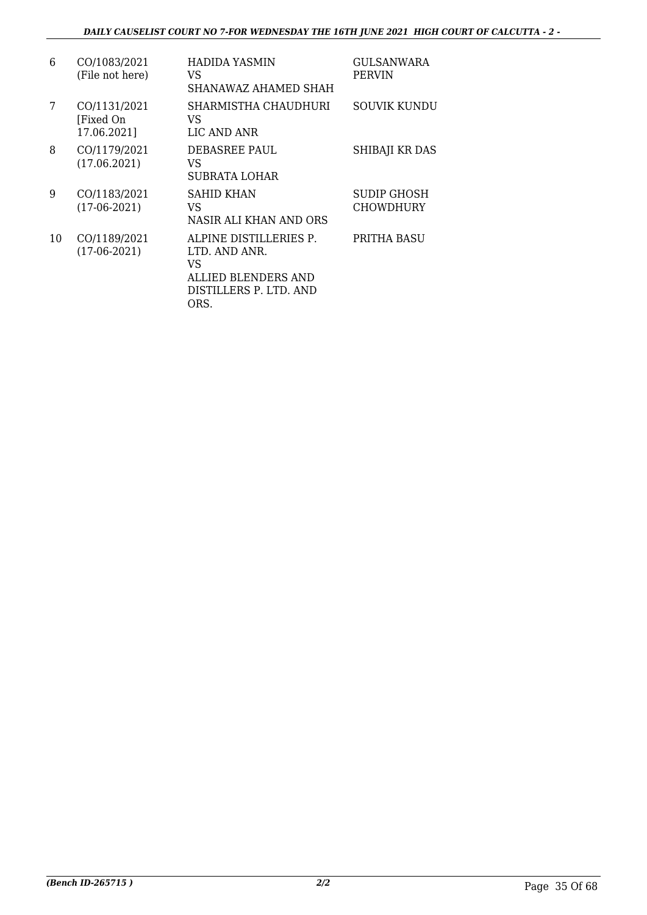| 6  | CO/1083/2021<br>(File not here)          | HADIDA YASMIN<br>VS<br>SHANAWAZ AHAMED SHAH                                                            | GULSANWARA<br><b>PERVIN</b>     |
|----|------------------------------------------|--------------------------------------------------------------------------------------------------------|---------------------------------|
| 7  | CO/1131/2021<br>[Fixed On<br>17.06.2021] | SHARMISTHA CHAUDHURI<br>VS<br>LIC AND ANR                                                              | SOUVIK KUNDU                    |
| 8  | CO/1179/2021<br>(17.06.2021)             | DEBASREE PAUL<br>VS<br>SUBRATA LOHAR                                                                   | SHIBAJI KR DAS                  |
| 9  | CO/1183/2021<br>$(17-06-2021)$           | <b>SAHID KHAN</b><br>VS<br>NASIR ALI KHAN AND ORS                                                      | SUDIP GHOSH<br><b>CHOWDHURY</b> |
| 10 | CO/1189/2021<br>$(17-06-2021)$           | ALPINE DISTILLERIES P.<br>LTD. AND ANR.<br>VS<br>ALLIED BLENDERS AND<br>DISTILLERS P. LTD. AND<br>ORS. | PRITHA BASU                     |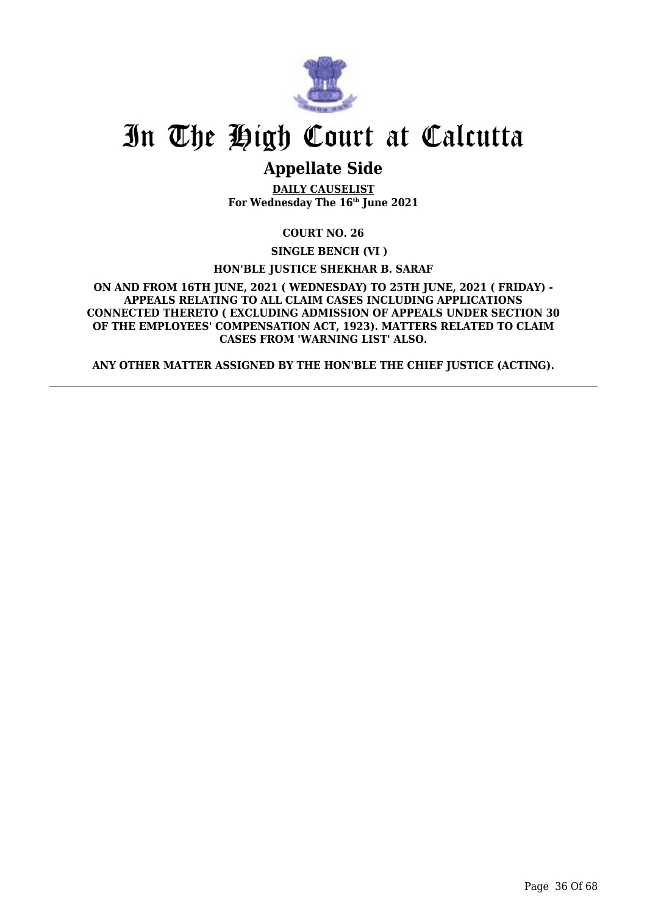

# **Appellate Side**

**DAILY CAUSELIST For Wednesday The 16th June 2021**

**COURT NO. 26**

**SINGLE BENCH (VI )**

**HON'BLE JUSTICE SHEKHAR B. SARAF**

**ON AND FROM 16TH JUNE, 2021 ( WEDNESDAY) TO 25TH JUNE, 2021 ( FRIDAY) - APPEALS RELATING TO ALL CLAIM CASES INCLUDING APPLICATIONS CONNECTED THERETO ( EXCLUDING ADMISSION OF APPEALS UNDER SECTION 30 OF THE EMPLOYEES' COMPENSATION ACT, 1923). MATTERS RELATED TO CLAIM CASES FROM 'WARNING LIST' ALSO.**

**ANY OTHER MATTER ASSIGNED BY THE HON'BLE THE CHIEF JUSTICE (ACTING).**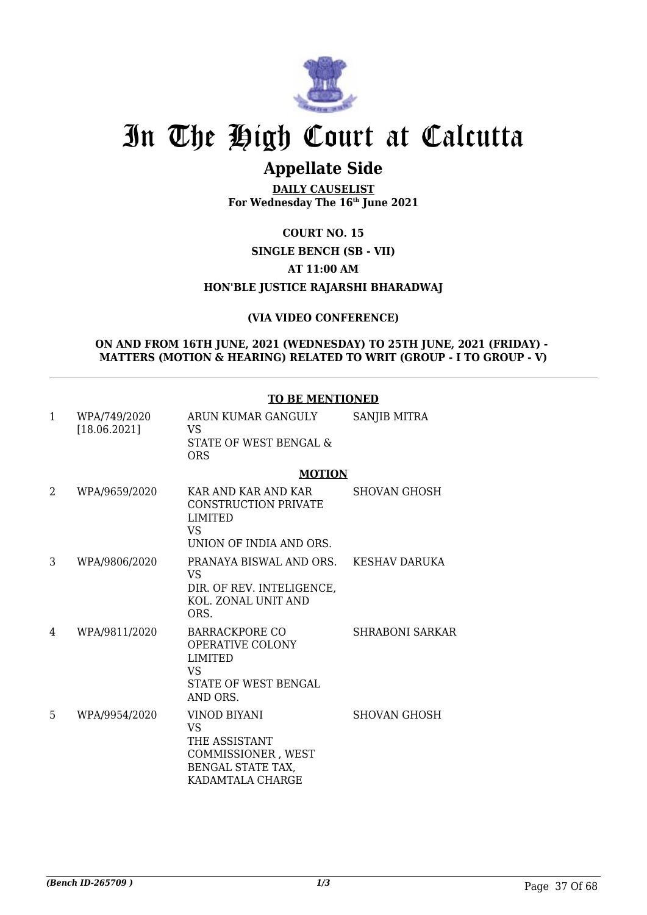

# **Appellate Side**

**DAILY CAUSELIST For Wednesday The 16th June 2021**

# **COURT NO. 15**

### **SINGLE BENCH (SB - VII)**

### **AT 11:00 AM**

## **HON'BLE JUSTICE RAJARSHI BHARADWAJ**

### **(VIA VIDEO CONFERENCE)**

#### **ON AND FROM 16TH JUNE, 2021 (WEDNESDAY) TO 25TH JUNE, 2021 (FRIDAY) - MATTERS (MOTION & HEARING) RELATED TO WRIT (GROUP - I TO GROUP - V)**

#### **TO BE MENTIONED**

| 1 | WPA/749/2020<br>[18.06.2021] | ARUN KUMAR GANGULY<br>VS.<br>STATE OF WEST BENGAL &<br><b>ORS</b>                                                   | SANJIB MITRA        |
|---|------------------------------|---------------------------------------------------------------------------------------------------------------------|---------------------|
|   |                              | <b>MOTION</b>                                                                                                       |                     |
| 2 | WPA/9659/2020                | KAR AND KAR AND KAR<br><b>CONSTRUCTION PRIVATE</b><br><b>LIMITED</b><br>VS.<br>UNION OF INDIA AND ORS.              | <b>SHOVAN GHOSH</b> |
| 3 | WPA/9806/2020                | PRANAYA BISWAL AND ORS.<br>VS.<br>DIR. OF REV. INTELIGENCE,<br>KOL. ZONAL UNIT AND<br>ORS.                          | KESHAV DARUKA       |
| 4 | WPA/9811/2020                | <b>BARRACKPORE CO</b><br><b>OPERATIVE COLONY</b><br><b>LIMITED</b><br><b>VS</b><br>STATE OF WEST BENGAL<br>AND ORS. | SHRABONI SARKAR     |
| 5 | WPA/9954/2020                | VINOD BIYANI<br>VS.<br>THE ASSISTANT<br>COMMISSIONER, WEST<br>BENGAL STATE TAX,<br>KADAMTALA CHARGE                 | <b>SHOVAN GHOSH</b> |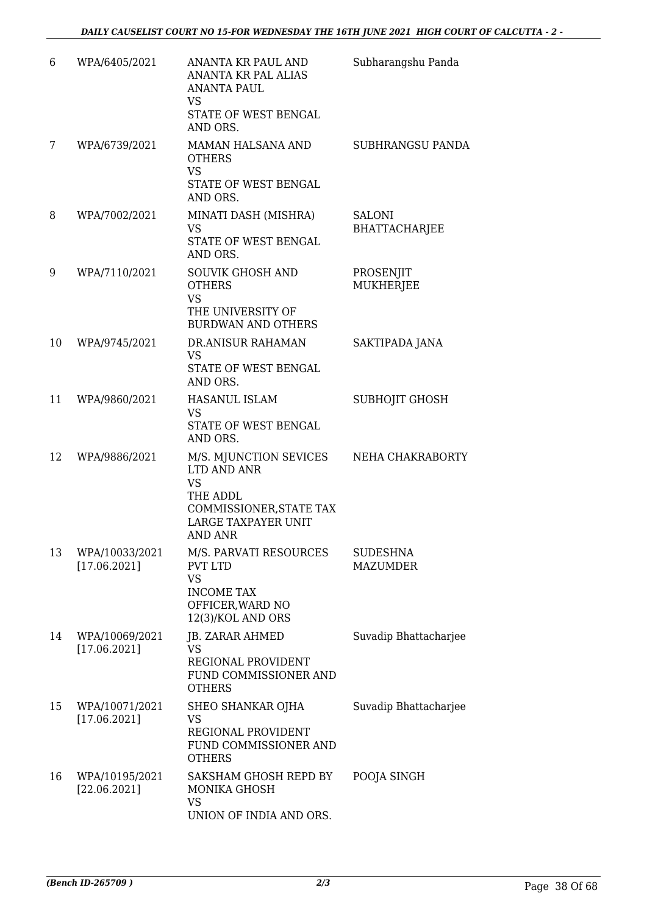| 6  | WPA/6405/2021                  | ANANTA KR PAUL AND<br>ANANTA KR PAL ALIAS<br><b>ANANTA PAUL</b><br>VS<br>STATE OF WEST BENGAL<br>AND ORS.                                 | Subharangshu Panda                    |
|----|--------------------------------|-------------------------------------------------------------------------------------------------------------------------------------------|---------------------------------------|
| 7  | WPA/6739/2021                  | MAMAN HALSANA AND<br><b>OTHERS</b><br><b>VS</b><br>STATE OF WEST BENGAL<br>AND ORS.                                                       | SUBHRANGSU PANDA                      |
| 8  | WPA/7002/2021                  | MINATI DASH (MISHRA)<br><b>VS</b><br>STATE OF WEST BENGAL<br>AND ORS.                                                                     | <b>SALONI</b><br><b>BHATTACHARJEE</b> |
| 9  | WPA/7110/2021                  | <b>SOUVIK GHOSH AND</b><br><b>OTHERS</b><br><b>VS</b><br>THE UNIVERSITY OF<br><b>BURDWAN AND OTHERS</b>                                   | PROSENJIT<br><b>MUKHERJEE</b>         |
| 10 | WPA/9745/2021                  | DR.ANISUR RAHAMAN<br><b>VS</b><br>STATE OF WEST BENGAL<br>AND ORS.                                                                        | SAKTIPADA JANA                        |
| 11 | WPA/9860/2021                  | <b>HASANUL ISLAM</b><br><b>VS</b><br>STATE OF WEST BENGAL<br>AND ORS.                                                                     | SUBHOJIT GHOSH                        |
| 12 | WPA/9886/2021                  | M/S. MJUNCTION SEVICES<br>LTD AND ANR<br><b>VS</b><br>THE ADDL<br>COMMISSIONER, STATE TAX<br><b>LARGE TAXPAYER UNIT</b><br><b>AND ANR</b> | NEHA CHAKRABORTY                      |
| 13 | WPA/10033/2021<br>[17.06.2021] | M/S. PARVATI RESOURCES<br><b>PVT LTD</b><br><b>VS</b><br><b>INCOME TAX</b><br>OFFICER, WARD NO<br>12(3)/KOL AND ORS                       | <b>SUDESHNA</b><br><b>MAZUMDER</b>    |
| 14 | WPA/10069/2021<br>[17.06.2021] | JB. ZARAR AHMED<br>VS<br>REGIONAL PROVIDENT<br>FUND COMMISSIONER AND<br><b>OTHERS</b>                                                     | Suvadip Bhattacharjee                 |
| 15 | WPA/10071/2021<br>[17.06.2021] | SHEO SHANKAR OJHA<br><b>VS</b><br>REGIONAL PROVIDENT<br>FUND COMMISSIONER AND<br><b>OTHERS</b>                                            | Suvadip Bhattacharjee                 |
| 16 | WPA/10195/2021<br>[22.06.2021] | SAKSHAM GHOSH REPD BY<br>MONIKA GHOSH<br><b>VS</b><br>UNION OF INDIA AND ORS.                                                             | POOJA SINGH                           |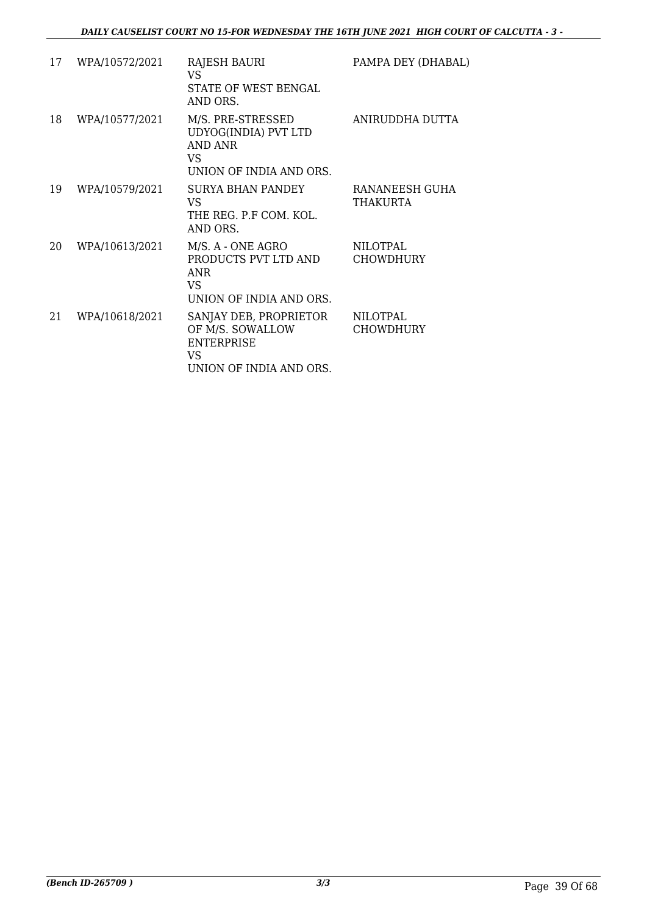| 17 | WPA/10572/2021 | RAJESH BAURI<br>VS.<br>STATE OF WEST BENGAL<br>AND ORS.                                           | PAMPA DEY (DHABAL)           |
|----|----------------|---------------------------------------------------------------------------------------------------|------------------------------|
| 18 | WPA/10577/2021 | M/S. PRE-STRESSED<br>UDYOG(INDIA) PVT LTD<br>AND ANR<br>VS<br>UNION OF INDIA AND ORS.             | ANIRUDDHA DUTTA              |
| 19 | WPA/10579/2021 | <b>SURYA BHAN PANDEY</b><br>VS.<br>THE REG. P.F COM. KOL.<br>AND ORS.                             | RANANEESH GUHA<br>THAKURTA   |
| 20 | WPA/10613/2021 | M/S. A - ONE AGRO<br>PRODUCTS PVT LTD AND<br><b>ANR</b><br>VS<br>UNION OF INDIA AND ORS.          | NILOTPAL<br><b>CHOWDHURY</b> |
| 21 | WPA/10618/2021 | SANJAY DEB, PROPRIETOR<br>OF M/S. SOWALLOW<br><b>ENTERPRISE</b><br>VS.<br>UNION OF INDIA AND ORS. | NILOTPAL<br><b>CHOWDHURY</b> |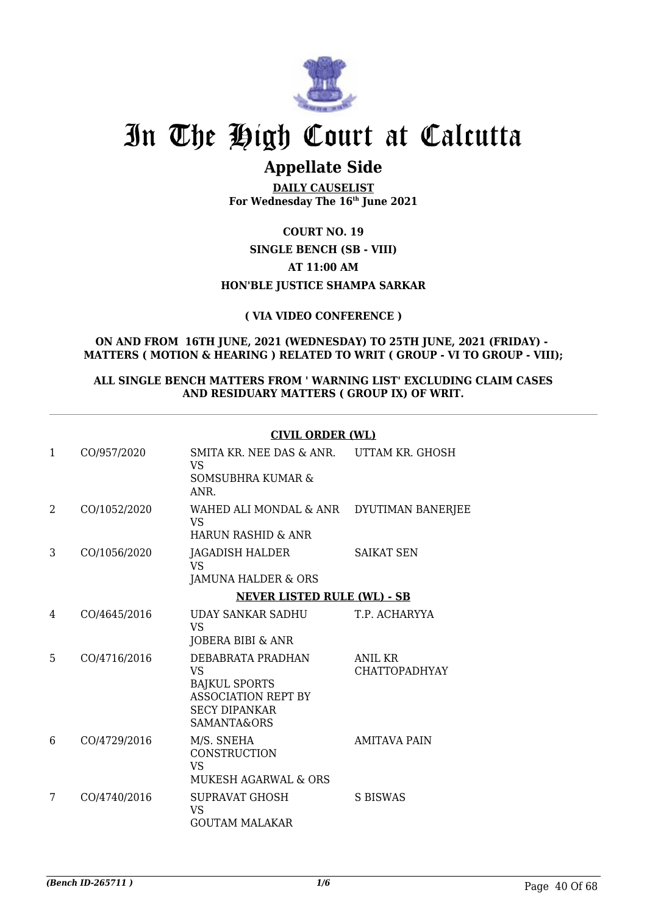

# **Appellate Side**

**DAILY CAUSELIST For Wednesday The 16th June 2021**

# **COURT NO. 19**

### **SINGLE BENCH (SB - VIII)**

### **AT 11:00 AM**

# **HON'BLE JUSTICE SHAMPA SARKAR**

# **( VIA VIDEO CONFERENCE )**

#### **ON AND FROM 16TH JUNE, 2021 (WEDNESDAY) TO 25TH JUNE, 2021 (FRIDAY) - MATTERS ( MOTION & HEARING ) RELATED TO WRIT ( GROUP - VI TO GROUP - VIII);**

### **ALL SINGLE BENCH MATTERS FROM ' WARNING LIST' EXCLUDING CLAIM CASES AND RESIDUARY MATTERS ( GROUP IX) OF WRIT.**

### **CIVIL ORDER (WL)**

| $\mathbf{1}$   | CO/957/2020  | SMITA KR. NEE DAS & ANR. UTTAM KR. GHOSH<br>VS<br><b>SOMSUBHRA KUMAR &amp;</b><br>ANR.                               |                                        |
|----------------|--------------|----------------------------------------------------------------------------------------------------------------------|----------------------------------------|
| $\overline{2}$ | CO/1052/2020 | WAHED ALI MONDAL & ANR DYUTIMAN BANERJEE<br><b>VS</b><br><b>HARUN RASHID &amp; ANR</b>                               |                                        |
| 3              | CO/1056/2020 | JAGADISH HALDER<br><b>VS</b><br>JAMUNA HALDER & ORS                                                                  | <b>SAIKAT SEN</b>                      |
|                |              | <b>NEVER LISTED RULE (WL) - SB</b>                                                                                   |                                        |
| 4              | CO/4645/2016 | UDAY SANKAR SADHU<br><b>VS</b><br>JOBERA BIBI & ANR                                                                  | T.P. ACHARYYA                          |
| 5              | CO/4716/2016 | DEBABRATA PRADHAN<br>VS<br><b>BAJKUL SPORTS</b><br><b>ASSOCIATION REPT BY</b><br><b>SECY DIPANKAR</b><br>SAMANTA&ORS | <b>ANIL KR</b><br><b>CHATTOPADHYAY</b> |
| 6              | CO/4729/2016 | M/S. SNEHA<br><b>CONSTRUCTION</b><br><b>VS</b><br><b>MUKESH AGARWAL &amp; ORS</b>                                    | <b>AMITAVA PAIN</b>                    |
| 7              | CO/4740/2016 | <b>SUPRAVAT GHOSH</b><br>VS<br><b>GOUTAM MALAKAR</b>                                                                 | <b>S BISWAS</b>                        |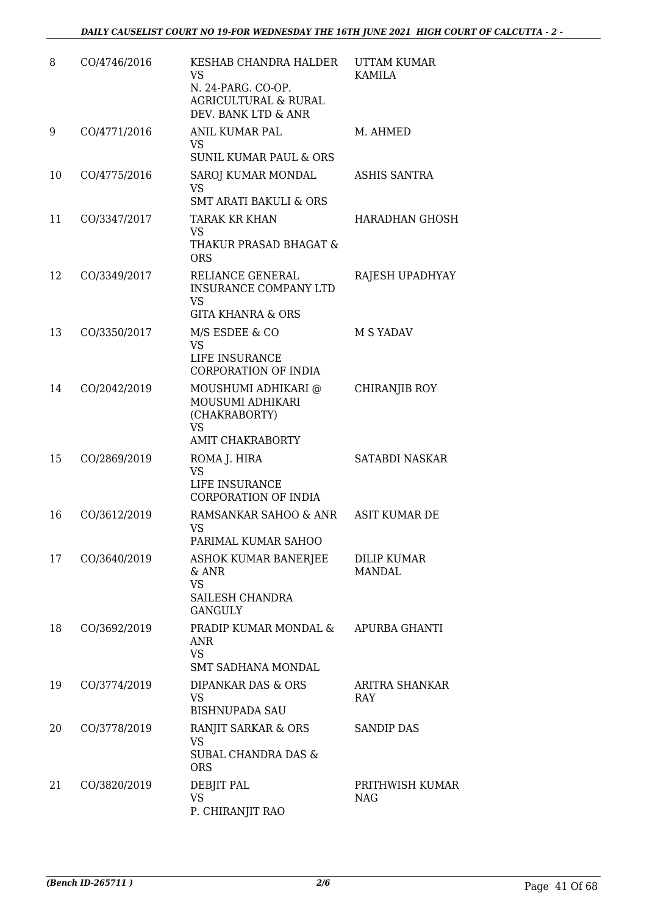| 8  | CO/4746/2016 | KESHAB CHANDRA HALDER<br><b>VS</b><br>N. 24-PARG. CO-OP.<br><b>AGRICULTURAL &amp; RURAL</b><br>DEV. BANK LTD & ANR | UTTAM KUMAR<br><b>KAMILA</b>        |
|----|--------------|--------------------------------------------------------------------------------------------------------------------|-------------------------------------|
| 9  | CO/4771/2016 | <b>ANIL KUMAR PAL</b><br><b>VS</b><br><b>SUNIL KUMAR PAUL &amp; ORS</b>                                            | M. AHMED                            |
| 10 | CO/4775/2016 | SAROJ KUMAR MONDAL<br><b>VS</b><br><b>SMT ARATI BAKULI &amp; ORS</b>                                               | <b>ASHIS SANTRA</b>                 |
| 11 | CO/3347/2017 | TARAK KR KHAN<br><b>VS</b><br>THAKUR PRASAD BHAGAT &<br><b>ORS</b>                                                 | HARADHAN GHOSH                      |
| 12 | CO/3349/2017 | RELIANCE GENERAL<br><b>INSURANCE COMPANY LTD</b><br>VS<br><b>GITA KHANRA &amp; ORS</b>                             | RAJESH UPADHYAY                     |
| 13 | CO/3350/2017 | M/S ESDEE & CO<br><b>VS</b><br>LIFE INSURANCE<br>CORPORATION OF INDIA                                              | M S YADAV                           |
| 14 | CO/2042/2019 | MOUSHUMI ADHIKARI @<br>MOUSUMI ADHIKARI<br>(CHAKRABORTY)<br><b>VS</b><br><b>AMIT CHAKRABORTY</b>                   | CHIRANJIB ROY                       |
| 15 | CO/2869/2019 | ROMA J. HIRA<br><b>VS</b><br>LIFE INSURANCE<br><b>CORPORATION OF INDIA</b>                                         | SATABDI NASKAR                      |
| 16 | CO/3612/2019 | RAMSANKAR SAHOO & ANR ASIT KUMAR DE<br>VS<br>PARIMAL KUMAR SAHOO                                                   |                                     |
| 17 | CO/3640/2019 | ASHOK KUMAR BANERJEE<br>& ANR<br><b>VS</b><br>SAILESH CHANDRA<br><b>GANGULY</b>                                    | <b>DILIP KUMAR</b><br><b>MANDAL</b> |
| 18 | CO/3692/2019 | PRADIP KUMAR MONDAL &<br><b>ANR</b><br><b>VS</b><br><b>SMT SADHANA MONDAL</b>                                      | APURBA GHANTI                       |
| 19 | CO/3774/2019 | DIPANKAR DAS & ORS<br><b>VS</b><br><b>BISHNUPADA SAU</b>                                                           | ARITRA SHANKAR<br>RAY               |
| 20 | CO/3778/2019 | RANJIT SARKAR & ORS<br><b>VS</b><br>SUBAL CHANDRA DAS &<br><b>ORS</b>                                              | <b>SANDIP DAS</b>                   |
| 21 | CO/3820/2019 | DEBJIT PAL<br><b>VS</b><br>P. CHIRANJIT RAO                                                                        | PRITHWISH KUMAR<br><b>NAG</b>       |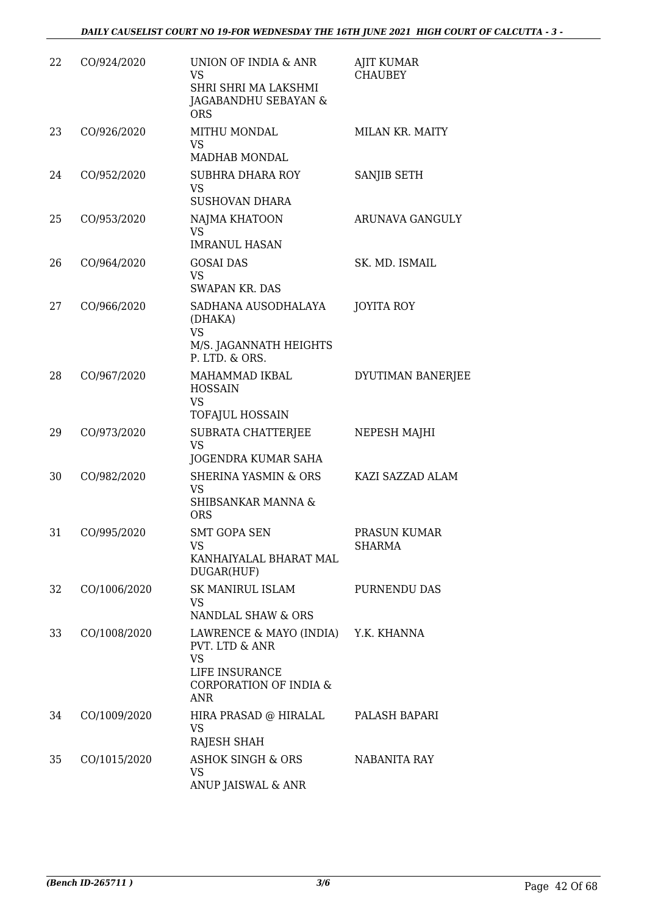| 22 | CO/924/2020  | UNION OF INDIA & ANR<br><b>VS</b><br>SHRI SHRI MA LAKSHMI<br>JAGABANDHU SEBAYAN &<br><b>ORS</b>                              | <b>AJIT KUMAR</b><br><b>CHAUBEY</b> |
|----|--------------|------------------------------------------------------------------------------------------------------------------------------|-------------------------------------|
| 23 | CO/926/2020  | MITHU MONDAL<br><b>VS</b><br><b>MADHAB MONDAL</b>                                                                            | MILAN KR. MAITY                     |
| 24 | CO/952/2020  | SUBHRA DHARA ROY<br><b>VS</b><br><b>SUSHOVAN DHARA</b>                                                                       | SANJIB SETH                         |
| 25 | CO/953/2020  | NAJMA KHATOON<br><b>VS</b><br><b>IMRANUL HASAN</b>                                                                           | ARUNAVA GANGULY                     |
| 26 | CO/964/2020  | <b>GOSAI DAS</b><br><b>VS</b><br><b>SWAPAN KR. DAS</b>                                                                       | SK. MD. ISMAIL                      |
| 27 | CO/966/2020  | SADHANA AUSODHALAYA<br>(DHAKA)<br><b>VS</b><br>M/S. JAGANNATH HEIGHTS<br>P. LTD. & ORS.                                      | <b>JOYITA ROY</b>                   |
| 28 | CO/967/2020  | MAHAMMAD IKBAL<br><b>HOSSAIN</b><br><b>VS</b><br><b>TOFAJUL HOSSAIN</b>                                                      | DYUTIMAN BANERJEE                   |
| 29 | CO/973/2020  | SUBRATA CHATTERJEE<br><b>VS</b><br>JOGENDRA KUMAR SAHA                                                                       | NEPESH MAJHI                        |
| 30 | CO/982/2020  | <b>SHERINA YASMIN &amp; ORS</b><br><b>VS</b><br>SHIBSANKAR MANNA &<br><b>ORS</b>                                             | KAZI SAZZAD ALAM                    |
| 31 | CO/995/2020  | SMT GOPA SEN<br><b>VS</b><br>KANHAIYALAL BHARAT MAL<br>DUGAR(HUF)                                                            | PRASUN KUMAR<br><b>SHARMA</b>       |
| 32 | CO/1006/2020 | <b>SK MANIRUL ISLAM</b><br>VS.<br>NANDLAL SHAW & ORS                                                                         | PURNENDU DAS                        |
| 33 | CO/1008/2020 | LAWRENCE & MAYO (INDIA) Y.K. KHANNA<br>PVT. LTD & ANR<br><b>VS</b><br>LIFE INSURANCE<br>CORPORATION OF INDIA &<br><b>ANR</b> |                                     |
| 34 | CO/1009/2020 | HIRA PRASAD @ HIRALAL<br><b>VS</b><br><b>RAJESH SHAH</b>                                                                     | PALASH BAPARI                       |
| 35 | CO/1015/2020 | <b>ASHOK SINGH &amp; ORS</b><br>VS<br>ANUP JAISWAL & ANR                                                                     | NABANITA RAY                        |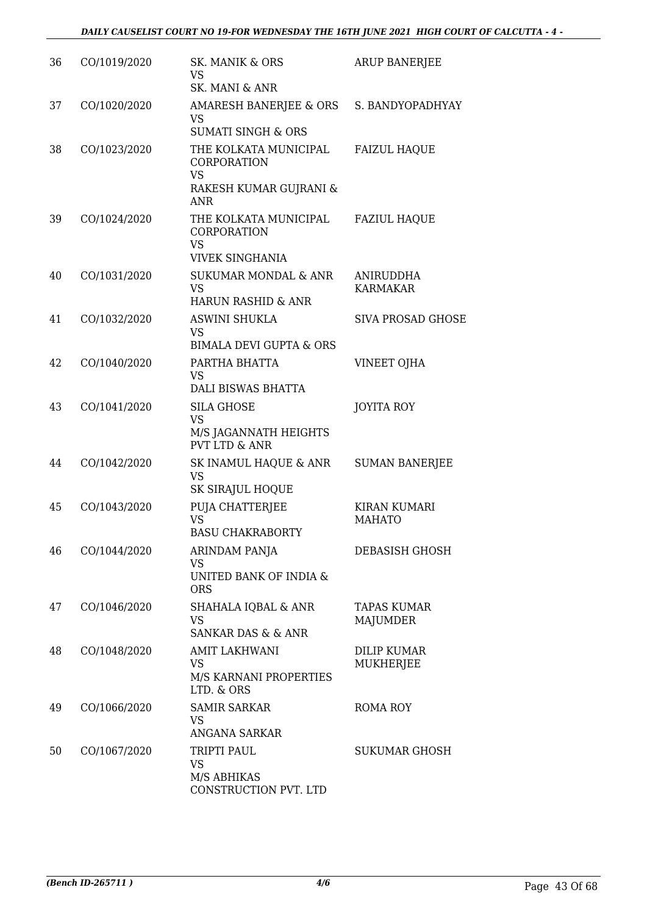| 36 | CO/1019/2020 | SK. MANIK & ORS<br><b>VS</b><br>SK. MANI & ANR                                            | <b>ARUP BANERJEE</b>                   |
|----|--------------|-------------------------------------------------------------------------------------------|----------------------------------------|
| 37 | CO/1020/2020 | AMARESH BANERJEE & ORS S. BANDYOPADHYAY<br><b>VS</b><br><b>SUMATI SINGH &amp; ORS</b>     |                                        |
| 38 | CO/1023/2020 | THE KOLKATA MUNICIPAL<br>CORPORATION<br><b>VS</b><br>RAKESH KUMAR GUJRANI &<br><b>ANR</b> | <b>FAIZUL HAQUE</b>                    |
| 39 | CO/1024/2020 | THE KOLKATA MUNICIPAL<br>CORPORATION<br><b>VS</b><br><b>VIVEK SINGHANIA</b>               | <b>FAZIUL HAQUE</b>                    |
| 40 | CO/1031/2020 | <b>SUKUMAR MONDAL &amp; ANR</b><br><b>VS</b><br><b>HARUN RASHID &amp; ANR</b>             | <b>ANIRUDDHA</b><br><b>KARMAKAR</b>    |
| 41 | CO/1032/2020 | <b>ASWINI SHUKLA</b><br><b>VS</b><br><b>BIMALA DEVI GUPTA &amp; ORS</b>                   | <b>SIVA PROSAD GHOSE</b>               |
| 42 | CO/1040/2020 | PARTHA BHATTA<br><b>VS</b><br>DALI BISWAS BHATTA                                          | VINEET OJHA                            |
| 43 | CO/1041/2020 | <b>SILA GHOSE</b><br><b>VS</b><br>M/S JAGANNATH HEIGHTS<br><b>PVT LTD &amp; ANR</b>       | JOYITA ROY                             |
| 44 | CO/1042/2020 | SK INAMUL HAQUE & ANR<br><b>VS</b><br>SK SIRAJUL HOQUE                                    | <b>SUMAN BANERJEE</b>                  |
| 45 | CO/1043/2020 | PUJA CHATTERJEE<br><b>VS</b><br><b>BASU CHAKRABORTY</b>                                   | KIRAN KUMARI<br><b>MAHATO</b>          |
| 46 | CO/1044/2020 | ARINDAM PANJA<br>VS<br>UNITED BANK OF INDIA &<br><b>ORS</b>                               | DEBASISH GHOSH                         |
| 47 | CO/1046/2020 | <b>SHAHALA IQBAL &amp; ANR</b><br><b>VS</b><br><b>SANKAR DAS &amp; &amp; ANR</b>          | TAPAS KUMAR<br>MAJUMDER                |
| 48 | CO/1048/2020 | <b>AMIT LAKHWANI</b><br><b>VS</b><br>M/S KARNANI PROPERTIES<br>LTD. & ORS                 | <b>DILIP KUMAR</b><br><b>MUKHERJEE</b> |
| 49 | CO/1066/2020 | <b>SAMIR SARKAR</b><br>VS<br>ANGANA SARKAR                                                | <b>ROMA ROY</b>                        |
| 50 | CO/1067/2020 | TRIPTI PAUL<br><b>VS</b><br>M/S ABHIKAS<br>CONSTRUCTION PVT. LTD                          | <b>SUKUMAR GHOSH</b>                   |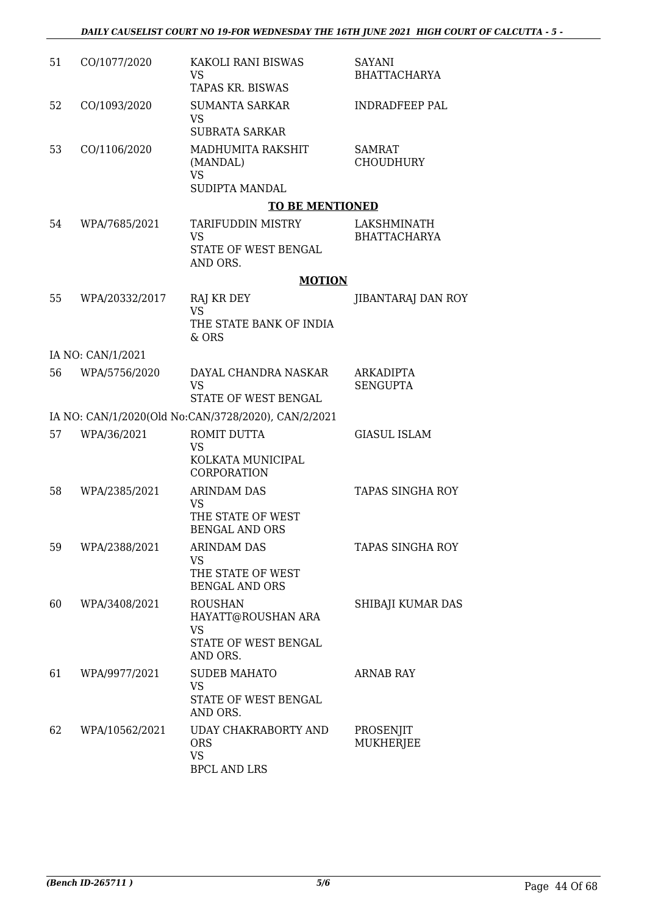| 51 | CO/1077/2020      | KAKOLI RANI BISWAS<br><b>VS</b><br>TAPAS KR. BISWAS                                   | <b>SAYANI</b><br><b>BHATTACHARYA</b> |
|----|-------------------|---------------------------------------------------------------------------------------|--------------------------------------|
| 52 | CO/1093/2020      | <b>SUMANTA SARKAR</b><br><b>VS</b><br><b>SUBRATA SARKAR</b>                           | <b>INDRADFEEP PAL</b>                |
| 53 | CO/1106/2020      | MADHUMITA RAKSHIT<br>(MANDAL)<br><b>VS</b><br>SUDIPTA MANDAL                          | <b>SAMRAT</b><br><b>CHOUDHURY</b>    |
|    |                   | <b>TO BE MENTIONED</b>                                                                |                                      |
| 54 | WPA/7685/2021     | TARIFUDDIN MISTRY<br><b>VS</b><br>STATE OF WEST BENGAL<br>AND ORS.                    | LAKSHMINATH<br><b>BHATTACHARYA</b>   |
|    |                   | <b>MOTION</b>                                                                         |                                      |
| 55 | WPA/20332/2017    | RAJ KR DEY<br><b>VS</b><br>THE STATE BANK OF INDIA<br>& ORS                           | JIBANTARAJ DAN ROY                   |
|    | IA NO: CAN/1/2021 |                                                                                       |                                      |
| 56 | WPA/5756/2020     | DAYAL CHANDRA NASKAR<br><b>VS</b><br>STATE OF WEST BENGAL                             | <b>ARKADIPTA</b><br><b>SENGUPTA</b>  |
|    |                   | IA NO: CAN/1/2020(Old No:CAN/3728/2020), CAN/2/2021                                   |                                      |
| 57 | WPA/36/2021       | ROMIT DUTTA<br><b>VS</b><br>KOLKATA MUNICIPAL<br><b>CORPORATION</b>                   | <b>GIASUL ISLAM</b>                  |
| 58 | WPA/2385/2021     | <b>ARINDAM DAS</b><br><b>VS</b><br>THE STATE OF WEST<br><b>BENGAL AND ORS</b>         | <b>TAPAS SINGHA ROY</b>              |
| 59 | WPA/2388/2021     | <b>ARINDAM DAS</b><br><b>VS</b><br>THE STATE OF WEST<br><b>BENGAL AND ORS</b>         | TAPAS SINGHA ROY                     |
| 60 | WPA/3408/2021     | <b>ROUSHAN</b><br>HAYATT@ROUSHAN ARA<br><b>VS</b><br>STATE OF WEST BENGAL<br>AND ORS. | SHIBAJI KUMAR DAS                    |
| 61 | WPA/9977/2021     | <b>SUDEB MAHATO</b><br><b>VS</b><br>STATE OF WEST BENGAL<br>AND ORS.                  | <b>ARNAB RAY</b>                     |
| 62 | WPA/10562/2021    | UDAY CHAKRABORTY AND<br><b>ORS</b><br><b>VS</b><br><b>BPCL AND LRS</b>                | PROSENJIT<br>MUKHERJEE               |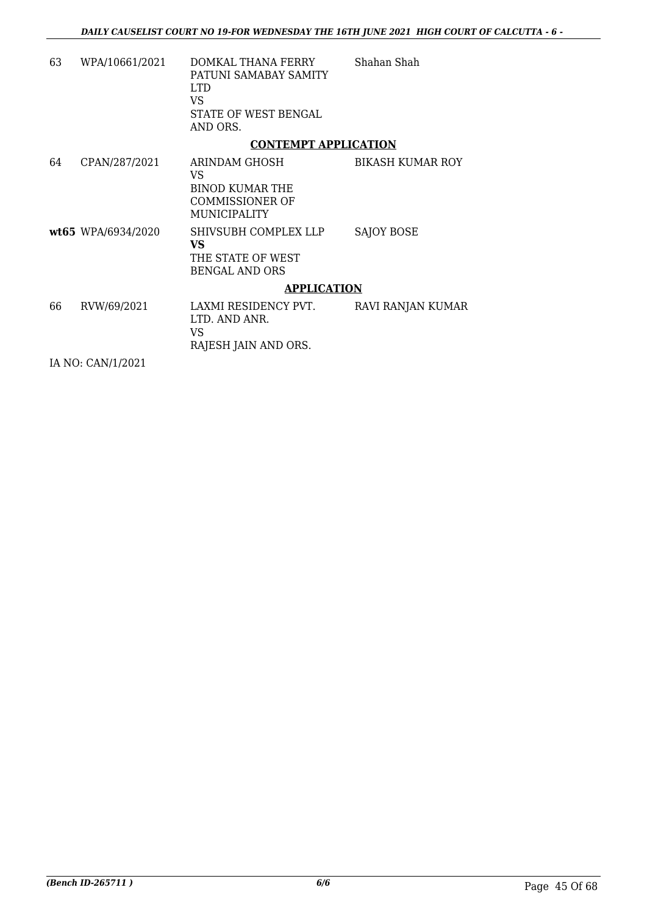| 63 | WPA/10661/2021     | DOMKAL THANA FERRY<br>PATUNI SAMABAY SAMITY<br><b>LTD</b><br>VS.<br>STATE OF WEST BENGAL<br>AND ORS. | Shahan Shah             |
|----|--------------------|------------------------------------------------------------------------------------------------------|-------------------------|
|    |                    | <b>CONTEMPT APPLICATION</b>                                                                          |                         |
| 64 | CPAN/287/2021      | ARINDAM GHOSH<br>VS<br><b>BINOD KUMAR THE</b><br>COMMISSIONER OF<br>MUNICIPALITY                     | <b>BIKASH KUMAR ROY</b> |
|    | wt65 WPA/6934/2020 | SHIVSUBH COMPLEX LLP<br><b>VS</b><br>THE STATE OF WEST<br><b>BENGAL AND ORS</b>                      | <b>SAJOY BOSE</b>       |
|    |                    | <b>APPLICATION</b>                                                                                   |                         |
| 66 | RVW/69/2021        | LAXMI RESIDENCY PVT.<br>LTD. AND ANR.<br>VS.<br>RAJESH JAIN AND ORS.                                 | RAVI RANJAN KUMAR       |

IA NO: CAN/1/2021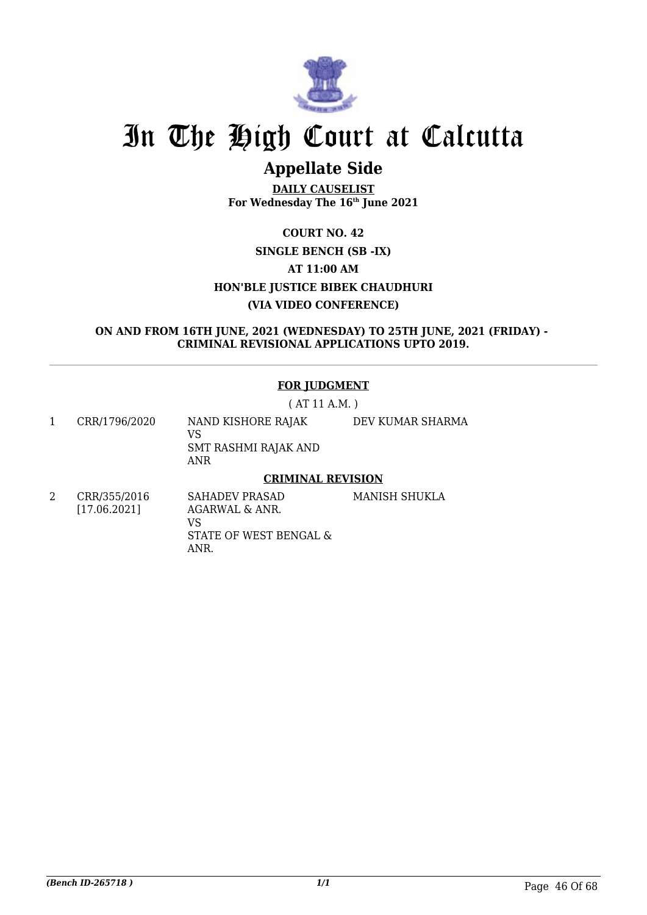

# **Appellate Side**

**DAILY CAUSELIST For Wednesday The 16th June 2021**

# **COURT NO. 42 SINGLE BENCH (SB -IX) AT 11:00 AM HON'BLE JUSTICE BIBEK CHAUDHURI (VIA VIDEO CONFERENCE)**

#### **ON AND FROM 16TH JUNE, 2021 (WEDNESDAY) TO 25TH JUNE, 2021 (FRIDAY) - CRIMINAL REVISIONAL APPLICATIONS UPTO 2019.**

# **FOR JUDGMENT**

( AT 11 A.M. )

1 CRR/1796/2020 NAND KISHORE RAJAK VS SMT RASHMI RAJAK AND ANR DEV KUMAR SHARMA

## **CRIMINAL REVISION**

2 CRR/355/2016 [17.06.2021] SAHADEV PRASAD AGARWAL & ANR. VS STATE OF WEST BENGAL & MANISH SHUKLA

ANR.

*(Bench ID-265718 ) 1/1* Page 46 Of 68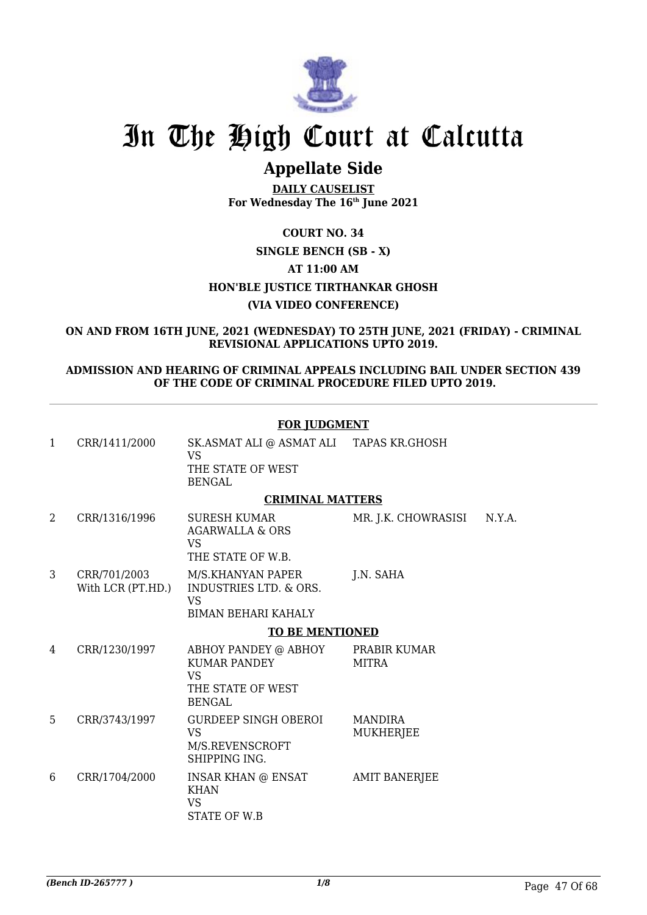

# **Appellate Side**

**DAILY CAUSELIST For Wednesday The 16th June 2021**

# **COURT NO. 34 SINGLE BENCH (SB - X) AT 11:00 AM HON'BLE JUSTICE TIRTHANKAR GHOSH (VIA VIDEO CONFERENCE)**

**ON AND FROM 16TH JUNE, 2021 (WEDNESDAY) TO 25TH JUNE, 2021 (FRIDAY) - CRIMINAL REVISIONAL APPLICATIONS UPTO 2019.**

### **ADMISSION AND HEARING OF CRIMINAL APPEALS INCLUDING BAIL UNDER SECTION 439 OF THE CODE OF CRIMINAL PROCEDURE FILED UPTO 2019.**

|              | <b>FOR JUDGMENT</b>               |                                                                                                   |                                    |        |
|--------------|-----------------------------------|---------------------------------------------------------------------------------------------------|------------------------------------|--------|
| $\mathbf{1}$ | CRR/1411/2000                     | SK.ASMAT ALI @ ASMAT ALI TAPAS KR.GHOSH<br>VS<br>THE STATE OF WEST<br><b>BENGAL</b>               |                                    |        |
|              |                                   | <b>CRIMINAL MATTERS</b>                                                                           |                                    |        |
| 2            | CRR/1316/1996                     | <b>SURESH KUMAR</b><br>AGARWALLA & ORS<br>VS.<br>THE STATE OF W.B.                                | MR. J.K. CHOWRASISI                | N.Y.A. |
| 3            | CRR/701/2003<br>With LCR (PT.HD.) | M/S.KHANYAN PAPER<br><b>INDUSTRIES LTD. &amp; ORS.</b><br><b>VS</b><br><b>BIMAN BEHARI KAHALY</b> | J.N. SAHA                          |        |
|              |                                   | <b>TO BE MENTIONED</b>                                                                            |                                    |        |
| 4            | CRR/1230/1997                     | ABHOY PANDEY @ ABHOY<br><b>KUMAR PANDEY</b><br><b>VS</b><br>THE STATE OF WEST<br><b>BENGAL</b>    | PRABIR KUMAR<br><b>MITRA</b>       |        |
| 5            | CRR/3743/1997                     | <b>GURDEEP SINGH OBEROI</b><br><b>VS</b><br>M/S.REVENSCROFT<br>SHIPPING ING.                      | <b>MANDIRA</b><br><b>MUKHERJEE</b> |        |
| 6            | CRR/1704/2000                     | INSAR KHAN @ ENSAT<br><b>KHAN</b><br><b>VS</b><br>STATE OF W.B                                    | <b>AMIT BANERJEE</b>               |        |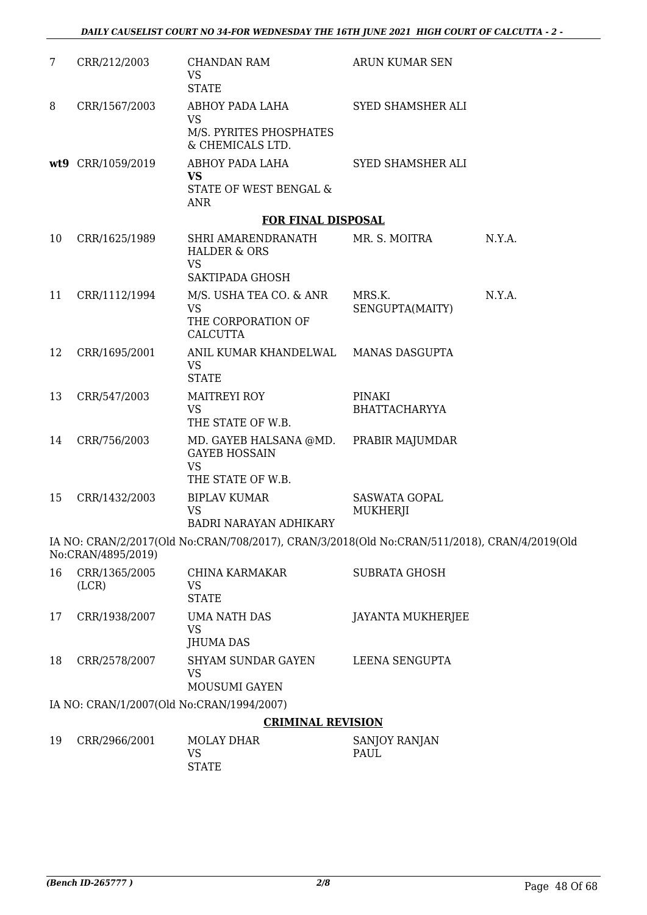| 7  | CRR/212/2003                              | CHANDAN RAM<br><b>VS</b><br><b>STATE</b>                                                         | ARUN KUMAR SEN                   |        |
|----|-------------------------------------------|--------------------------------------------------------------------------------------------------|----------------------------------|--------|
| 8  | CRR/1567/2003                             | ABHOY PADA LAHA<br><b>VS</b><br>M/S. PYRITES PHOSPHATES<br>& CHEMICALS LTD.                      | SYED SHAMSHER ALI                |        |
|    | wt9 CRR/1059/2019                         | ABHOY PADA LAHA<br><b>VS</b><br>STATE OF WEST BENGAL &<br><b>ANR</b>                             | SYED SHAMSHER ALI                |        |
|    |                                           | <b>FOR FINAL DISPOSAL</b>                                                                        |                                  |        |
| 10 | CRR/1625/1989                             | SHRI AMARENDRANATH<br><b>HALDER &amp; ORS</b><br><b>VS</b><br>SAKTIPADA GHOSH                    | MR. S. MOITRA                    | N.Y.A. |
| 11 | CRR/1112/1994                             | M/S. USHA TEA CO. & ANR<br><b>VS</b><br>THE CORPORATION OF<br><b>CALCUTTA</b>                    | MRS.K.<br>SENGUPTA(MAITY)        | N.Y.A. |
| 12 | CRR/1695/2001                             | ANIL KUMAR KHANDELWAL MANAS DASGUPTA<br><b>VS</b><br><b>STATE</b>                                |                                  |        |
| 13 | CRR/547/2003                              | <b>MAITREYI ROY</b><br><b>VS</b><br>THE STATE OF W.B.                                            | PINAKI<br><b>BHATTACHARYYA</b>   |        |
| 14 | CRR/756/2003                              | MD. GAYEB HALSANA @MD. PRABIR MAJUMDAR<br><b>GAYEB HOSSAIN</b><br><b>VS</b><br>THE STATE OF W.B. |                                  |        |
| 15 | CRR/1432/2003                             | <b>BIPLAV KUMAR</b><br><b>VS</b><br><b>BADRI NARAYAN ADHIKARY</b>                                | <b>SASWATA GOPAL</b><br>MUKHERJI |        |
|    | No:CRAN/4895/2019)                        | IA NO: CRAN/2/2017(Old No:CRAN/708/2017), CRAN/3/2018(Old No:CRAN/511/2018), CRAN/4/2019(Old     |                                  |        |
| 16 | CRR/1365/2005<br>(LCR)                    | CHINA KARMAKAR<br><b>VS</b><br><b>STATE</b>                                                      | <b>SUBRATA GHOSH</b>             |        |
| 17 | CRR/1938/2007                             | <b>UMA NATH DAS</b><br><b>VS</b><br><b>JHUMA DAS</b>                                             | <b>JAYANTA MUKHERJEE</b>         |        |
| 18 | CRR/2578/2007                             | <b>SHYAM SUNDAR GAYEN</b><br><b>VS</b><br>MOUSUMI GAYEN                                          | LEENA SENGUPTA                   |        |
|    | IA NO: CRAN/1/2007(Old No:CRAN/1994/2007) |                                                                                                  |                                  |        |
|    |                                           | <b>CRIMINAL REVISION</b>                                                                         |                                  |        |
| 19 | CRR/2966/2001                             | <b>MOLAY DHAR</b><br><b>VS</b><br><b>STATE</b>                                                   | SANJOY RANJAN<br>PAUL            |        |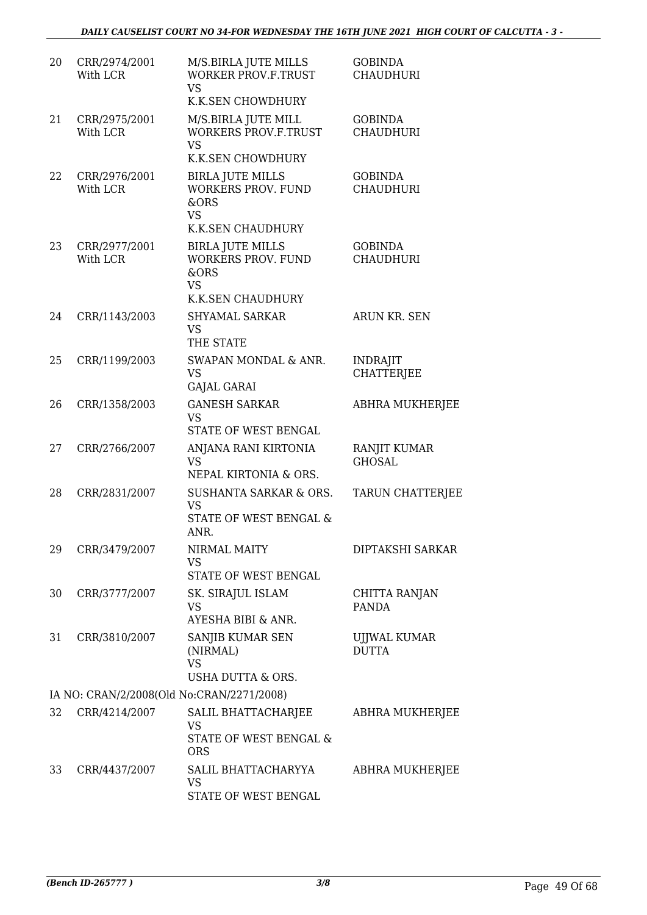| 20 | CRR/2974/2001<br>With LCR                 | M/S.BIRLA JUTE MILLS<br><b>WORKER PROV.F.TRUST</b><br><b>VS</b><br>K.K.SEN CHOWDHURY           | <b>GOBINDA</b><br><b>CHAUDHURI</b>   |
|----|-------------------------------------------|------------------------------------------------------------------------------------------------|--------------------------------------|
| 21 | CRR/2975/2001<br>With LCR                 | M/S.BIRLA JUTE MILL<br><b>WORKERS PROV.F.TRUST</b><br><b>VS</b><br>K.K.SEN CHOWDHURY           | <b>GOBINDA</b><br><b>CHAUDHURI</b>   |
| 22 | CRR/2976/2001<br>With LCR                 | <b>BIRLA JUTE MILLS</b><br><b>WORKERS PROV. FUND</b><br>&ORS<br><b>VS</b><br>K.K.SEN CHAUDHURY | <b>GOBINDA</b><br><b>CHAUDHURI</b>   |
| 23 | CRR/2977/2001<br>With LCR                 | <b>BIRLA JUTE MILLS</b><br>WORKERS PROV. FUND<br>&ORS<br><b>VS</b><br><b>K.K.SEN CHAUDHURY</b> | <b>GOBINDA</b><br><b>CHAUDHURI</b>   |
| 24 | CRR/1143/2003                             | <b>SHYAMAL SARKAR</b><br><b>VS</b><br>THE STATE                                                | ARUN KR. SEN                         |
| 25 | CRR/1199/2003                             | SWAPAN MONDAL & ANR.<br><b>VS</b><br><b>GAJAL GARAI</b>                                        | <b>INDRAJIT</b><br><b>CHATTERJEE</b> |
| 26 | CRR/1358/2003                             | <b>GANESH SARKAR</b><br><b>VS</b><br>STATE OF WEST BENGAL                                      | ABHRA MUKHERJEE                      |
| 27 | CRR/2766/2007                             | ANJANA RANI KIRTONIA<br><b>VS</b><br>NEPAL KIRTONIA & ORS.                                     | RANJIT KUMAR<br><b>GHOSAL</b>        |
| 28 | CRR/2831/2007                             | SUSHANTA SARKAR & ORS.<br><b>VS</b><br>STATE OF WEST BENGAL &<br>ANR.                          | TARUN CHATTERJEE                     |
| 29 | CRR/3479/2007                             | NIRMAL MAITY<br><b>VS</b><br>STATE OF WEST BENGAL                                              | DIPTAKSHI SARKAR                     |
| 30 | CRR/3777/2007                             | SK. SIRAJUL ISLAM<br><b>VS</b><br><b>AYESHA BIBI &amp; ANR.</b>                                | CHITTA RANJAN<br><b>PANDA</b>        |
| 31 | CRR/3810/2007                             | SANJIB KUMAR SEN<br>(NIRMAL)<br><b>VS</b><br>USHA DUTTA & ORS.                                 | UJJWAL KUMAR<br><b>DUTTA</b>         |
|    | IA NO: CRAN/2/2008(Old No:CRAN/2271/2008) |                                                                                                |                                      |
| 32 | CRR/4214/2007                             | SALIL BHATTACHARJEE<br><b>VS</b><br>STATE OF WEST BENGAL &<br><b>ORS</b>                       | ABHRA MUKHERJEE                      |
| 33 | CRR/4437/2007                             | SALIL BHATTACHARYYA<br><b>VS</b><br>STATE OF WEST BENGAL                                       | ABHRA MUKHERJEE                      |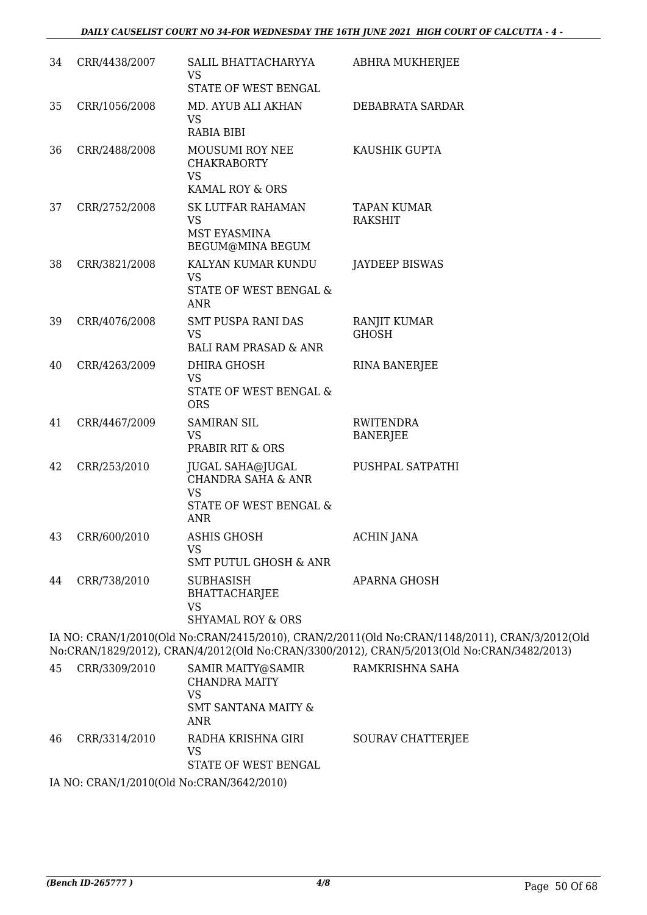| 34 | CRR/4438/2007   | SALIL BHATTACHARYYA<br><b>VS</b><br>STATE OF WEST BENGAL                                                      | <b>ABHRA MUKHERJEE</b>              |
|----|-----------------|---------------------------------------------------------------------------------------------------------------|-------------------------------------|
| 35 | CRR/1056/2008   | MD. AYUB ALI AKHAN<br><b>VS</b><br><b>RABIA BIBI</b>                                                          | DEBABRATA SARDAR                    |
| 36 | CRR/2488/2008   | MOUSUMI ROY NEE<br><b>CHAKRABORTY</b><br><b>VS</b><br>KAMAL ROY & ORS                                         | KAUSHIK GUPTA                       |
| 37 | CRR/2752/2008   | SK LUTFAR RAHAMAN<br><b>VS</b><br><b>MST EYASMINA</b><br>BEGUM@MINA BEGUM                                     | TAPAN KUMAR<br><b>RAKSHIT</b>       |
| 38 | CRR/3821/2008   | KALYAN KUMAR KUNDU<br><b>VS</b><br>STATE OF WEST BENGAL &<br><b>ANR</b>                                       | <b>JAYDEEP BISWAS</b>               |
| 39 | CRR/4076/2008   | <b>SMT PUSPA RANI DAS</b><br><b>VS</b><br><b>BALI RAM PRASAD &amp; ANR</b>                                    | <b>RANJIT KUMAR</b><br><b>GHOSH</b> |
| 40 | CRR/4263/2009   | <b>DHIRA GHOSH</b><br><b>VS</b><br>STATE OF WEST BENGAL &<br><b>ORS</b>                                       | <b>RINA BANERJEE</b>                |
| 41 | CRR/4467/2009   | <b>SAMIRAN SIL</b><br><b>VS</b><br>PRABIR RIT & ORS                                                           | <b>RWITENDRA</b><br><b>BANERJEE</b> |
| 42 | CRR/253/2010    | <b>JUGAL SAHA@JUGAL</b><br><b>CHANDRA SAHA &amp; ANR</b><br><b>VS</b><br>STATE OF WEST BENGAL &<br><b>ANR</b> | PUSHPAL SATPATHI                    |
|    | 43 CRR/600/2010 | <b>ASHIS GHOSH</b><br><b>VS</b><br><b>SMT PUTUL GHOSH &amp; ANR</b>                                           | <b>ACHIN JANA</b>                   |
| 44 | CRR/738/2010    | <b>SUBHASISH</b><br><b>BHATTACHARJEE</b><br><b>VS</b><br><b>SHYAMAL ROY &amp; ORS</b>                         | APARNA GHOSH                        |

IA NO: CRAN/1/2010(Old No:CRAN/2415/2010), CRAN/2/2011(Old No:CRAN/1148/2011), CRAN/3/2012(Old No:CRAN/1829/2012), CRAN/4/2012(Old No:CRAN/3300/2012), CRAN/5/2013(Old No:CRAN/3482/2013)

| 45 | CRR/3309/2010 | SAMIR MAITY@SAMIR<br><b>CHANDRA MAITY</b><br>VS<br>SMT SANTANA MAITY &<br>ANR | RAMKRISHNA SAHA   |
|----|---------------|-------------------------------------------------------------------------------|-------------------|
| 46 | CRR/3314/2010 | RADHA KRISHNA GIRI<br>VS<br>STATE OF WEST BENGAL                              | SOURAV CHATTERIEE |
|    |               | TA NIO ODANTIA IDOAOIOLI NT. ODANTIDOAOIOJOAO                                 |                   |

IA NO: CRAN/1/2010(Old No:CRAN/3642/2010)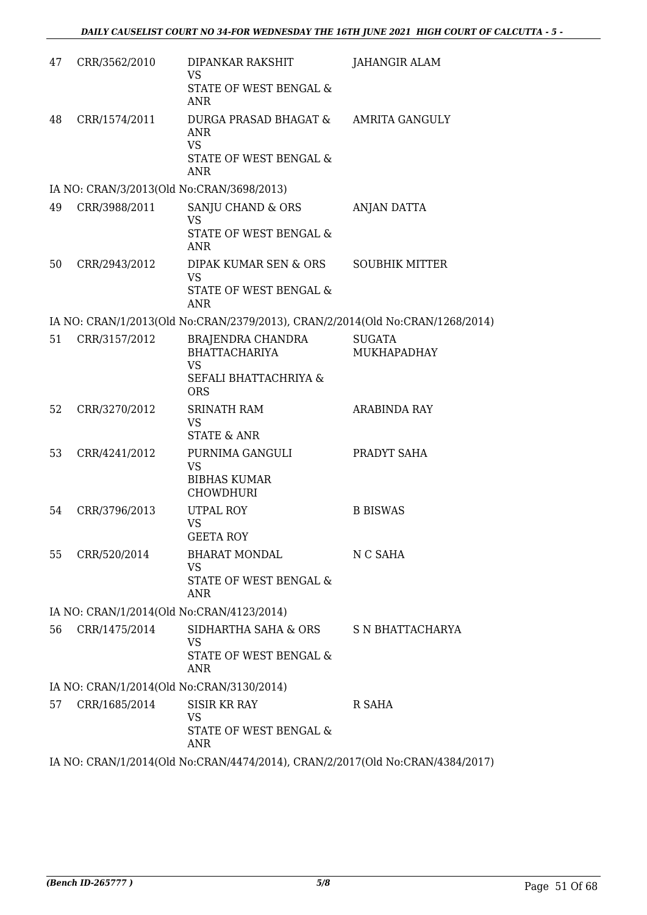| 47 | CRR/3562/2010 | DIPANKAR RAKSHIT<br><b>VS</b><br><b>STATE OF WEST BENGAL &amp;</b>                                  | <b>JAHANGIR ALAM</b>                |
|----|---------------|-----------------------------------------------------------------------------------------------------|-------------------------------------|
|    |               | <b>ANR</b>                                                                                          |                                     |
| 48 | CRR/1574/2011 | DURGA PRASAD BHAGAT &<br><b>ANR</b><br><b>VS</b><br><b>STATE OF WEST BENGAL &amp;</b><br><b>ANR</b> | AMRITA GANGULY                      |
|    |               | IA NO: CRAN/3/2013(Old No:CRAN/3698/2013)                                                           |                                     |
| 49 | CRR/3988/2011 | SANJU CHAND & ORS<br>VS<br>STATE OF WEST BENGAL &<br><b>ANR</b>                                     | ANJAN DATTA                         |
| 50 | CRR/2943/2012 | DIPAK KUMAR SEN & ORS<br>VS<br>STATE OF WEST BENGAL &<br><b>ANR</b>                                 | <b>SOUBHIK MITTER</b>               |
|    |               | IA NO: CRAN/1/2013(Old No:CRAN/2379/2013), CRAN/2/2014(Old No:CRAN/1268/2014)                       |                                     |
| 51 | CRR/3157/2012 | BRAJENDRA CHANDRA<br><b>BHATTACHARIYA</b><br><b>VS</b>                                              | <b>SUGATA</b><br><b>MUKHAPADHAY</b> |
|    |               | SEFALI BHATTACHRIYA &<br><b>ORS</b>                                                                 |                                     |
| 52 | CRR/3270/2012 | <b>SRINATH RAM</b><br>VS<br><b>STATE &amp; ANR</b>                                                  | <b>ARABINDA RAY</b>                 |
| 53 | CRR/4241/2012 | PURNIMA GANGULI<br><b>VS</b><br><b>BIBHAS KUMAR</b><br><b>CHOWDHURI</b>                             | PRADYT SAHA                         |
| 54 | CRR/3796/2013 | UTPAL ROY<br>VS<br><b>GEETA ROY</b>                                                                 | <b>B BISWAS</b>                     |
| 55 | CRR/520/2014  | <b>BHARAT MONDAL</b><br>VS<br>STATE OF WEST BENGAL &<br><b>ANR</b>                                  | N C SAHA                            |
|    |               | IA NO: CRAN/1/2014(Old No:CRAN/4123/2014)                                                           |                                     |
| 56 | CRR/1475/2014 | SIDHARTHA SAHA & ORS<br>VS<br><b>STATE OF WEST BENGAL &amp;</b><br>ANR                              | S N BHATTACHARYA                    |
|    |               | IA NO: CRAN/1/2014(Old No:CRAN/3130/2014)                                                           |                                     |
| 57 | CRR/1685/2014 | <b>SISIR KR RAY</b><br>VS<br><b>STATE OF WEST BENGAL &amp;</b><br><b>ANR</b>                        | R SAHA                              |
|    |               | IA NO: CRAN/1/2014(Old No:CRAN/4474/2014), CRAN/2/2017(Old No:CRAN/4384/2017)                       |                                     |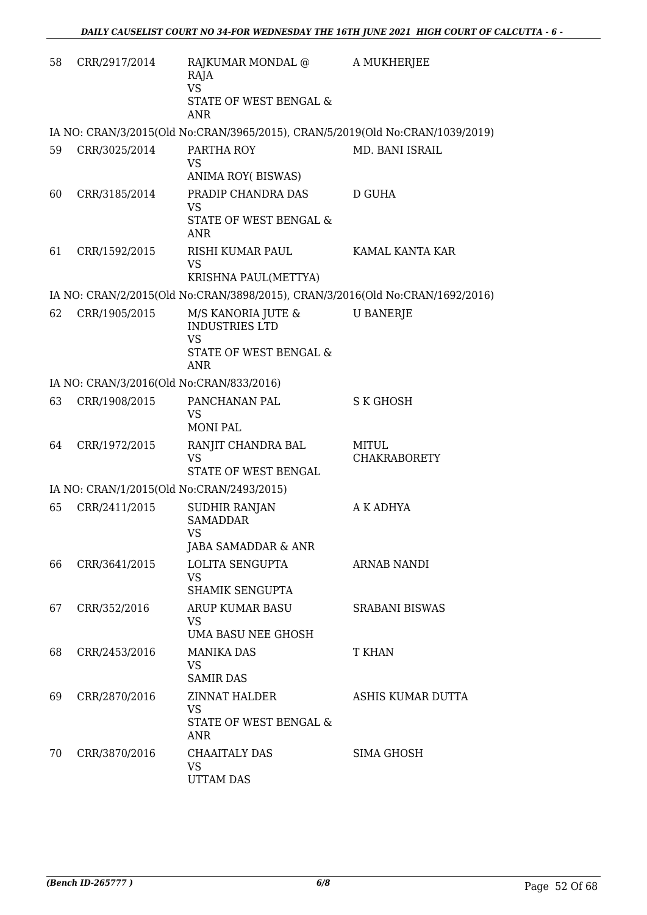| 58 | CRR/2917/2014 | RAJKUMAR MONDAL @<br>RAJA<br><b>VS</b><br>STATE OF WEST BENGAL &<br><b>ANR</b>            | A MUKHERJEE                         |
|----|---------------|-------------------------------------------------------------------------------------------|-------------------------------------|
|    |               | IA NO: CRAN/3/2015(Old No:CRAN/3965/2015), CRAN/5/2019(Old No:CRAN/1039/2019)             |                                     |
| 59 | CRR/3025/2014 | PARTHA ROY<br><b>VS</b><br>ANIMA ROY(BISWAS)                                              | MD. BANI ISRAIL                     |
| 60 | CRR/3185/2014 | PRADIP CHANDRA DAS<br><b>VS</b><br>STATE OF WEST BENGAL &<br><b>ANR</b>                   | D GUHA                              |
| 61 | CRR/1592/2015 | RISHI KUMAR PAUL<br><b>VS</b><br>KRISHNA PAUL(METTYA)                                     | KAMAL KANTA KAR                     |
|    |               | IA NO: CRAN/2/2015(Old No:CRAN/3898/2015), CRAN/3/2016(Old No:CRAN/1692/2016)             |                                     |
| 62 | CRR/1905/2015 | M/S KANORIA JUTE &<br><b>INDUSTRIES LTD</b><br>VS<br>STATE OF WEST BENGAL &<br><b>ANR</b> | <b>U BANERJE</b>                    |
|    |               | IA NO: CRAN/3/2016(Old No:CRAN/833/2016)                                                  |                                     |
| 63 | CRR/1908/2015 | PANCHANAN PAL<br><b>VS</b><br><b>MONI PAL</b>                                             | S K GHOSH                           |
| 64 | CRR/1972/2015 | RANJIT CHANDRA BAL<br><b>VS</b><br>STATE OF WEST BENGAL                                   | <b>MITUL</b><br><b>CHAKRABORETY</b> |
|    |               | IA NO: CRAN/1/2015(Old No:CRAN/2493/2015)                                                 |                                     |
| 65 | CRR/2411/2015 | <b>SUDHIR RANJAN</b><br><b>SAMADDAR</b><br><b>VS</b><br>JABA SAMADDAR & ANR               | A K ADHYA                           |
| 66 | CRR/3641/2015 | LOLITA SENGUPTA<br><b>VS</b><br><b>SHAMIK SENGUPTA</b>                                    | ARNAB NANDI                         |
| 67 | CRR/352/2016  | ARUP KUMAR BASU<br><b>VS</b><br>UMA BASU NEE GHOSH                                        | <b>SRABANI BISWAS</b>               |
| 68 | CRR/2453/2016 | <b>MANIKA DAS</b><br>VS<br><b>SAMIR DAS</b>                                               | T KHAN                              |
| 69 | CRR/2870/2016 | ZINNAT HALDER<br><b>VS</b><br>STATE OF WEST BENGAL &<br>ANR                               | ASHIS KUMAR DUTTA                   |
| 70 | CRR/3870/2016 | <b>CHAAITALY DAS</b><br><b>VS</b><br><b>UTTAM DAS</b>                                     | SIMA GHOSH                          |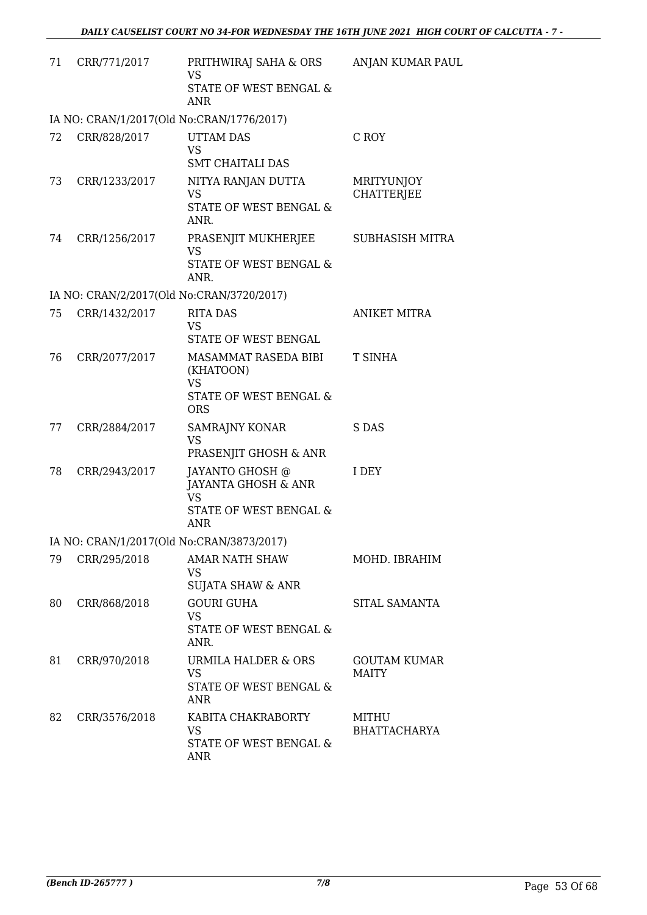| 71 | CRR/771/2017  | PRITHWIRAJ SAHA & ORS<br><b>VS</b><br><b>STATE OF WEST BENGAL &amp;</b><br><b>ANR</b>       | ANJAN KUMAR PAUL                |
|----|---------------|---------------------------------------------------------------------------------------------|---------------------------------|
|    |               | IA NO: CRAN/1/2017(Old No:CRAN/1776/2017)                                                   |                                 |
| 72 | CRR/828/2017  | <b>UTTAM DAS</b><br><b>VS</b><br><b>SMT CHAITALI DAS</b>                                    | C ROY                           |
| 73 | CRR/1233/2017 | NITYA RANJAN DUTTA<br><b>VS</b><br><b>STATE OF WEST BENGAL &amp;</b><br>ANR.                | MRITYUNJOY<br><b>CHATTERJEE</b> |
| 74 | CRR/1256/2017 | PRASENJIT MUKHERJEE<br><b>VS</b><br>STATE OF WEST BENGAL &<br>ANR.                          | SUBHASISH MITRA                 |
|    |               | IA NO: CRAN/2/2017(Old No:CRAN/3720/2017)                                                   |                                 |
| 75 | CRR/1432/2017 | <b>RITA DAS</b><br><b>VS</b><br>STATE OF WEST BENGAL                                        | <b>ANIKET MITRA</b>             |
| 76 | CRR/2077/2017 | MASAMMAT RASEDA BIBI<br>(KHATOON)<br><b>VS</b><br>STATE OF WEST BENGAL &<br><b>ORS</b>      | <b>T SINHA</b>                  |
| 77 | CRR/2884/2017 | <b>SAMRAJNY KONAR</b><br><b>VS</b><br>PRASENJIT GHOSH & ANR                                 | S DAS                           |
| 78 | CRR/2943/2017 | JAYANTO GHOSH @<br>JAYANTA GHOSH & ANR<br><b>VS</b><br>STATE OF WEST BENGAL &<br><b>ANR</b> | <b>I DEY</b>                    |
|    |               | IA NO: CRAN/1/2017(Old No:CRAN/3873/2017)                                                   |                                 |
| 79 | CRR/295/2018  | <b>AMAR NATH SHAW</b><br><b>VS</b><br>SUJATA SHAW & ANR                                     | MOHD. IBRAHIM                   |
| 80 | CRR/868/2018  | <b>GOURI GUHA</b><br><b>VS</b><br>STATE OF WEST BENGAL &<br>ANR.                            | SITAL SAMANTA                   |
| 81 | CRR/970/2018  | <b>URMILA HALDER &amp; ORS</b><br><b>VS</b><br>STATE OF WEST BENGAL &<br><b>ANR</b>         | <b>GOUTAM KUMAR</b><br>MAITY    |
| 82 | CRR/3576/2018 | KABITA CHAKRABORTY<br><b>VS</b><br>STATE OF WEST BENGAL &<br><b>ANR</b>                     | MITHU<br><b>BHATTACHARYA</b>    |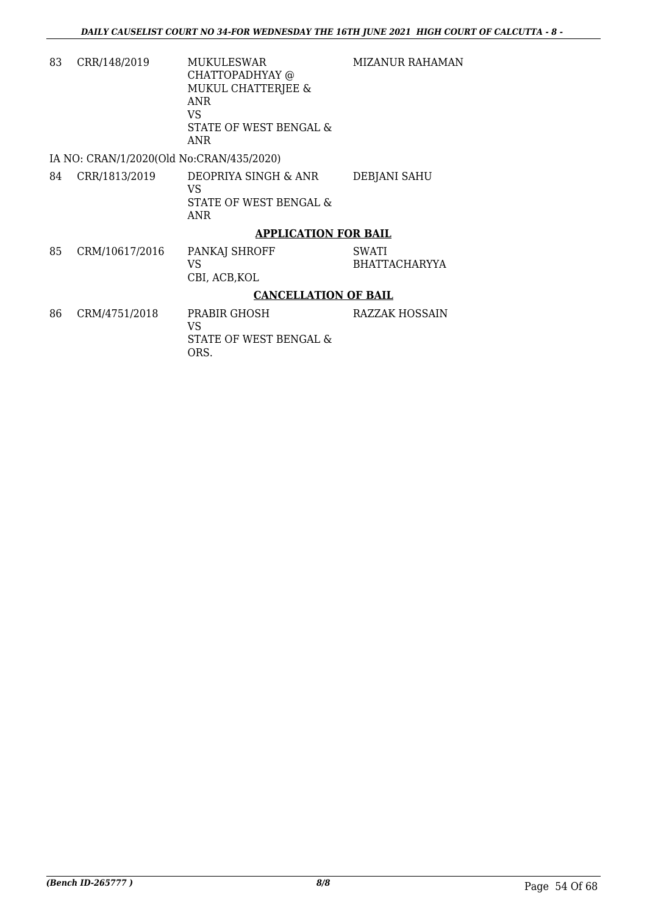MIZANUR RAHAMAN

83 CRR/148/2019 MUKULESWAR CHATTOPADHYAY @ MUKUL CHATTERJEE & ANR VS STATE OF WEST BENGAL & ANR

IA NO: CRAN/1/2020(Old No:CRAN/435/2020)

84 CRR/1813/2019 DEOPRIYA SINGH & ANR VS STATE OF WEST BENGAL & ANR DEBJANI SAHU

# **APPLICATION FOR BAIL**

85 CRM/10617/2016 PANKAJ SHROFF VS CBI, ACB,KOL SWATI BHATTACHARYYA

## **CANCELLATION OF BAIL**

86 CRM/4751/2018 PRABIR GHOSH VS STATE OF WEST BENGAL & ORS. RAZZAK HOSSAIN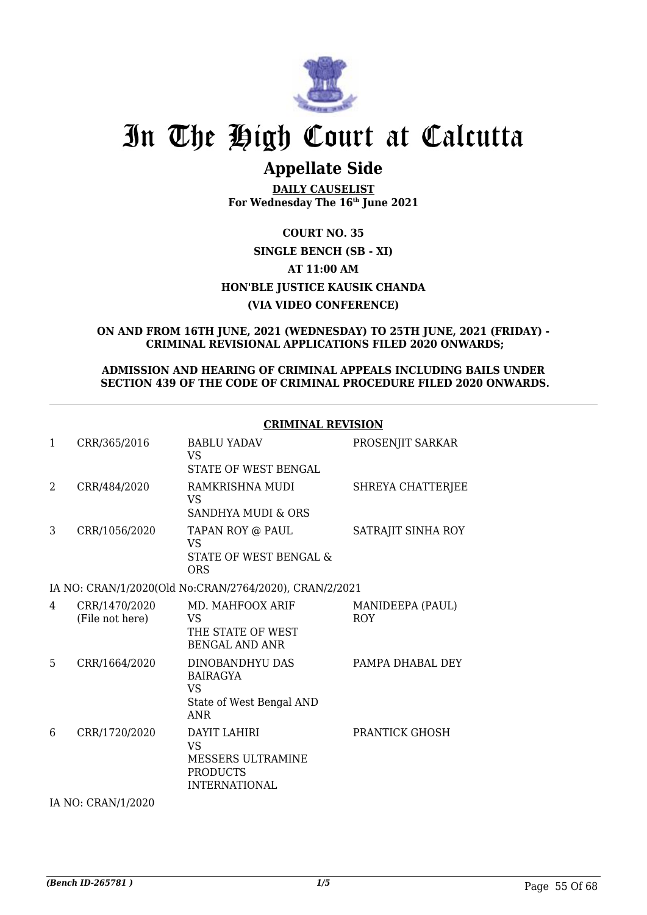

# **Appellate Side**

**DAILY CAUSELIST For Wednesday The 16th June 2021**

# **COURT NO. 35 SINGLE BENCH (SB - XI) AT 11:00 AM HON'BLE JUSTICE KAUSIK CHANDA (VIA VIDEO CONFERENCE)**

#### **ON AND FROM 16TH JUNE, 2021 (WEDNESDAY) TO 25TH JUNE, 2021 (FRIDAY) - CRIMINAL REVISIONAL APPLICATIONS FILED 2020 ONWARDS;**

### **ADMISSION AND HEARING OF CRIMINAL APPEALS INCLUDING BAILS UNDER SECTION 439 OF THE CODE OF CRIMINAL PROCEDURE FILED 2020 ONWARDS.**

## **CRIMINAL REVISION**

| 1 | CRR/365/2016                     | <b>BABLU YADAV</b><br><b>VS</b><br>STATE OF WEST BENGAL                                   | PROSENJIT SARKAR               |  |  |
|---|----------------------------------|-------------------------------------------------------------------------------------------|--------------------------------|--|--|
| 2 | CRR/484/2020                     | RAMKRISHNA MUDI<br>VS<br><b>SANDHYA MUDI &amp; ORS</b>                                    | SHREYA CHATTERJEE              |  |  |
| 3 | CRR/1056/2020                    | TAPAN ROY @ PAUL<br>VS<br>STATE OF WEST BENGAL &<br><b>ORS</b>                            | SATRAJIT SINHA ROY             |  |  |
|   |                                  | IA NO: CRAN/1/2020(Old No:CRAN/2764/2020), CRAN/2/2021                                    |                                |  |  |
| 4 | CRR/1470/2020<br>(File not here) | MD. MAHFOOX ARIF<br>VS<br>THE STATE OF WEST<br><b>BENGAL AND ANR</b>                      | MANIDEEPA (PAUL)<br><b>ROY</b> |  |  |
| 5 | CRR/1664/2020                    | DINOBANDHYU DAS<br><b>BAIRAGYA</b><br><b>VS</b><br>State of West Bengal AND<br><b>ANR</b> | PAMPA DHABAL DEY               |  |  |
| 6 | CRR/1720/2020                    | DAYIT LAHIRI<br><b>VS</b><br>MESSERS ULTRAMINE<br><b>PRODUCTS</b><br><b>INTERNATIONAL</b> | <b>PRANTICK GHOSH</b>          |  |  |
|   | IA NO: CRAN/1/2020               |                                                                                           |                                |  |  |

*(Bench ID-265781 ) 1/5* Page 55 Of 68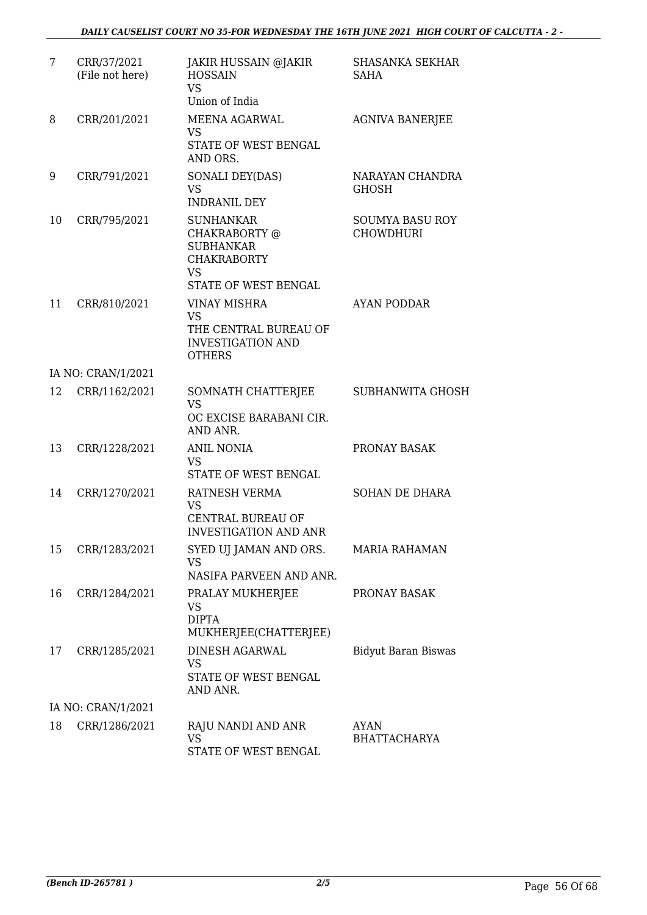| 7  | CRR/37/2021<br>(File not here) | JAKIR HUSSAIN @JAKIR<br><b>HOSSAIN</b><br><b>VS</b><br>Union of India                                            | <b>SHASANKA SEKHAR</b><br>SAHA             |
|----|--------------------------------|------------------------------------------------------------------------------------------------------------------|--------------------------------------------|
| 8  | CRR/201/2021                   | MEENA AGARWAL<br><b>VS</b><br>STATE OF WEST BENGAL<br>AND ORS.                                                   | <b>AGNIVA BANERJEE</b>                     |
| 9  | CRR/791/2021                   | SONALI DEY(DAS)<br><b>VS</b><br><b>INDRANIL DEY</b>                                                              | NARAYAN CHANDRA<br><b>GHOSH</b>            |
| 10 | CRR/795/2021                   | <b>SUNHANKAR</b><br>CHAKRABORTY @<br><b>SUBHANKAR</b><br><b>CHAKRABORTY</b><br><b>VS</b><br>STATE OF WEST BENGAL | <b>SOUMYA BASU ROY</b><br><b>CHOWDHURI</b> |
| 11 | CRR/810/2021                   | <b>VINAY MISHRA</b><br><b>VS</b><br>THE CENTRAL BUREAU OF<br><b>INVESTIGATION AND</b><br><b>OTHERS</b>           | <b>AYAN PODDAR</b>                         |
|    | IA NO: CRAN/1/2021             |                                                                                                                  |                                            |
| 12 | CRR/1162/2021                  | SOMNATH CHATTERJEE<br><b>VS</b><br>OC EXCISE BARABANI CIR.<br>AND ANR.                                           | <b>SUBHANWITA GHOSH</b>                    |
| 13 | CRR/1228/2021                  | <b>ANIL NONIA</b><br><b>VS</b><br>STATE OF WEST BENGAL                                                           | PRONAY BASAK                               |
| 14 | CRR/1270/2021                  | RATNESH VERMA<br><b>VS</b><br><b>CENTRAL BUREAU OF</b><br><b>INVESTIGATION AND ANR</b>                           | <b>SOHAN DE DHARA</b>                      |
| 15 | CRR/1283/2021                  | SYED UJ JAMAN AND ORS.<br><b>VS</b><br>NASIFA PARVEEN AND ANR.                                                   | <b>MARIA RAHAMAN</b>                       |
| 16 | CRR/1284/2021                  | PRALAY MUKHERJEE<br>VS<br><b>DIPTA</b><br>MUKHERJEE(CHATTERJEE)                                                  | PRONAY BASAK                               |
| 17 | CRR/1285/2021                  | DINESH AGARWAL<br><b>VS</b><br>STATE OF WEST BENGAL<br>AND ANR.                                                  | <b>Bidyut Baran Biswas</b>                 |
|    | IA NO: CRAN/1/2021             |                                                                                                                  |                                            |
| 18 | CRR/1286/2021                  | RAJU NANDI AND ANR<br><b>VS</b><br>STATE OF WEST BENGAL                                                          | <b>AYAN</b><br><b>BHATTACHARYA</b>         |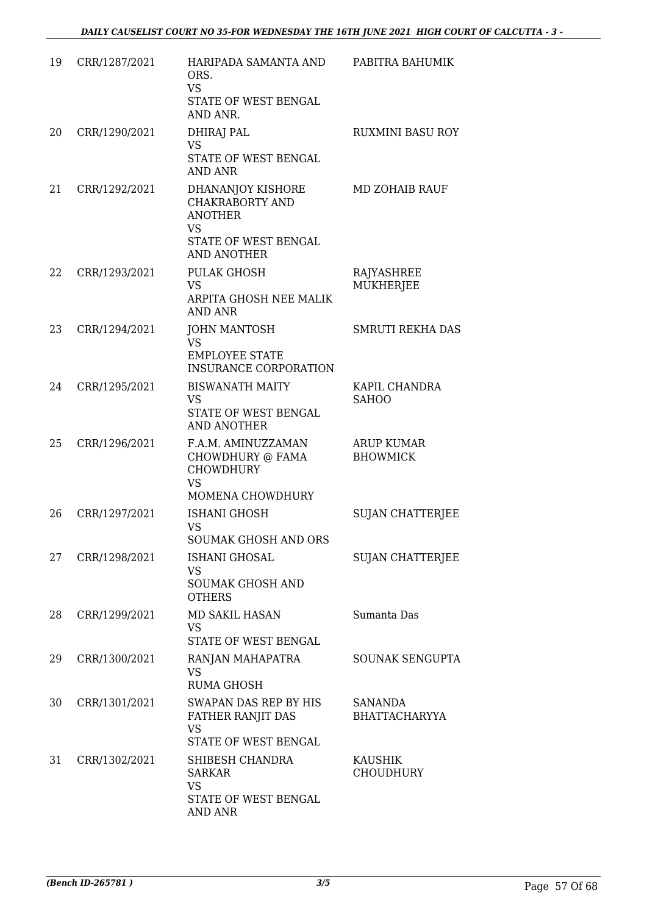| 19 | CRR/1287/2021 | HARIPADA SAMANTA AND<br>ORS.<br><b>VS</b><br>STATE OF WEST BENGAL<br>AND ANR.                                            | PABITRA BAHUMIK                        |
|----|---------------|--------------------------------------------------------------------------------------------------------------------------|----------------------------------------|
| 20 | CRR/1290/2021 | DHIRAJ PAL<br><b>VS</b><br>STATE OF WEST BENGAL<br><b>AND ANR</b>                                                        | <b>RUXMINI BASU ROY</b>                |
| 21 | CRR/1292/2021 | DHANANJOY KISHORE<br><b>CHAKRABORTY AND</b><br><b>ANOTHER</b><br><b>VS</b><br>STATE OF WEST BENGAL<br><b>AND ANOTHER</b> | MD ZOHAIB RAUF                         |
| 22 | CRR/1293/2021 | <b>PULAK GHOSH</b><br><b>VS</b><br>ARPITA GHOSH NEE MALIK<br><b>AND ANR</b>                                              | <b>RAJYASHREE</b><br><b>MUKHERJEE</b>  |
| 23 | CRR/1294/2021 | <b>JOHN MANTOSH</b><br><b>VS</b><br><b>EMPLOYEE STATE</b><br><b>INSURANCE CORPORATION</b>                                | <b>SMRUTI REKHA DAS</b>                |
| 24 | CRR/1295/2021 | <b>BISWANATH MAITY</b><br>VS<br>STATE OF WEST BENGAL<br><b>AND ANOTHER</b>                                               | KAPIL CHANDRA<br><b>SAHOO</b>          |
| 25 | CRR/1296/2021 | F.A.M. AMINUZZAMAN<br>CHOWDHURY @ FAMA<br><b>CHOWDHURY</b><br><b>VS</b><br><b>MOMENA CHOWDHURY</b>                       | ARUP KUMAR<br><b>BHOWMICK</b>          |
| 26 | CRR/1297/2021 | <b>ISHANI GHOSH</b><br><b>VS</b><br>SOUMAK GHOSH AND ORS                                                                 | <b>SUJAN CHATTERJEE</b>                |
| 27 | CRR/1298/2021 | ISHANI GHOSAL<br><b>VS</b><br><b>SOUMAK GHOSH AND</b><br><b>OTHERS</b>                                                   | <b>SUJAN CHATTERJEE</b>                |
| 28 | CRR/1299/2021 | MD SAKIL HASAN<br><b>VS</b><br>STATE OF WEST BENGAL                                                                      | Sumanta Das                            |
| 29 | CRR/1300/2021 | RANJAN MAHAPATRA<br>VS.<br><b>RUMA GHOSH</b>                                                                             | SOUNAK SENGUPTA                        |
| 30 | CRR/1301/2021 | SWAPAN DAS REP BY HIS<br>FATHER RANJIT DAS<br><b>VS</b><br>STATE OF WEST BENGAL                                          | <b>SANANDA</b><br><b>BHATTACHARYYA</b> |
| 31 | CRR/1302/2021 | SHIBESH CHANDRA<br><b>SARKAR</b><br><b>VS</b><br>STATE OF WEST BENGAL<br>AND ANR                                         | <b>KAUSHIK</b><br><b>CHOUDHURY</b>     |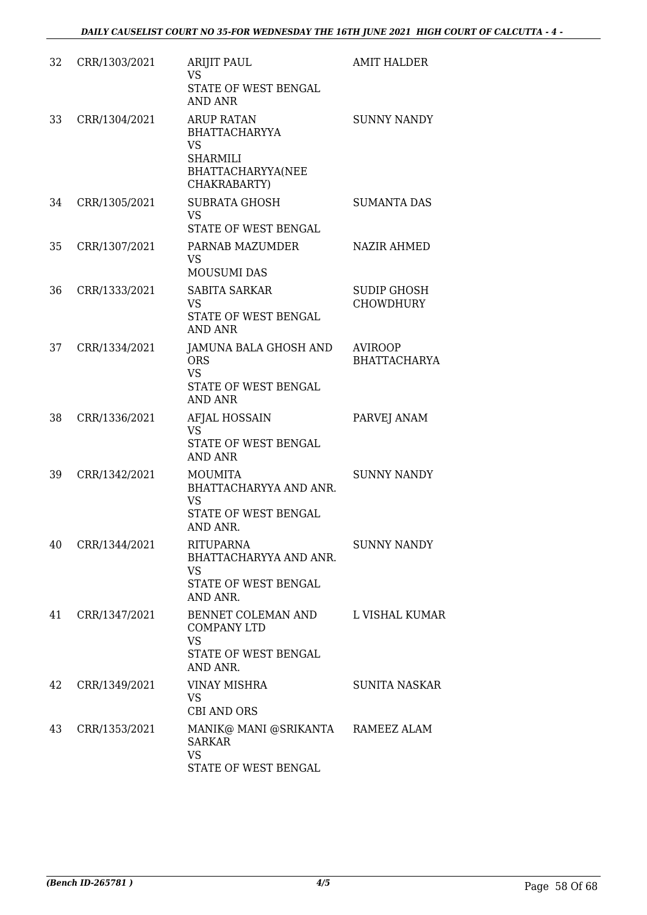| 32 | CRR/1303/2021 | <b>ARIJIT PAUL</b><br><b>VS</b><br>STATE OF WEST BENGAL<br><b>AND ANR</b>                                      | <b>AMIT HALDER</b>                     |
|----|---------------|----------------------------------------------------------------------------------------------------------------|----------------------------------------|
| 33 | CRR/1304/2021 | <b>ARUP RATAN</b><br><b>BHATTACHARYYA</b><br><b>VS</b><br><b>SHARMILI</b><br>BHATTACHARYYA(NEE<br>CHAKRABARTY) | <b>SUNNY NANDY</b>                     |
| 34 | CRR/1305/2021 | <b>SUBRATA GHOSH</b><br><b>VS</b><br>STATE OF WEST BENGAL                                                      | <b>SUMANTA DAS</b>                     |
| 35 | CRR/1307/2021 | PARNAB MAZUMDER<br><b>VS</b><br>MOUSUMI DAS                                                                    | <b>NAZIR AHMED</b>                     |
| 36 | CRR/1333/2021 | <b>SABITA SARKAR</b><br><b>VS</b><br>STATE OF WEST BENGAL<br><b>AND ANR</b>                                    | <b>SUDIP GHOSH</b><br><b>CHOWDHURY</b> |
| 37 | CRR/1334/2021 | JAMUNA BALA GHOSH AND<br><b>ORS</b><br><b>VS</b><br>STATE OF WEST BENGAL<br><b>AND ANR</b>                     | <b>AVIROOP</b><br><b>BHATTACHARYA</b>  |
| 38 | CRR/1336/2021 | AFJAL HOSSAIN<br><b>VS</b><br>STATE OF WEST BENGAL<br><b>AND ANR</b>                                           | PARVEJ ANAM                            |
| 39 | CRR/1342/2021 | <b>MOUMITA</b><br>BHATTACHARYYA AND ANR.<br><b>VS</b><br>STATE OF WEST BENGAL<br>AND ANR.                      | <b>SUNNY NANDY</b>                     |
| 40 | CRR/1344/2021 | RITUPARNA<br>BHATTACHARYYA AND ANR.<br><b>VS</b><br>STATE OF WEST BENGAL<br>AND ANR.                           | <b>SUNNY NANDY</b>                     |
| 41 | CRR/1347/2021 | BENNET COLEMAN AND<br><b>COMPANY LTD</b><br><b>VS</b><br>STATE OF WEST BENGAL<br>AND ANR.                      | L VISHAL KUMAR                         |
| 42 | CRR/1349/2021 | VINAY MISHRA<br>VS.<br><b>CBI AND ORS</b>                                                                      | SUNITA NASKAR                          |
| 43 | CRR/1353/2021 | MANIK@ MANI @SRIKANTA RAMEEZ ALAM<br><b>SARKAR</b><br><b>VS</b><br>STATE OF WEST BENGAL                        |                                        |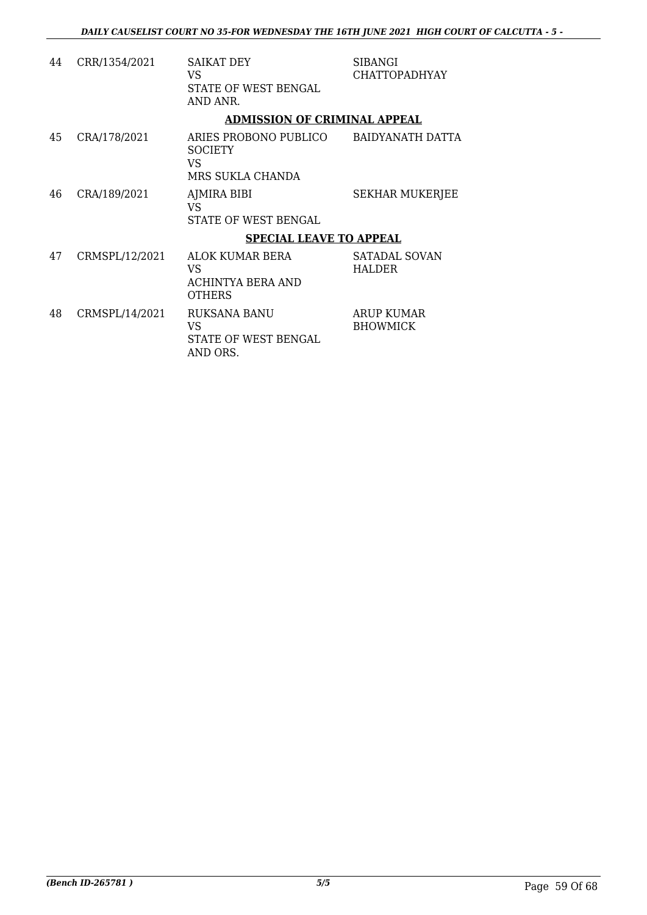| 44 | CRR/1354/2021  | <b>SAIKAT DEY</b><br>VS.<br>STATE OF WEST BENGAL<br>AND ANR.       | <b>SIBANGI</b><br><b>CHATTOPADHYAY</b> |
|----|----------------|--------------------------------------------------------------------|----------------------------------------|
|    |                | <b>ADMISSION OF CRIMINAL APPEAL</b>                                |                                        |
| 45 | CRA/178/2021   | ARIES PROBONO PUBLICO<br><b>SOCIETY</b><br>VS.<br>MRS SUKLA CHANDA | BAIDYANATH DATTA                       |
| 46 | CRA/189/2021   | AJMIRA BIBI<br>VS<br>STATE OF WEST BENGAL                          | <b>SEKHAR MUKERJEE</b>                 |
|    |                | <b>SPECIAL LEAVE TO APPEAL</b>                                     |                                        |
| 47 | CRMSPL/12/2021 | ALOK KUMAR BERA<br>VS<br>ACHINTYA BERA AND<br><b>OTHERS</b>        | <b>SATADAL SOVAN</b><br><b>HALDER</b>  |
| 48 | CRMSPL/14/2021 | RUKSANA BANU<br>VS<br>STATE OF WEST BENGAL<br>AND ORS.             | ARUP KUMAR<br><b>BHOWMICK</b>          |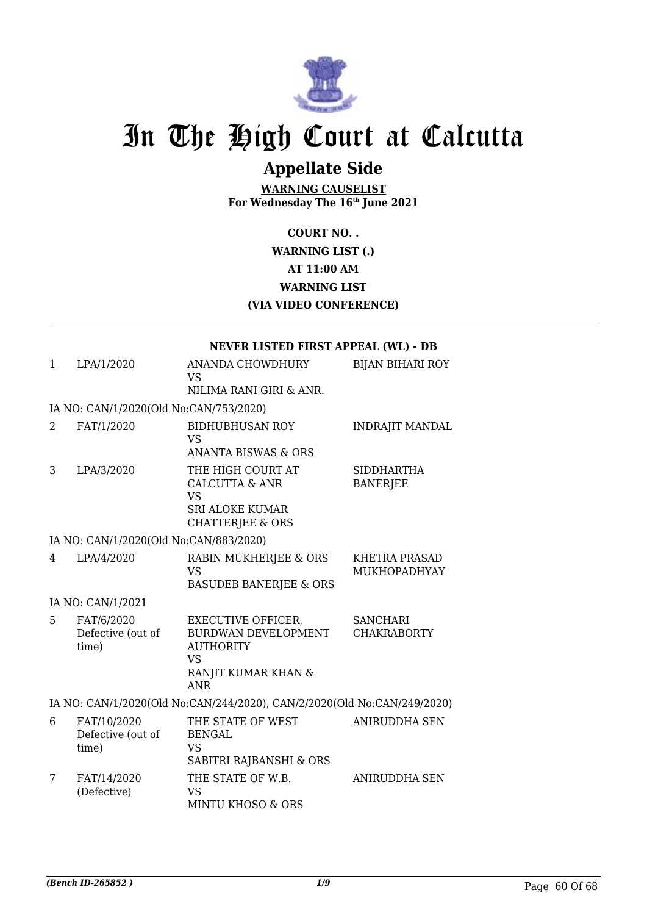

# **Appellate Side**

**WARNING CAUSELIST For Wednesday The 16th June 2021**

> **COURT NO. . WARNING LIST (.) AT 11:00 AM WARNING LIST (VIA VIDEO CONFERENCE)**

### **NEVER LISTED FIRST APPEAL (WL) - DB**

| $\mathbf{1}$   | LPA/1/2020                                | ANANDA CHOWDHURY<br>VS.                                                                                                       | <b>BIJAN BIHARI ROY</b>               |
|----------------|-------------------------------------------|-------------------------------------------------------------------------------------------------------------------------------|---------------------------------------|
|                |                                           | NILIMA RANI GIRI & ANR.                                                                                                       |                                       |
|                | IA NO: CAN/1/2020(Old No:CAN/753/2020)    |                                                                                                                               |                                       |
| $\overline{2}$ | FAT/1/2020                                | <b>BIDHUBHUSAN ROY</b><br>VS.<br><b>ANANTA BISWAS &amp; ORS</b>                                                               | <b>INDRAJIT MANDAL</b>                |
| 3              | LPA/3/2020                                | THE HIGH COURT AT<br><b>CALCUTTA &amp; ANR</b><br><b>VS</b><br><b>SRI ALOKE KUMAR</b><br><b>CHATTERJEE &amp; ORS</b>          | <b>SIDDHARTHA</b><br><b>BANERJEE</b>  |
|                | IA NO: CAN/1/2020(Old No:CAN/883/2020)    |                                                                                                                               |                                       |
| 4              | LPA/4/2020                                | RABIN MUKHERJEE & ORS<br><b>VS</b><br><b>BASUDEB BANERJEE &amp; ORS</b>                                                       | KHETRA PRASAD<br>MUKHOPADHYAY         |
|                | IA NO: CAN/1/2021                         |                                                                                                                               |                                       |
| 5              | FAT/6/2020<br>Defective (out of<br>time)  | <b>EXECUTIVE OFFICER,</b><br><b>BURDWAN DEVELOPMENT</b><br><b>AUTHORITY</b><br><b>VS</b><br>RANJIT KUMAR KHAN &<br><b>ANR</b> | <b>SANCHARI</b><br><b>CHAKRABORTY</b> |
|                |                                           | IA NO: CAN/1/2020(Old No:CAN/244/2020), CAN/2/2020(Old No:CAN/249/2020)                                                       |                                       |
| 6              | FAT/10/2020<br>Defective (out of<br>time) | THE STATE OF WEST<br><b>BENGAL</b><br><b>VS</b><br>SABITRI RAJBANSHI & ORS                                                    | <b>ANIRUDDHA SEN</b>                  |
| 7              | FAT/14/2020<br>(Defective)                | THE STATE OF W.B.<br><b>VS</b><br><b>MINTU KHOSO &amp; ORS</b>                                                                | ANIRUDDHA SEN                         |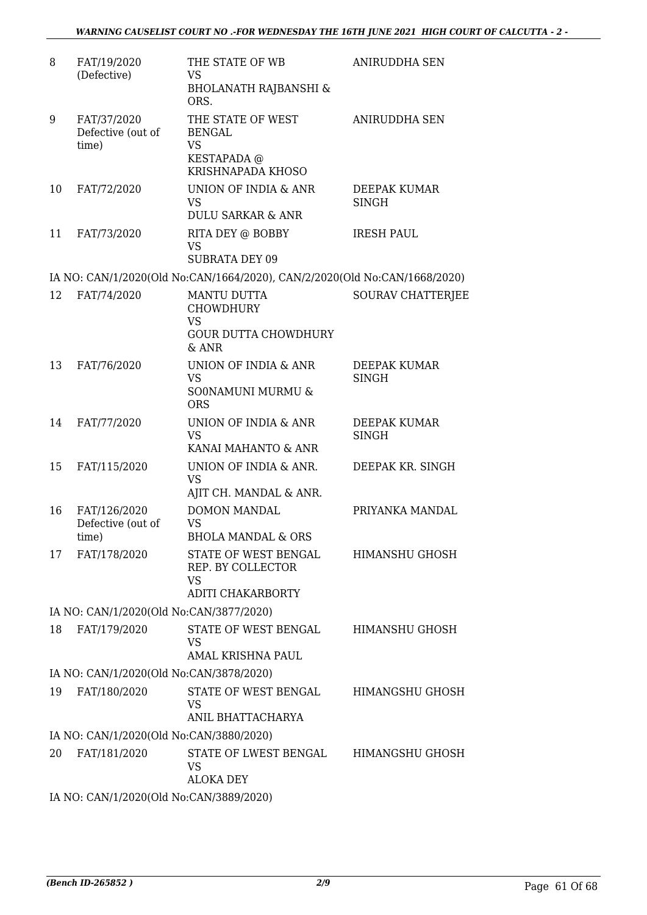| 8  | FAT/19/2020<br>(Defective)                 | THE STATE OF WB<br><b>VS</b><br><b>BHOLANATH RAJBANSHI &amp;</b><br>ORS.                    | <b>ANIRUDDHA SEN</b>         |
|----|--------------------------------------------|---------------------------------------------------------------------------------------------|------------------------------|
| 9  | FAT/37/2020<br>Defective (out of<br>time)  | THE STATE OF WEST<br><b>BENGAL</b><br><b>VS</b><br>KESTAPADA @<br>KRISHNAPADA KHOSO         | <b>ANIRUDDHA SEN</b>         |
| 10 | FAT/72/2020                                | UNION OF INDIA & ANR<br><b>VS</b><br><b>DULU SARKAR &amp; ANR</b>                           | DEEPAK KUMAR<br><b>SINGH</b> |
| 11 | FAT/73/2020                                | RITA DEY @ BOBBY<br><b>VS</b><br><b>SUBRATA DEY 09</b>                                      | <b>IRESH PAUL</b>            |
|    |                                            | IA NO: CAN/1/2020(Old No:CAN/1664/2020), CAN/2/2020(Old No:CAN/1668/2020)                   |                              |
| 12 | FAT/74/2020                                | <b>MANTU DUTTA</b><br><b>CHOWDHURY</b><br><b>VS</b><br><b>GOUR DUTTA CHOWDHURY</b><br>& ANR | <b>SOURAV CHATTERJEE</b>     |
| 13 | FAT/76/2020                                | UNION OF INDIA & ANR<br><b>VS</b><br>SO0NAMUNI MURMU &<br><b>ORS</b>                        | DEEPAK KUMAR<br><b>SINGH</b> |
| 14 | FAT/77/2020                                | UNION OF INDIA & ANR<br><b>VS</b><br>KANAI MAHANTO & ANR                                    | DEEPAK KUMAR<br><b>SINGH</b> |
| 15 | FAT/115/2020                               | UNION OF INDIA & ANR.<br><b>VS</b><br>AJIT CH. MANDAL & ANR.                                | DEEPAK KR. SINGH             |
| 16 | FAT/126/2020<br>Defective (out of<br>time) | <b>DOMON MANDAL</b><br><b>VS</b><br><b>BHOLA MANDAL &amp; ORS</b>                           | PRIYANKA MANDAL              |
| 17 | FAT/178/2020                               | STATE OF WEST BENGAL<br>REP. BY COLLECTOR<br>VS<br><b>ADITI CHAKARBORTY</b>                 | HIMANSHU GHOSH               |
|    | IA NO: CAN/1/2020(Old No:CAN/3877/2020)    |                                                                                             |                              |
| 18 | FAT/179/2020                               | STATE OF WEST BENGAL<br><b>VS</b><br>AMAL KRISHNA PAUL                                      | HIMANSHU GHOSH               |
|    | IA NO: CAN/1/2020(Old No:CAN/3878/2020)    |                                                                                             |                              |
| 19 | FAT/180/2020                               | STATE OF WEST BENGAL<br><b>VS</b><br>ANIL BHATTACHARYA                                      | HIMANGSHU GHOSH              |
|    | IA NO: CAN/1/2020(Old No:CAN/3880/2020)    |                                                                                             |                              |
| 20 | FAT/181/2020                               | STATE OF LWEST BENGAL<br><b>VS</b><br><b>ALOKA DEY</b>                                      | HIMANGSHU GHOSH              |
|    | IA NO: CAN/1/2020(Old No:CAN/3889/2020)    |                                                                                             |                              |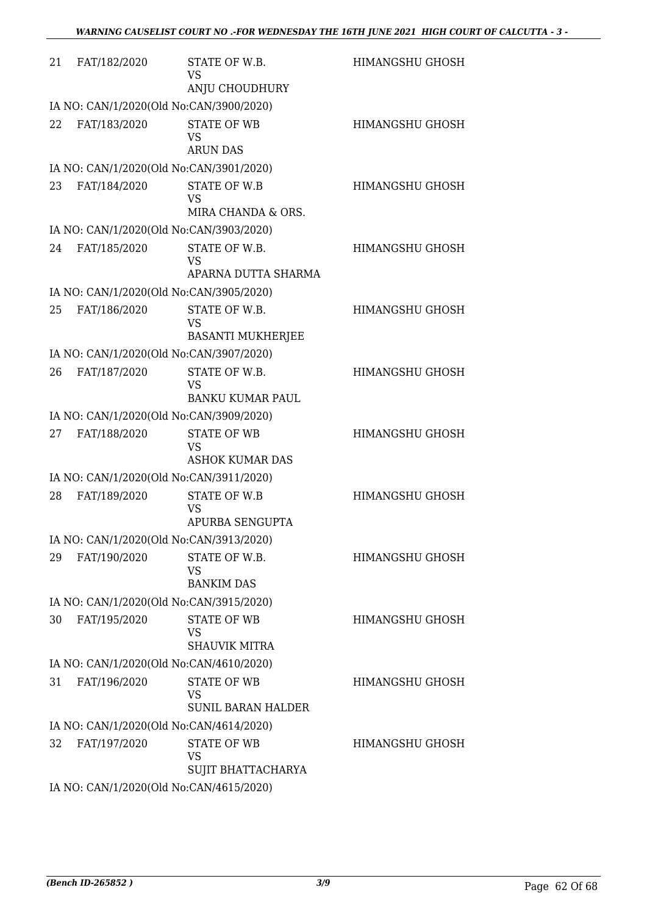| 21 | FAT/182/2020                            | STATE OF W.B.<br><b>VS</b><br>ANJU CHOUDHURY                 | <b>HIMANGSHU GHOSH</b> |  |  |
|----|-----------------------------------------|--------------------------------------------------------------|------------------------|--|--|
|    | IA NO: CAN/1/2020(Old No:CAN/3900/2020) |                                                              |                        |  |  |
| 22 | FAT/183/2020                            | <b>STATE OF WB</b><br><b>VS</b><br><b>ARUN DAS</b>           | HIMANGSHU GHOSH        |  |  |
|    | IA NO: CAN/1/2020(Old No:CAN/3901/2020) |                                                              |                        |  |  |
| 23 | FAT/184/2020                            | <b>STATE OF W.B</b><br>VS<br>MIRA CHANDA & ORS.              | HIMANGSHU GHOSH        |  |  |
|    | IA NO: CAN/1/2020(Old No:CAN/3903/2020) |                                                              |                        |  |  |
| 24 | FAT/185/2020                            | STATE OF W.B.<br><b>VS</b><br>APARNA DUTTA SHARMA            | <b>HIMANGSHU GHOSH</b> |  |  |
|    | IA NO: CAN/1/2020(Old No:CAN/3905/2020) |                                                              |                        |  |  |
| 25 | FAT/186/2020                            | STATE OF W.B.<br><b>VS</b><br><b>BASANTI MUKHERJEE</b>       | <b>HIMANGSHU GHOSH</b> |  |  |
|    | IA NO: CAN/1/2020(Old No:CAN/3907/2020) |                                                              |                        |  |  |
| 26 | FAT/187/2020                            | STATE OF W.B.<br><b>VS</b><br><b>BANKU KUMAR PAUL</b>        | <b>HIMANGSHU GHOSH</b> |  |  |
|    | IA NO: CAN/1/2020(Old No:CAN/3909/2020) |                                                              |                        |  |  |
| 27 | FAT/188/2020                            | <b>STATE OF WB</b><br>VS<br><b>ASHOK KUMAR DAS</b>           | <b>HIMANGSHU GHOSH</b> |  |  |
|    | IA NO: CAN/1/2020(Old No:CAN/3911/2020) |                                                              |                        |  |  |
| 28 | FAT/189/2020                            | <b>STATE OF W.B</b><br><b>VS</b><br>APURBA SENGUPTA          | <b>HIMANGSHU GHOSH</b> |  |  |
|    | IA NO: CAN/1/2020(Old No:CAN/3913/2020) |                                                              |                        |  |  |
| 29 | FAT/190/2020                            | STATE OF W.B.<br><b>VS</b><br><b>BANKIM DAS</b>              | <b>HIMANGSHU GHOSH</b> |  |  |
|    | IA NO: CAN/1/2020(Old No:CAN/3915/2020) |                                                              |                        |  |  |
| 30 | FAT/195/2020                            | <b>STATE OF WB</b><br><b>VS</b><br><b>SHAUVIK MITRA</b>      | <b>HIMANGSHU GHOSH</b> |  |  |
|    | IA NO: CAN/1/2020(Old No:CAN/4610/2020) |                                                              |                        |  |  |
| 31 | FAT/196/2020                            | <b>STATE OF WB</b><br><b>VS</b><br><b>SUNIL BARAN HALDER</b> | <b>HIMANGSHU GHOSH</b> |  |  |
|    | IA NO: CAN/1/2020(Old No:CAN/4614/2020) |                                                              |                        |  |  |
| 32 | FAT/197/2020                            | <b>STATE OF WB</b><br><b>VS</b><br>SUJIT BHATTACHARYA        | HIMANGSHU GHOSH        |  |  |
|    | IA NO: CAN/1/2020(Old No:CAN/4615/2020) |                                                              |                        |  |  |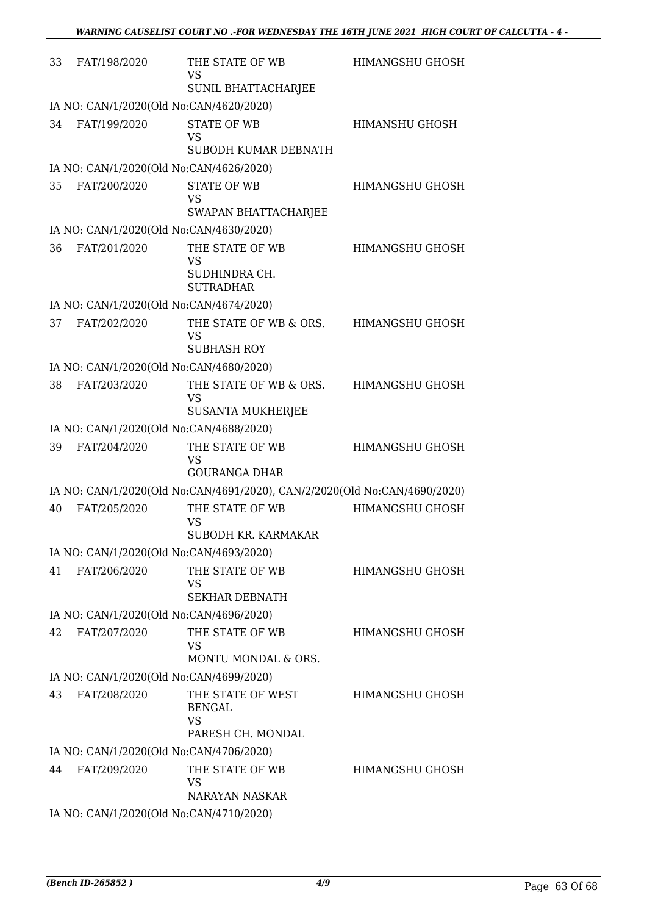| 33 | FAT/198/2020                            | THE STATE OF WB<br>VS<br>SUNIL BHATTACHARJEE                              | <b>HIMANGSHU GHOSH</b> |
|----|-----------------------------------------|---------------------------------------------------------------------------|------------------------|
|    | IA NO: CAN/1/2020(Old No:CAN/4620/2020) |                                                                           |                        |
| 34 | FAT/199/2020                            | <b>STATE OF WB</b><br><b>VS</b><br>SUBODH KUMAR DEBNATH                   | HIMANSHU GHOSH         |
|    | IA NO: CAN/1/2020(Old No:CAN/4626/2020) |                                                                           |                        |
| 35 | FAT/200/2020                            | <b>STATE OF WB</b><br><b>VS</b><br>SWAPAN BHATTACHARJEE                   | HIMANGSHU GHOSH        |
|    | IA NO: CAN/1/2020(Old No:CAN/4630/2020) |                                                                           |                        |
| 36 | FAT/201/2020                            | THE STATE OF WB<br>VS<br>SUDHINDRA CH.<br><b>SUTRADHAR</b>                | <b>HIMANGSHU GHOSH</b> |
|    | IA NO: CAN/1/2020(Old No:CAN/4674/2020) |                                                                           |                        |
| 37 | FAT/202/2020                            | THE STATE OF WB & ORS.<br>VS<br><b>SUBHASH ROY</b>                        | HIMANGSHU GHOSH        |
|    | IA NO: CAN/1/2020(Old No:CAN/4680/2020) |                                                                           |                        |
| 38 | FAT/203/2020                            | THE STATE OF WB & ORS.<br>VS<br><b>SUSANTA MUKHERJEE</b>                  | HIMANGSHU GHOSH        |
|    | IA NO: CAN/1/2020(Old No:CAN/4688/2020) |                                                                           |                        |
| 39 | FAT/204/2020                            | THE STATE OF WB<br><b>VS</b><br><b>GOURANGA DHAR</b>                      | <b>HIMANGSHU GHOSH</b> |
|    |                                         | IA NO: CAN/1/2020(Old No:CAN/4691/2020), CAN/2/2020(Old No:CAN/4690/2020) |                        |
| 40 | FAT/205/2020                            | THE STATE OF WB<br><b>VS</b><br>SUBODH KR. KARMAKAR                       | <b>HIMANGSHU GHOSH</b> |
|    | IA NO: CAN/1/2020(Old No:CAN/4693/2020) |                                                                           |                        |
| 41 | FAT/206/2020                            | THE STATE OF WB<br>VS<br><b>SEKHAR DEBNATH</b>                            | HIMANGSHU GHOSH        |
|    | IA NO: CAN/1/2020(Old No:CAN/4696/2020) |                                                                           |                        |
| 42 | FAT/207/2020                            | THE STATE OF WB<br>VS<br>MONTU MONDAL & ORS.                              | HIMANGSHU GHOSH        |
|    | IA NO: CAN/1/2020(Old No:CAN/4699/2020) |                                                                           |                        |
| 43 | FAT/208/2020                            | THE STATE OF WEST<br><b>BENGAL</b><br><b>VS</b><br>PARESH CH. MONDAL      | HIMANGSHU GHOSH        |
|    | IA NO: CAN/1/2020(Old No:CAN/4706/2020) |                                                                           |                        |
| 44 | FAT/209/2020                            | THE STATE OF WB<br><b>VS</b><br><b>NARAYAN NASKAR</b>                     | HIMANGSHU GHOSH        |
|    | IA NO: CAN/1/2020(Old No:CAN/4710/2020) |                                                                           |                        |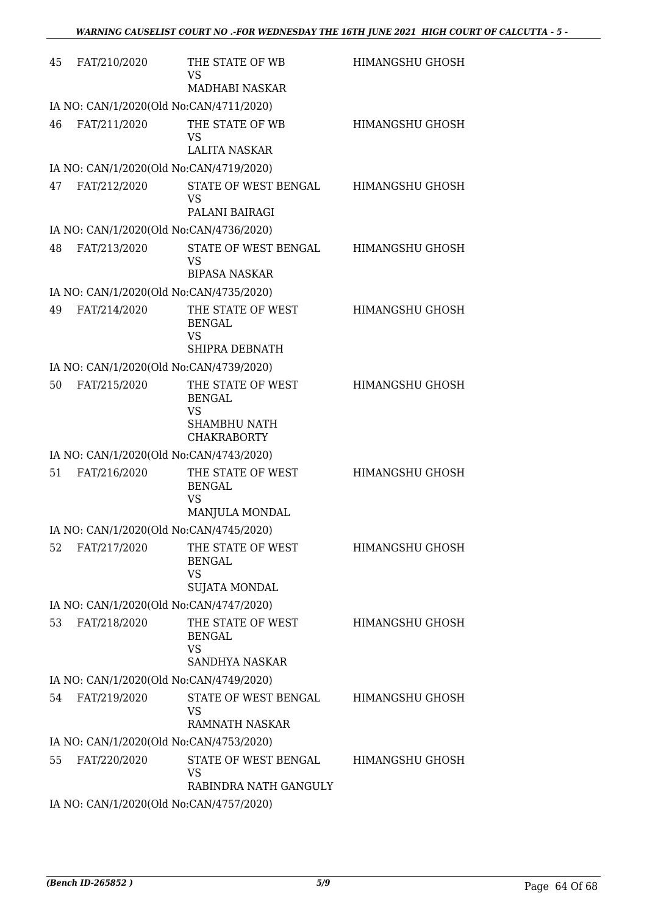| 45 | FAT/210/2020                            | THE STATE OF WB<br><b>VS</b><br>MADHABI NASKAR                           | <b>HIMANGSHU GHOSH</b> |
|----|-----------------------------------------|--------------------------------------------------------------------------|------------------------|
|    | IA NO: CAN/1/2020(Old No:CAN/4711/2020) |                                                                          |                        |
| 46 | FAT/211/2020                            | THE STATE OF WB<br><b>VS</b><br><b>LALITA NASKAR</b>                     | <b>HIMANGSHU GHOSH</b> |
|    | IA NO: CAN/1/2020(Old No:CAN/4719/2020) |                                                                          |                        |
| 47 | FAT/212/2020                            | STATE OF WEST BENGAL<br><b>VS</b><br>PALANI BAIRAGI                      | HIMANGSHU GHOSH        |
|    | IA NO: CAN/1/2020(Old No:CAN/4736/2020) |                                                                          |                        |
| 48 | FAT/213/2020                            | STATE OF WEST BENGAL<br><b>VS</b><br><b>BIPASA NASKAR</b>                | <b>HIMANGSHU GHOSH</b> |
|    | IA NO: CAN/1/2020(Old No:CAN/4735/2020) |                                                                          |                        |
| 49 | FAT/214/2020                            | THE STATE OF WEST<br><b>BENGAL</b><br><b>VS</b><br>SHIPRA DEBNATH        | <b>HIMANGSHU GHOSH</b> |
|    | IA NO: CAN/1/2020(Old No:CAN/4739/2020) |                                                                          |                        |
| 50 | FAT/215/2020                            | THE STATE OF WEST<br><b>BENGAL</b><br><b>VS</b>                          | <b>HIMANGSHU GHOSH</b> |
|    |                                         | SHAMBHU NATH<br><b>CHAKRABORTY</b>                                       |                        |
|    | IA NO: CAN/1/2020(Old No:CAN/4743/2020) |                                                                          |                        |
| 51 | FAT/216/2020                            | THE STATE OF WEST<br><b>BENGAL</b><br><b>VS</b><br><b>MANJULA MONDAL</b> | <b>HIMANGSHU GHOSH</b> |
|    | IA NO: CAN/1/2020(Old No:CAN/4745/2020) |                                                                          |                        |
| 52 | FAT/217/2020                            | THE STATE OF WEST<br><b>BENGAL</b><br><b>VS</b><br>SUJATA MONDAL         | HIMANGSHU GHOSH        |
|    | IA NO: CAN/1/2020(Old No:CAN/4747/2020) |                                                                          |                        |
| 53 | FAT/218/2020                            | THE STATE OF WEST<br><b>BENGAL</b><br><b>VS</b><br><b>SANDHYA NASKAR</b> | HIMANGSHU GHOSH        |
|    | IA NO: CAN/1/2020(Old No:CAN/4749/2020) |                                                                          |                        |
| 54 | FAT/219/2020                            | STATE OF WEST BENGAL<br><b>VS</b><br>RAMNATH NASKAR                      | HIMANGSHU GHOSH        |
|    | IA NO: CAN/1/2020(Old No:CAN/4753/2020) |                                                                          |                        |
| 55 | FAT/220/2020                            | STATE OF WEST BENGAL<br>VS<br>RABINDRA NATH GANGULY                      | HIMANGSHU GHOSH        |
|    | IA NO: CAN/1/2020(Old No:CAN/4757/2020) |                                                                          |                        |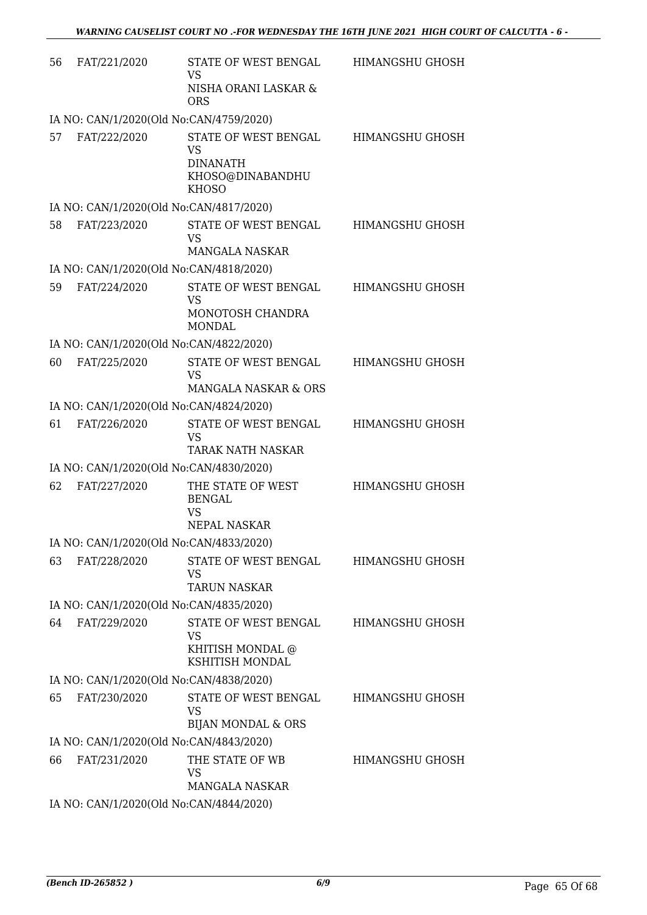| 56 | FAT/221/2020                            | STATE OF WEST BENGAL<br><b>VS</b><br>NISHA ORANI LASKAR &<br><b>ORS</b>                  | HIMANGSHU GHOSH        |
|----|-----------------------------------------|------------------------------------------------------------------------------------------|------------------------|
|    | IA NO: CAN/1/2020(Old No:CAN/4759/2020) |                                                                                          |                        |
| 57 | FAT/222/2020                            | STATE OF WEST BENGAL<br><b>VS</b><br><b>DINANATH</b><br>KHOSO@DINABANDHU<br><b>KHOSO</b> | HIMANGSHU GHOSH        |
|    | IA NO: CAN/1/2020(Old No:CAN/4817/2020) |                                                                                          |                        |
| 58 | FAT/223/2020                            | STATE OF WEST BENGAL<br><b>VS</b><br>MANGALA NASKAR                                      | <b>HIMANGSHU GHOSH</b> |
|    | IA NO: CAN/1/2020(Old No:CAN/4818/2020) |                                                                                          |                        |
| 59 | FAT/224/2020                            | STATE OF WEST BENGAL<br><b>VS</b><br>MONOTOSH CHANDRA                                    | <b>HIMANGSHU GHOSH</b> |
|    | IA NO: CAN/1/2020(Old No:CAN/4822/2020) | <b>MONDAL</b>                                                                            |                        |
| 60 | FAT/225/2020                            | STATE OF WEST BENGAL                                                                     | HIMANGSHU GHOSH        |
|    |                                         | <b>VS</b><br><b>MANGALA NASKAR &amp; ORS</b>                                             |                        |
|    | IA NO: CAN/1/2020(Old No:CAN/4824/2020) |                                                                                          |                        |
| 61 | FAT/226/2020                            | STATE OF WEST BENGAL<br><b>VS</b><br><b>TARAK NATH NASKAR</b>                            | HIMANGSHU GHOSH        |
|    | IA NO: CAN/1/2020(Old No:CAN/4830/2020) |                                                                                          |                        |
| 62 | FAT/227/2020                            | THE STATE OF WEST<br><b>BENGAL</b><br><b>VS</b><br>NEPAL NASKAR                          | <b>HIMANGSHU GHOSH</b> |
|    | IA NO: CAN/1/2020(Old No:CAN/4833/2020) |                                                                                          |                        |
| 63 | FAT/228/2020                            | STATE OF WEST BENGAL<br><b>VS</b><br><b>TARUN NASKAR</b>                                 | HIMANGSHU GHOSH        |
|    | IA NO: CAN/1/2020(Old No:CAN/4835/2020) |                                                                                          |                        |
| 64 | FAT/229/2020                            | STATE OF WEST BENGAL<br><b>VS</b><br>KHITISH MONDAL @<br>KSHITISH MONDAL                 | HIMANGSHU GHOSH        |
|    | IA NO: CAN/1/2020(Old No:CAN/4838/2020) |                                                                                          |                        |
| 65 | FAT/230/2020                            | STATE OF WEST BENGAL<br><b>VS</b><br><b>BIJAN MONDAL &amp; ORS</b>                       | HIMANGSHU GHOSH        |
|    | IA NO: CAN/1/2020(Old No:CAN/4843/2020) |                                                                                          |                        |
| 66 | FAT/231/2020                            | THE STATE OF WB<br><b>VS</b><br>MANGALA NASKAR                                           | HIMANGSHU GHOSH        |
|    | IA NO: CAN/1/2020(Old No:CAN/4844/2020) |                                                                                          |                        |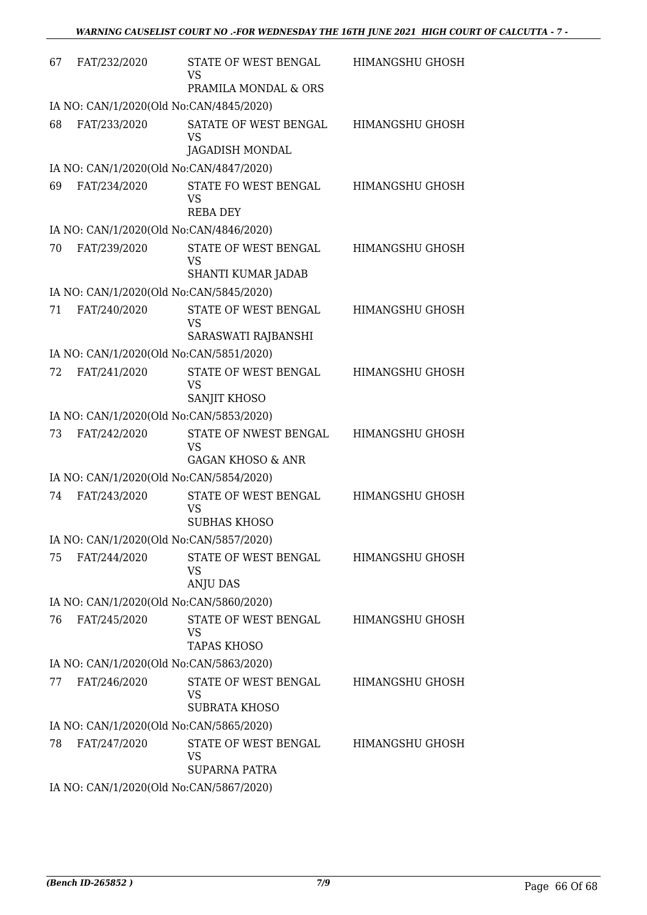| 67 | FAT/232/2020                            | STATE OF WEST BENGAL<br><b>VS</b><br>PRAMILA MONDAL & ORS          | HIMANGSHU GHOSH        |  |  |
|----|-----------------------------------------|--------------------------------------------------------------------|------------------------|--|--|
|    | IA NO: CAN/1/2020(Old No:CAN/4845/2020) |                                                                    |                        |  |  |
| 68 | FAT/233/2020                            | SATATE OF WEST BENGAL<br><b>VS</b><br>JAGADISH MONDAL              | <b>HIMANGSHU GHOSH</b> |  |  |
|    | IA NO: CAN/1/2020(Old No:CAN/4847/2020) |                                                                    |                        |  |  |
| 69 | FAT/234/2020                            | STATE FO WEST BENGAL<br><b>VS</b><br><b>REBA DEY</b>               | HIMANGSHU GHOSH        |  |  |
|    | IA NO: CAN/1/2020(Old No:CAN/4846/2020) |                                                                    |                        |  |  |
| 70 | FAT/239/2020                            | STATE OF WEST BENGAL<br><b>VS</b><br>SHANTI KUMAR JADAB            | <b>HIMANGSHU GHOSH</b> |  |  |
|    | IA NO: CAN/1/2020(Old No:CAN/5845/2020) |                                                                    |                        |  |  |
| 71 | FAT/240/2020                            | STATE OF WEST BENGAL<br><b>VS</b><br>SARASWATI RAJBANSHI           | <b>HIMANGSHU GHOSH</b> |  |  |
|    | IA NO: CAN/1/2020(Old No:CAN/5851/2020) |                                                                    |                        |  |  |
| 72 | FAT/241/2020                            | STATE OF WEST BENGAL<br><b>VS</b><br>SANJIT KHOSO                  | HIMANGSHU GHOSH        |  |  |
|    | IA NO: CAN/1/2020(Old No:CAN/5853/2020) |                                                                    |                        |  |  |
| 73 | FAT/242/2020                            | STATE OF NWEST BENGAL<br><b>VS</b><br><b>GAGAN KHOSO &amp; ANR</b> | HIMANGSHU GHOSH        |  |  |
|    | IA NO: CAN/1/2020(Old No:CAN/5854/2020) |                                                                    |                        |  |  |
| 74 | FAT/243/2020                            | STATE OF WEST BENGAL<br><b>VS</b><br><b>SUBHAS KHOSO</b>           | <b>HIMANGSHU GHOSH</b> |  |  |
|    | IA NO: CAN/1/2020(Old No:CAN/5857/2020) |                                                                    |                        |  |  |
| 75 | FAT/244/2020                            | STATE OF WEST BENGAL<br><b>VS</b><br><b>ANJU DAS</b>               | HIMANGSHU GHOSH        |  |  |
|    | IA NO: CAN/1/2020(Old No:CAN/5860/2020) |                                                                    |                        |  |  |
| 76 | FAT/245/2020                            | STATE OF WEST BENGAL<br><b>VS</b><br><b>TAPAS KHOSO</b>            | <b>HIMANGSHU GHOSH</b> |  |  |
|    | IA NO: CAN/1/2020(Old No:CAN/5863/2020) |                                                                    |                        |  |  |
| 77 | FAT/246/2020                            | STATE OF WEST BENGAL<br><b>VS</b><br><b>SUBRATA KHOSO</b>          | HIMANGSHU GHOSH        |  |  |
|    | IA NO: CAN/1/2020(Old No:CAN/5865/2020) |                                                                    |                        |  |  |
| 78 | FAT/247/2020                            | STATE OF WEST BENGAL<br><b>VS</b><br><b>SUPARNA PATRA</b>          | HIMANGSHU GHOSH        |  |  |
|    | IA NO: CAN/1/2020(Old No:CAN/5867/2020) |                                                                    |                        |  |  |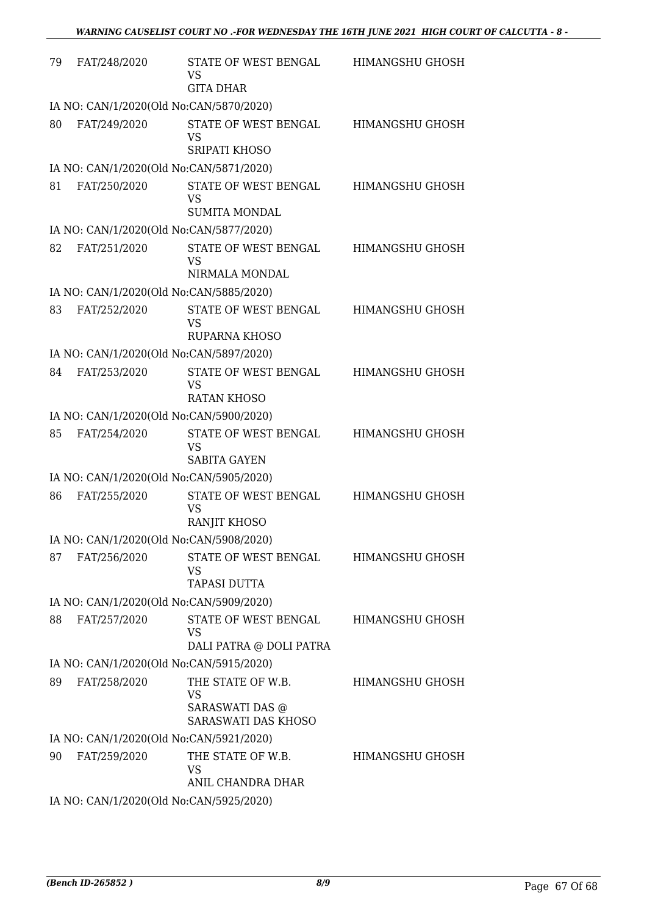| 79                                      | FAT/248/2020                            | STATE OF WEST BENGAL<br>VS<br><b>GITA DHAR</b>               | HIMANGSHU GHOSH        |
|-----------------------------------------|-----------------------------------------|--------------------------------------------------------------|------------------------|
| IA NO: CAN/1/2020(Old No:CAN/5870/2020) |                                         |                                                              |                        |
| 80                                      | FAT/249/2020                            | STATE OF WEST BENGAL<br><b>VS</b><br><b>SRIPATI KHOSO</b>    | <b>HIMANGSHU GHOSH</b> |
| IA NO: CAN/1/2020(Old No:CAN/5871/2020) |                                         |                                                              |                        |
| 81                                      | FAT/250/2020                            | STATE OF WEST BENGAL<br><b>VS</b><br><b>SUMITA MONDAL</b>    | HIMANGSHU GHOSH        |
|                                         | IA NO: CAN/1/2020(Old No:CAN/5877/2020) |                                                              |                        |
| 82                                      | FAT/251/2020                            | STATE OF WEST BENGAL<br><b>VS</b><br>NIRMALA MONDAL          | <b>HIMANGSHU GHOSH</b> |
| IA NO: CAN/1/2020(Old No:CAN/5885/2020) |                                         |                                                              |                        |
| 83                                      | FAT/252/2020                            | STATE OF WEST BENGAL<br><b>VS</b><br><b>RUPARNA KHOSO</b>    | <b>HIMANGSHU GHOSH</b> |
| IA NO: CAN/1/2020(Old No:CAN/5897/2020) |                                         |                                                              |                        |
| 84                                      | FAT/253/2020                            | STATE OF WEST BENGAL<br><b>VS</b><br><b>RATAN KHOSO</b>      | HIMANGSHU GHOSH        |
| IA NO: CAN/1/2020(Old No:CAN/5900/2020) |                                         |                                                              |                        |
| 85                                      | FAT/254/2020                            | STATE OF WEST BENGAL<br><b>VS</b><br><b>SABITA GAYEN</b>     | HIMANGSHU GHOSH        |
| IA NO: CAN/1/2020(Old No:CAN/5905/2020) |                                         |                                                              |                        |
| 86                                      | FAT/255/2020                            | STATE OF WEST BENGAL<br><b>VS</b><br><b>RANJIT KHOSO</b>     | <b>HIMANGSHU GHOSH</b> |
| IA NO: CAN/1/2020(Old No:CAN/5908/2020) |                                         |                                                              |                        |
| 87                                      | FAT/256/2020                            | STATE OF WEST BENGAL<br><b>VS</b><br><b>TAPASI DUTTA</b>     | HIMANGSHU GHOSH        |
| IA NO: CAN/1/2020(Old No:CAN/5909/2020) |                                         |                                                              |                        |
| 88                                      | FAT/257/2020                            | STATE OF WEST BENGAL<br><b>VS</b><br>DALI PATRA @ DOLI PATRA | <b>HIMANGSHU GHOSH</b> |
| IA NO: CAN/1/2020(Old No:CAN/5915/2020) |                                         |                                                              |                        |
| 89                                      | FAT/258/2020                            | THE STATE OF W.B.<br>VS<br>SARASWATI DAS @                   | HIMANGSHU GHOSH        |
|                                         |                                         | SARASWATI DAS KHOSO                                          |                        |
| IA NO: CAN/1/2020(Old No:CAN/5921/2020) |                                         |                                                              |                        |
| 90                                      | FAT/259/2020                            | THE STATE OF W.B.<br><b>VS</b><br>ANIL CHANDRA DHAR          | HIMANGSHU GHOSH        |
| IA NO: CAN/1/2020(Old No:CAN/5925/2020) |                                         |                                                              |                        |